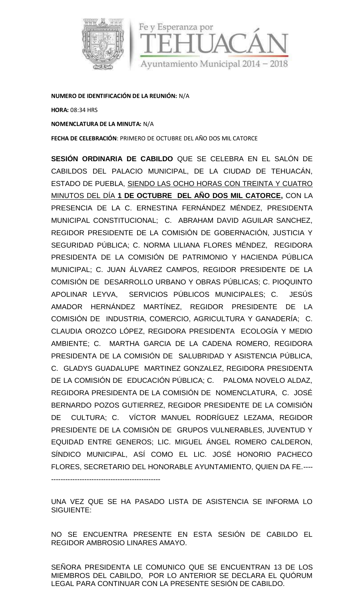

**NUMERO DE IDENTIFICACIÓN DELA REUNIÓN:** N/A

**HORA:** 08:34 HRS

**NOMENCLATURA DE LA MINUTA:** N/A

----------------------------------------------

**FECHA DE CELEBRACIÓN**: PRIMERO DE OCTUBRE DEL AÑO DOS MIL CATORCE

**SESIÓN ORDINARIA DE CABILDO** QUE SE CELEBRA EN EL SALÓN DE CABILDOS DEL PALACIO MUNICIPAL, DE LA CIUDAD DE TEHUACÁN, ESTADO DE PUEBLA, SIENDO LAS OCHO HORAS CON TREINTA Y CUATRO MINUTOS DEL DÍA **1 DE OCTUBRE DEL AÑO DOS MIL CATORCE,** CON LA PRESENCIA DE LA C. ERNESTINA FERNÁNDEZ MÉNDEZ, PRESIDENTA MUNICIPAL CONSTITUCIONAL; C. ABRAHAM DAVID AGUILAR SANCHEZ, REGIDOR PRESIDENTE DE LA COMISIÓN DE GOBERNACIÓN, JUSTICIA Y SEGURIDAD PÚBLICA; C. NORMA LILIANA FLORES MÉNDEZ, REGIDORA PRESIDENTA DE LA COMISIÓN DE PATRIMONIO Y HACIENDA PÚBLICA MUNICIPAL; C. JUAN ÁLVAREZ CAMPOS, REGIDOR PRESIDENTE DE LA COMISIÓN DE DESARROLLO URBANO Y OBRAS PÚBLICAS; C. PIOQUINTO APOLINAR LEYVA, SERVICIOS PÚBLICOS MUNICIPALES; C. JESÚS AMADOR HERNÁNDEZ MARTÍNEZ, REGIDOR PRESIDENTE DE LA COMISIÓN DE INDUSTRIA, COMERCIO, AGRICULTURA Y GANADERÍA; C. CLAUDIA OROZCO LÓPEZ, REGIDORA PRESIDENTA ECOLOGÍA Y MEDIO AMBIENTE; C. MARTHA GARCIA DE LA CADENA ROMERO, REGIDORA PRESIDENTA DE LA COMISIÓN DE SALUBRIDAD Y ASISTENCIA PÚBLICA, C. GLADYS GUADALUPE MARTINEZ GONZALEZ, REGIDORA PRESIDENTA DE LA COMISIÓN DE EDUCACIÓN PÚBLICA; C. PALOMA NOVELO ALDAZ, REGIDORA PRESIDENTA DE LA COMISIÓN DE NOMENCLATURA, C. JOSÉ BERNARDO POZOS GUTIERREZ, REGIDOR PRESIDENTE DE LA COMISIÓN DE CULTURA; C. VÍCTOR MANUEL RODRÍGUEZ LEZAMA, REGIDOR PRESIDENTE DE LA COMISIÓN DE GRUPOS VULNERABLES, JUVENTUD Y EQUIDAD ENTRE GENEROS; LIC. MIGUEL ÁNGEL ROMERO CALDERON, SÍNDICO MUNICIPAL, ASÍ COMO EL LIC. JOSÉ HONORIO PACHECO FLORES, SECRETARIO DEL HONORABLE AYUNTAMIENTO, QUIEN DA FE.----

UNA VEZ QUE SE HA PASADO LISTA DE ASISTENCIA SE INFORMA LO SIGUIENTE:

NO SE ENCUENTRA PRESENTE EN ESTA SESIÓN DE CABILDO EL REGIDOR AMBROSIO LINARES AMAYO.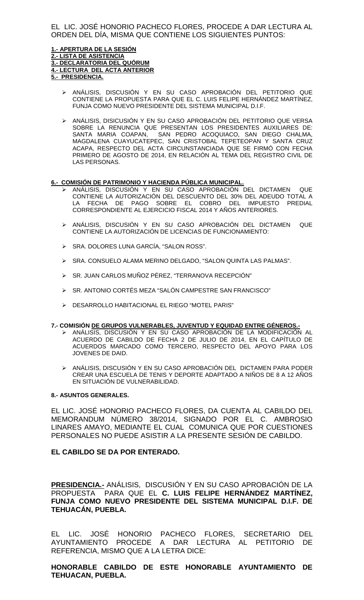EL LIC. JOSÉ HONORIO PACHECO FLORES, PROCEDE A DAR LECTURA AL ORDEN DEL DÍA, MISMA QUE CONTIENE LOS SIGUIENTES PUNTOS:

#### **1.- APERTURA DE LA SESIÓN 2.- LISTA DE ASISTENCIA 3.- DECLARATORIA DEL QUÓRUM 4.- LECTURA DEL ACTA ANTERIOR 5.- PRESIDENCIA.**

- ANÁLISIS, DISCUSIÓN Y EN SU CASO APROBACIÓN DEL PETITORIO QUE CONTIENE LA PROPUESTA PARA QUE EL C. LUIS FELIPE HERNÁNDEZ MARTÍNEZ, FUNJA COMO NUEVO PRESIDENTE DEL SISTEMA MUNICIPAL D.I.F.
- ANÁLISIS, DISICUSIÓN Y EN SU CASO APROBACIÓN DEL PETITORIO QUE VERSA SOBRE LA RENUNCIA QUE PRESENTAN LOS PRESIDENTES AUXILIARES DE: SANTA MARIA COAPAN, SAN PEDRO ACOQUIACO, SAN DIEGO CHALMA, MAGDALENA CUAYUCATEPEC, SAN CRISTOBAL TEPETEOPAN Y SANTA CRUZ ACAPA, RESPECTO DEL ACTA CIRCUNSTANCIADA QUE SE FIRMO CON FECHA PRIMERO DE AGOSTO DE 2014, EN RELACIÓN AL TEMA DEL REGISTRO CIVIL DE LAS PERSONAS.

## **6.- COMISIÓN DE PATRIMONIO Y HACIENDA PÚBLICA MUNICIPAL.**

- ANÁLISIS, DISCUSIÓN Y EN SU CASO APROBACIÓN DEL DICTAMEN QUE CONTIENE LA AUTORIZACIÓN DEL DESCUENTO DEL 30% DEL ADEUDO TOTAL A LA FECHA DE PAGO SOBRE EL COBRO DEL IMPUESTO PREDIAL CORRESPONDIENTE AL EJERCICIO FISCAL 2014 Y AÑOS ANTERIORES.
- ANÁLISIS, DISCUSIÓN Y EN SU CASO APROBACIÓN DEL DICTAMEN QUE CONTIENE LA AUTORIZACIÓN DE LICENCIAS DE FUNCIONAMIENTO:
- SRA. DOLORES LUNA GARCÍA, "SALON ROSS".
- SRA. CONSUELO ALAMA MERINO DELGADO, "SALON QUINTA LAS PALMAS".
- SR. JUAN CARLOS MUÑOZ PÉREZ, "TERRANOVA RECEPCIÓN"
- SR. ANTONIO CORTÉS MEZA "SALÓN CAMPESTRE SAN FRANCISCO"
- DESARROLLO HABITACIONAL EL RIEGO "MOTEL PARIS"

#### **7.- COMISIÓN DE GRUPOS VULNERABLES, JUVENTUD Y EQUIDAD ENTRE GÉNEROS.-**

- ANÁLISIS, DISCUSIÓN Y EN SU CASO APROBACIÓN DE LA MODIFICACIÓN AL ACUERDO DE CABILDO DE FECHA 2 DE JULIO DE 2014, EN EL CAPÍTULO DE ACUERDOS MARCADO COMO TERCERO, RESPECTO DEL APOYO PARA LOS JOVENES DE DAID.
- ANÁLISIS, DISCUSIÓN Y EN SU CASO APROBACIÓN DEL DICTAMEN PARA PODER CREAR UNA ESCUELA DE TENIS Y DEPORTE ADAPTADO A NIÑOS DE 8 A 12 AÑOS EN SITUACIÓN DE VULNERABILIDAD.

#### **8.- ASUNTOS GENERALES.**

EL LIC. JOSÉ HONORIO PACHECO FLORES, DA CUENTA AL CABILDO DEL MEMORANDUM NÚMERO 38/2014, SIGNADO POR EL C. AMBROSIO LINARES AMAYO, MEDIANTE EL CUAL COMUNICA QUE POR CUESTIONES PERSONALES NO PUEDE ASISTIR A LA PRESENTE SESIÓN DE CABILDO.

#### **EL CABILDO SE DA POR ENTERADO.**

**PRESIDENCIA.-** ANÁLISIS, DISCUSIÓN Y EN SU CASO APROBACIÓN DE LA PROPUESTA PARA QUE EL **C. LUIS FELIPE HERNÁNDEZ MARTÍNEZ, FUNJA COMO NUEVO PRESIDENTE DEL SISTEMA MUNICIPAL D.I.F. DE TEHUACÁN, PUEBLA.**

EL LIC. JOSÉ HONORIO PACHECO FLORES, SECRETARIO DEL AYUNTAMIENTO PROCEDE A DAR LECTURA AL PETITORIO DE REFERENCIA, MISMO QUE A LA LETRA DICE:

**HONORABLE CABILDO DE ESTE HONORABLE AYUNTAMIENTO DE TEHUACAN, PUEBLA.**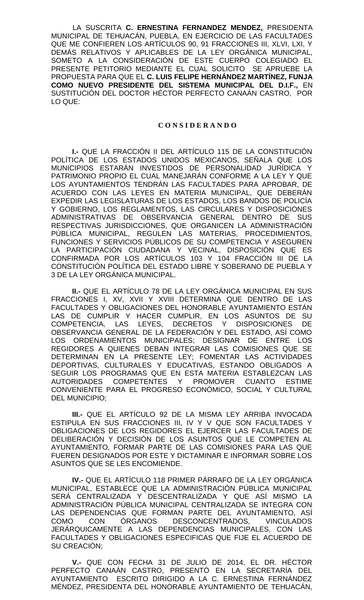LA SUSCRITA **C. ERNESTINA FERNANDEZ MENDEZ,** PRESIDENTA MUNICIPAL DE TEHUACÁN, PUEBLA, EN EJERCICIO DE LAS FACULTADES QUE ME CONFIEREN LOS ARTÍCULOS 90, 91 FRACCIONES III, XLVI, LXI, Y DEMÁS RELATIVOS Y APLICABLES DE LA LEY ORGÁNICA MUNICIPAL, SOMETO A LA CONSIDERACIÓN DE ESTE CUERPO COLEGIADO EL PRESENTE PETITORIO MEDIANTE EL CUAL SOLICITO SE APRUEBE LA PROPUESTA PARA QUE EL **C. LUIS FELIPE HERNÁNDEZ MARTÍNEZ, FUNJA COMO NUEVO PRESIDENTE DEL SISTEMA MUNICIPAL DEL D.I.F.,** EN SUSTITUCIÓN DEL DOCTOR HÉCTOR PERFECTO CANAÁN CASTRO, POR LO QUE:

## **C O N S I D E R A N D O**

**I.-** QUE LA FRACCIÓN II DEL ARTÍCULO 115 DE LA CONSTITUCIÓN POLÍTICA DE LOS ESTADOS UNIDOS MEXICANOS, SEÑALA QUE LOS MUNICIPIOS ESTARÁN INVESTIDOS DE PERSONALIDAD JURÍDICA Y PATRIMONIO PROPIO EL CUAL MANEJARÁN CONFORME A LA LEY Y QUE LOS AYUNTAMIENTOS TENDRÁN LAS FACULTADES PARA APROBAR, DE ACUERDO CON LAS LEYES EN MATERIA MUNICIPAL, QUE DEBERÁN EXPEDIR LAS LEGISLATURAS DE LOS ESTADOS, LOS BANDOS DE POLICÍA Y GOBIERNO, LOS REGLAMENTOS, LAS CIRCULARES Y DISPOSICIONES ADMINISTRATIVAS DE OBSERVANCIA GENERAL DENTRO DE SUS RESPECTIVAS JURISDICCIONES, QUE ORGANICEN LA ADMINISTRACIÓN PÚBLICA MUNICIPAL, REGULEN LAS MATERIAS, PROCEDIMIENTOS, FUNCIONES Y SERVICIOS PÚBLICOS DE SU COMPETENCIA Y ASEGUREN LA PARTICIPACIÓN CIUDADANA Y VECINAL, DISPOSICIÓN QUE ES CONFIRMADA POR LOS ARTÍCULOS 103 Y 104 FRACCIÓN III DE LA CONSTITUCIÓN POLÍTICA DEL ESTADO LIBRE Y SOBERANO DE PUEBLA Y 3 DE LA LEY ORGÁNICA MUNICIPAL.

**II.-** QUE EL ARTÍCULO 78 DE LA LEY ORGÁNICA MUNICIPAL EN SUS FRACCIONES I, XV, XVII Y XVIII DETERMINA QUE DENTRO DE LAS FACULTADES Y OBLIGACIONES DEL HONORABLE AYUNTAMIENTO ESTÁN LAS DE CUMPLIR Y HACER CUMPLIR, EN LOS ASUNTOS DE SU COMPETENCIA, LAS LEYES, DECRETOS Y DISPOSICIONES DE OBSERVANCIA GENERAL DE LA FEDERACIÓN Y DEL ESTADO, ASÍ COMO LOS ORDENAMIENTOS MUNICIPALES; DESIGNAR DE ENTRE LOS REGIDORES A QUIENES DEBAN INTEGRAR LAS COMISIONES QUE SE DETERMINAN EN LA PRESENTE LEY; FOMENTAR LAS ACTIVIDADES DEPORTIVAS, CULTURALES Y EDUCATIVAS, ESTANDO OBLIGADOS A SEGUIR LOS PROGRAMAS QUE EN ESTA MATERIA ESTABLEZCAN LAS AUTORIDADES COMPETENTES Y PROMOVER CUANTO ESTIME CONVENIENTE PARA EL PROGRESO ECONÓMICO, SOCIAL Y CULTURAL DEL MUNICIPIO;

**III.-** QUE EL ARTÍCULO 92 DE LA MISMA LEY ARRIBA INVOCADA ESTIPULA EN SUS FRACCIONES III, IV Y V QUE SON FACULTADES Y OBLIGACIONES DE LOS REGIDORES EL EJERCER LAS FACULTADES DE DELIBERACIÓN Y DECISIÓN DE LOS ASUNTOS QUE LE COMPETEN AL AYUNTAMIENTO, FORMAR PARTE DE LAS COMISIONES PARA LAS QUE FUEREN DESIGNADOS POR ESTE Y DICTAMINAR E INFORMAR SOBRE LOS ASUNTOS QUE SE LES ENCOMIENDE.

**IV.-** QUE EL ARTÍCULO 118 PRIMER PÁRRAFO DE LA LEY ORGÁNICA MUNICIPAL, ESTABLECE QUE LA ADMINISTRACIÓN PÚBLICA MUNICIPAL SERÁ CENTRALIZADA Y DESCENTRALIZADA Y QUE ASÍ MISMO LA ADMINISTRACIÓN PÚBLICA MUNICIPAL CENTRALIZADA SE INTEGRA CON LAS DEPENDENCIAS QUE FORMAN PARTE DEL AYUNTAMIENTO, ASÍ COMO CON ÓRGANOS DESCONCENTRADOS, VINCULADOS JERÁRQUICAMENTE A LAS DEPENDENCIAS MUNICIPALES, CON LAS FACULTADES Y OBLIGACIONES ESPECIFICAS QUE FIJE EL ACUERDO DE SU CREACIÓN;

**V.-** QUE CON FECHA 31 DE JULIO DE 2014, EL DR. HÉCTOR PERFECTO CANAÁN CASTRO, PRESENTÓ EN LA SECRETARÍA DEL AYUNTAMIENTO ESCRITO DIRIGIDO A LA C. ERNESTINA FERNÁNDEZ MÉNDEZ, PRESIDENTA DEL HONORABLE AYUNTAMIENTO DE TEHUACÁN,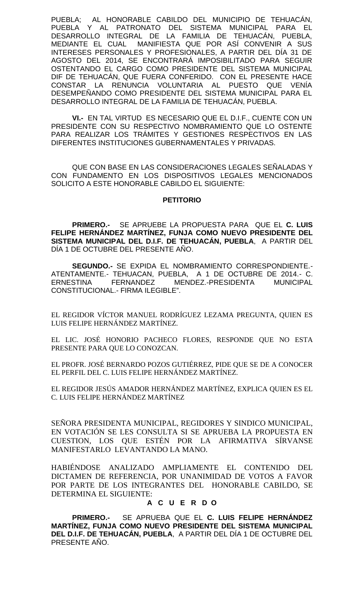PUEBLA; AL HONORABLE CABILDO DEL MUNICIPIO DE TEHUACÁN, PUEBLA Y AL PATRONATO DEL SISTEMA MUNICIPAL PARA EL DESARROLLO INTEGRAL DE LA FAMILIA DE TEHUACÁN, PUEBLA, MEDIANTE EL CUAL MANIFIESTA QUE POR ASÍ CONVENIR A SUS INTERESES PERSONALES Y PROFESIONALES, A PARTIR DEL DÍA 31 DE AGOSTO DEL 2014, SE ENCONTRARÁ IMPOSIBILITADO PARA SEGUIR OSTENTANDO EL CARGO COMO PRESIDENTE DEL SISTEMA MUNICIPAL DIF DE TEHUACÁN, QUE FUERA CONFERIDO. CON EL PRESENTE HACE CONSTAR LA RENUNCIA VOLUNTARIA AL PUESTO QUE VENÍA DESEMPEÑANDO COMO PRESIDENTE DEL SISTEMA MUNICIPAL PARA EL DESARROLLO INTEGRAL DE LA FAMILIA DE TEHUACÁN, PUEBLA.

**VI.-** EN TAL VIRTUD ES NECESARIO QUE EL D.I.F., CUENTE CON UN PRESIDENTE CON SU RESPECTIVO NOMBRAMIENTO QUE LO OSTENTE PARA REALIZAR LOS TRÁMITES Y GESTIONES RESPECTIVOS EN LAS DIFERENTES INSTITUCIONES GUBERNAMENTALES Y PRIVADAS.

QUE CON BASE EN LAS CONSIDERACIONES LEGALES SEÑALADAS Y CON FUNDAMENTO EN LOS DISPOSITIVOS LEGALES MENCIONADOS SOLICITO A ESTE HONORABLE CABILDO EL SIGUIENTE:

#### **PETITORIO**

**PRIMERO.-** SE APRUEBE LA PROPUESTA PARA QUE EL **C. LUIS FELIPE HERNÁNDEZ MARTÍNEZ, FUNJA COMO NUEVO PRESIDENTE DEL SISTEMA MUNICIPAL DEL D.I.F. DE TEHUACÁN, PUEBLA**, A PARTIR DEL DÍA 1 DE OCTUBRE DEL PRESENTE AÑO.

**SEGUNDO.-** SE EXPIDA EL NOMBRAMIENTO CORRESPONDIENTE.- ATENTAMENTE.- TEHUACAN, PUEBLA, A 1 DE OCTUBRE DE 2014.- C. ERNESTINA FERNANDEZ MENDEZ.-PRESIDENTA MUNICIPAL CONSTITUCIONAL.- FIRMA ILEGIBLE".

EL REGIDOR VÍCTOR MANUEL RODRÍGUEZ LEZAMA PREGUNTA, QUIEN ES LUIS FELIPE HERNÁNDEZ MARTÍNEZ.

EL LIC. JOSÉ HONORIO PACHECO FLORES, RESPONDE QUE NO ESTA PRESENTE PARA QUE LO CONOZCAN.

EL PROFR. JOSÉ BERNARDO POZOS GUTIÉRREZ, PIDE QUE SE DE A CONOCER EL PERFIL DEL C. LUIS FELIPE HERNÁNDEZ MARTÍNEZ.

EL REGIDOR JESÚS AMADOR HERNÁNDEZ MARTÍNEZ, EXPLICA QUIEN ES EL C. LUIS FELIPE HERNÁNDEZ MARTÍNEZ

SEÑORA PRESIDENTA MUNICIPAL, REGIDORES Y SINDICO MUNICIPAL, EN VOTACIÓN SE LES CONSULTA SI SE APRUEBA LA PROPUESTA EN CUESTION, LOS QUE ESTÉN POR LA AFIRMATIVA SÍRVANSE MANIFESTARLO LEVANTANDO LA MANO.

HABIÉNDOSE ANALIZADO AMPLIAMENTE EL CONTENIDO DEL DICTAMEN DE REFERENCIA, POR UNANIMIDAD DE VOTOS A FAVOR POR PARTE DE LOS INTEGRANTES DEL HONORABLE CABILDO, SE DETERMINA EL SIGUIENTE:

# **A C U E R D O**

**PRIMERO.-** SE APRUEBA QUE EL **C. LUIS FELIPE HERNÁNDEZ MARTÍNEZ, FUNJA COMO NUEVO PRESIDENTE DEL SISTEMA MUNICIPAL DEL D.I.F. DE TEHUACÁN, PUEBLA**, A PARTIR DEL DÍA 1 DE OCTUBRE DEL PRESENTE AÑO.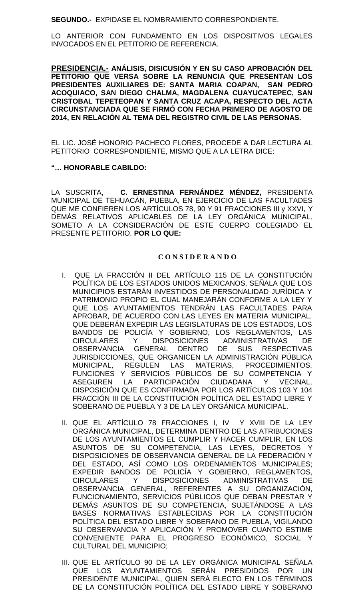**SEGUNDO.-** EXPIDASE EL NOMBRAMIENTO CORRESPONDIENTE.

LO ANTERIOR CON FUNDAMENTO EN LOS DISPOSITIVOS LEGALES INVOCADOS EN EL PETITORIO DE REFERENCIA.

**PRESIDENCIA.- ANÁLISIS, DISICUSIÓN Y EN SU CASO APROBACIÓN DEL PETITORIO QUE VERSA SOBRE LA RENUNCIA QUE PRESENTAN LOS PRESIDENTES AUXILIARES DE: SANTA MARIA COAPAN, SAN PEDRO ACOQUIACO, SAN DIEGO CHALMA, MAGDALENA CUAYUCATEPEC, SAN CRISTOBAL TEPETEOPAN Y SANTA CRUZ ACAPA, RESPECTO DEL ACTA CIRCUNSTANCIADA QUE SE FIRMÓ CON FECHA PRIMERO DE AGOSTO DE 2014, EN RELACIÓN AL TEMA DEL REGISTRO CIVIL DE LAS PERSONAS.**

EL LIC. JOSÉ HONORIO PACHECO FLORES, PROCEDE A DAR LECTURA AL PETITORIO CORRESPONDIENTE, MISMO QUE A LA LETRA DICE:

# **"… HONORABLE CABILDO:**

LA SUSCRITA, **C. ERNESTINA FERNÁNDEZ MÉNDEZ,** PRESIDENTA MUNICIPAL DE TEHUACÁN, PUEBLA, EN EJERCICIO DE LAS FACULTADES QUE ME CONFIEREN LOS ARTÍCULOS 78, 90 Y 91 FRACCIONES III y XXVI, Y DEMÁS RELATIVOS APLICABLES DE LA LEY ORGÁNICA MUNICIPAL, SOMETO A LA CONSIDERACIÓN DE ESTE CUERPO COLEGIADO EL PRESENTE PETITORIO, **POR LO QUE:**

## **C O N S I D E R A N D O**

- I. QUE LA FRACCIÓN II DEL ARTÍCULO 115 DE LA CONSTITUCIÓN POLÍTICA DE LOS ESTADOS UNIDOS MEXICANOS, SEÑALA QUE LOS MUNICIPIOS ESTARÁN INVESTIDOS DE PERSONALIDAD JURÍDICA Y PATRIMONIO PROPIO EL CUAL MANEJARÁN CONFORME A LA LEY Y QUE LOS AYUNTAMIENTOS TENDRÁN LAS FACULTADES PARA APROBAR, DE ACUERDO CON LAS LEYES EN MATERIA MUNICIPAL, QUE DEBERÁN EXPEDIR LAS LEGISLATURAS DE LOS ESTADOS, LOS BANDOS DE POLICÍA Y GOBIERNO, LOS REGLAMENTOS, LAS<br>CIRCULARES Y DISPOSICIONES ADMINISTRATIVAS DE DISPOSICIONES ADMINISTRATIVAS DE OBSERVANCIA GENERAL DENTRO DE SUS RESPECTIVAS JURISDICCIONES, QUE ORGANICEN LA ADMINISTRACIÓN PÚBLICA MUNICIPAL, REGULEN LAS MATERIAS, PROCEDIMIENTOS, FUNCIONES Y SERVICIOS PÚBLICOS DE SU COMPETENCIA Y ASEGUREN LA PARTICIPACIÓN CIUDADANA Y VECINAL, DISPOSICIÓN QUE ES CONFIRMADA POR LOS ARTÍCULOS 103 Y 104 FRACCIÓN III DE LA CONSTITUCIÓN POLÍTICA DEL ESTADO LIBRE Y SOBERANO DE PUEBLA Y 3 DE LA LEY ORGÁNICA MUNICIPAL.
- II. QUE EL ARTÍCULO 78 FRACCIONES I, IV Y XVIII DE LA LEY ORGÁNICA MUNICIPAL, DETERMINA DENTRO DE LAS ATRIBUCIONES DE LOS AYUNTAMIENTOS EL CUMPLIR Y HACER CUMPLIR, EN LOS ASUNTOS DE SU COMPETENCIA, LAS LEYES, DECRETOS Y DISPOSICIONES DE OBSERVANCIA GENERAL DE LA FEDERACIÓN Y DEL ESTADO, ASÍ COMO LOS ORDENAMIENTOS MUNICIPALES; EXPEDIR BANDOS DE POLICÍA Y GOBIERNO, REGLAMENTOS, CIRCULARES Y DISPOSICIONES ADMINISTRATIVAS DE OBSERVANCIA GENERAL, REFERENTES A SU ORGANIZACIÓN, FUNCIONAMIENTO, SERVICIOS PÚBLICOS QUE DEBAN PRESTAR Y DEMÁS ASUNTOS DE SU COMPETENCIA, SUJETÁNDOSE A LAS BASES NORMATIVAS ESTABLECIDAS POR LA CONSTITUCIÓN POLÍTICA DEL ESTADO LIBRE Y SOBERANO DE PUEBLA, VIGILANDO SU OBSERVANCIA Y APLICACIÓN Y PROMOVER CUANTO ESTIME CONVENIENTE PARA EL PROGRESO ECONÓMICO, SOCIAL Y CULTURAL DEL MUNICIPIO;
- III. QUE EL ARTÍCULO 90 DE LA LEY ORGÁNICA MUNICIPAL SEÑALA QUE LOS AYUNTAMIENTOS SERÁN PRESIDIDOS POR UN PRESIDENTE MUNICIPAL, QUIEN SERÁ ELECTO EN LOS TÉRMINOS DE LA CONSTITUCIÓN POLÍTICA DEL ESTADO LIBRE Y SOBERANO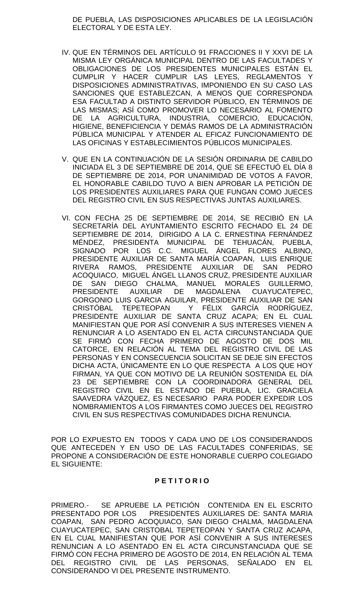DE PUEBLA, LAS DISPOSICIONES APLICABLES DE LA LEGISLACIÓN ELECTORAL Y DE ESTA LEY.

- IV. QUE EN TÉRMINOS DEL ARTÍCULO 91 FRACCIONES II Y XXVI DE LA MISMA LEY ORGÁNICA MUNICIPAL DENTRO DE LAS FACULTADES Y OBLIGACIONES DE LOS PRESIDENTES MUNICIPALES ESTÁN EL CUMPLIR Y HACER CUMPLIR LAS LEYES, REGLAMENTOS Y DISPOSICIONES ADMINISTRATIVAS, IMPONIENDO EN SU CASO LAS SANCIONES QUE ESTABLEZCAN, A MENOS QUE CORRESPONDA ESA FACULTAD A DISTINTO SERVIDOR PÚBLICO, EN TÉRMINOS DE LAS MISMAS; ASÍ COMO PROMOVER LO NECESARIO AL FOMENTO DE LA AGRICULTURA, INDUSTRIA, COMERCIO, EDUCACIÓN, HIGIENE, BENEFICIENCIA Y DEMÁS RAMOS DE LA ADMINISTRACIÓN PÚBLICA MUNICIPAL Y ATENDER AL EFICAZ FUNCIONAMIENTO DE LAS OFICINAS Y ESTABLECIMIENTOS PÚBLICOS MUNICIPALES.
- V. QUE EN LA CONTINUACIÓN DE LA SESIÓN ORDINARIA DE CABILDO INICIADA EL 3 DE SEPTIEMBRE DE 2014, QUE SE EFECTUÓ EL DÍA 8 DE SEPTIEMBRE DE 2014, POR UNANIMIDAD DE VOTOS A FAVOR, EL HONORABLE CABILDO TUVO A BIEN APROBAR LA PETICIÓN DE LOS PRESIDENTES AUXILIARES PARA QUE FUNGAN COMO JUECES DEL REGISTRO CIVIL EN SUS RESPECTIVAS JUNTAS AUXILIARES.
- VI. CON FECHA 25 DE SEPTIEMBRE DE 2014, SE RECIBIÓ EN LA SECRETARÍA DEL AYUNTAMIENTO ESCRITO FECHADO EL 24 DE SEPTIEMBRE DE 2014, DIRIGIDO A LA C. ERNESTINA FERNÁNDEZ MÉNDEZ, PRESIDENTA MUNICIPAL DE TEHUACÁN, PUEBLA, SIGNADO POR LOS C.C. MIGUEL ÁNGEL FLORES ALBINO, PRESIDENTE AUXILIAR DE SANTA MARÍA COAPAN, LUIS ENRIQUE RIVERA RAMOS, PRESIDENTE AUXILIAR DE SAN PEDRO ACOQUIACO, MIGUEL ÁNGEL LLANOS CRUZ, PRESIDENTE AUXILIAR DE SAN DIEGO CHALMA, MANUEL MORALES GUILLERMO, PRESIDENTE AUXILIAR DE MAGDALENA CUAYUCATEPEC, GORGONIO LUIS GARCIA AGUILAR, PRESIDENTE AUXILIAR DE SAN CRISTÓBAL TEPETEOPAN Y FÉLIX GARCÍA RODRÍGUEZ, PRESIDENTE AUXILIAR DE SANTA CRUZ ACAPA; EN EL CUAL MANIFIESTAN QUE POR ASÍ CONVENIR A SUS INTERESES VIENEN A RENUNCIAR A LO ASENTADO EN EL ACTA CIRCUNSTANCIADA QUE SE FIRMÓ CON FECHA PRIMERO DE AGOSTO DE DOS MIL CATORCE, EN RELACIÓN AL TEMA DEL REGISTRO CIVIL DE LAS PERSONAS Y EN CONSECUENCIA SOLICITAN SE DEJE SIN EFECTOS DICHA ACTA, ÚNICAMENTE EN LO QUE RESPECTA A LOS QUE HOY FIRMAN, YA QUE CON MOTIVO DE LA REUNIÓN SOSTENIDA EL DÍA 23 DE SEPTIEMBRE CON LA COORDINADORA GENERAL DEL REGISTRO CIVIL EN EL ESTADO DE PUEBLA, LIC. GRACIELA SAAVEDRA VÁZQUEZ, ES NECESARIO PARA PODER EXPEDIR LOS NOMBRAMIENTOS A LOS FIRMANTES COMO JUECES DEL REGISTRO CIVIL EN SUS RESPECTIVAS COMUNIDADES DICHA RENUNCIA.

POR LO EXPUESTO EN TODOS Y CADA UNO DE LOS CONSIDERANDOS QUE ANTECEDEN Y EN USO DE LAS FACULTADES CONFERIDAS, SE PROPONE A CONSIDERACIÓN DE ESTE HONORABLE CUERPO COLEGIADO EL SIGUIENTE:

## **P E T I T O R I O**

PRIMERO.- SE APRUEBE LA PETICIÓN CONTENIDA EN EL ESCRITO PRESENTADO POR LOS PRESIDENTES AUXILIARES DE: SANTA MARIA COAPAN, SAN PEDRO ACOQUIACO, SAN DIEGO CHALMA, MAGDALENA CUAYUCATEPEC, SAN CRISTOBAL TEPETEOPAN Y SANTA CRUZ ACAPA, EN EL CUAL MANIFIESTAN QUE POR ASÍ CONVENIR A SUS INTERESES RENUNCIAN A LO ASENTADO EN EL ACTA CIRCUNSTANCIADA QUE SE FIRMÓ CON FECHA PRIMERO DE AGOSTO DE 2014, EN RELACIÓN AL TEMA DEL REGISTRO CIVIL DE LAS PERSONAS, SEÑALADO EN EL CONSIDERANDO VI DEL PRESENTE INSTRUMENTO.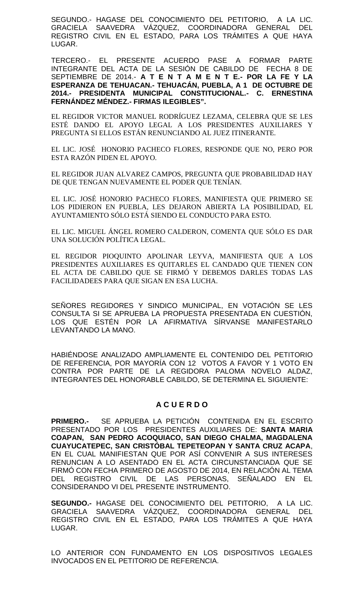SEGUNDO.- HAGASE DEL CONOCIMIENTO DEL PETITORIO, A LA LIC. GRACIELA SAAVEDRA VÁZQUEZ, COORDINADORA GENERAL DEL REGISTRO CIVIL EN EL ESTADO, PARA LOS TRÁMITES A QUE HAYA LUGAR.

TERCERO.- EL PRESENTE ACUERDO PASE A FORMAR PARTE INTEGRANTE DEL ACTA DE LA SESIÓN DE CABILDO DE FECHA 8 DE SEPTIEMBRE DE 2014.- **A T E N T A M E N T E.- POR LA FE Y LA ESPERANZA DE TEHUACAN.- TEHUACÁN, PUEBLA, A 1 DE OCTUBRE DE 2014.- PRESIDENTA MUNICIPAL CONSTITUCIONAL.- C. ERNESTINA FERNÁNDEZ MÉNDEZ.- FIRMAS ILEGIBLES".**

EL REGIDOR VICTOR MANUEL RODRÍGUEZ LEZAMA, CELEBRA QUE SE LES ESTÉ DANDO EL APOYO LEGAL A LOS PRESIDENTES AUXILIARES Y PREGUNTA SI ELLOS ESTÁN RENUNCIANDO AL JUEZ ITINERANTE.

EL LIC. JOSÉ HONORIO PACHECO FLORES, RESPONDE QUE NO, PERO POR ESTA RAZÓN PIDEN EL APOYO.

EL REGIDOR JUAN ALVAREZ CAMPOS, PREGUNTA QUE PROBABILIDAD HAY DE QUE TENGAN NUEVAMENTE EL PODER QUE TENÍAN.

EL LIC. JOSÉ HONORIO PACHECO FLORES, MANIFIESTA QUE PRIMERO SE LOS PIDIERON EN PUEBLA, LES DEJARON ABIERTA LA POSIBILIDAD, EL AYUNTAMIENTO SÓLO ESTÁ SIENDO EL CONDUCTO PARA ESTO.

EL LIC. MIGUEL ÁNGEL ROMERO CALDERON, COMENTA QUE SÓLO ES DAR UNA SOLUCIÓN POLÍTICA LEGAL.

EL REGIDOR PIOQUINTO APOLINAR LEYVA, MANIFIESTA QUE A LOS PRESIDENTES AUXILIARES ES QUITARLES EL CANDADO QUE TIENEN CON EL ACTA DE CABILDO QUE SE FIRMÓ Y DEBEMOS DARLES TODAS LAS FACILIDADEES PARA QUE SIGAN EN ESA LUCHA.

SEÑORES REGIDORES Y SINDICO MUNICIPAL, EN VOTACIÓN SE LES CONSULTA SI SE APRUEBA LA PROPUESTA PRESENTADA EN CUESTIÓN, LOS QUE ESTÉN POR LA AFIRMATIVA SÍRVANSE MANIFESTARLO LEVANTANDO LA MANO.

HABIÉNDOSE ANALIZADO AMPLIAMENTE EL CONTENIDO DEL PETITORIO DE REFERENCIA, POR MAYORÍA CON 12 VOTOS A FAVOR Y 1 VOTO EN CONTRA POR PARTE DE LA REGIDORA PALOMA NOVELO ALDAZ, INTEGRANTES DEL HONORABLE CABILDO, SE DETERMINA EL SIGUIENTE:

# **A C U E R D O**

**PRIMERO.-** SE APRUEBA LA PETICIÓN CONTENIDA EN EL ESCRITO PRESENTADO POR LOS PRESIDENTES AUXILIARES DE: **SANTA MARIA COAPAN, SAN PEDRO ACOQUIACO, SAN DIEGO CHALMA, MAGDALENA CUAYUCATEPEC, SAN CRISTÓBAL TEPETEOPAN Y SANTA CRUZ ACAPA**, EN EL CUAL MANIFIESTAN QUE POR ASÍ CONVENIR A SUS INTERESES RENUNCIAN A LO ASENTADO EN EL ACTA CIRCUNSTANCIADA QUE SE FIRMÓ CON FECHA PRIMERO DE AGOSTO DE 2014, EN RELACIÓN AL TEMA DEL REGISTRO CIVIL DE LAS PERSONAS, SEÑALADO EN EL CONSIDERANDO VI DEL PRESENTE INSTRUMENTO.

**SEGUNDO.-** HAGASE DEL CONOCIMIENTO DEL PETITORIO, A LA LIC. GRACIELA SAAVEDRA VÁZQUEZ, COORDINADORA GENERAL DEL REGISTRO CIVIL EN EL ESTADO, PARA LOS TRÁMITES A QUE HAYA LUGAR.

LO ANTERIOR CON FUNDAMENTO EN LOS DISPOSITIVOS LEGALES INVOCADOS EN EL PETITORIO DE REFERENCIA.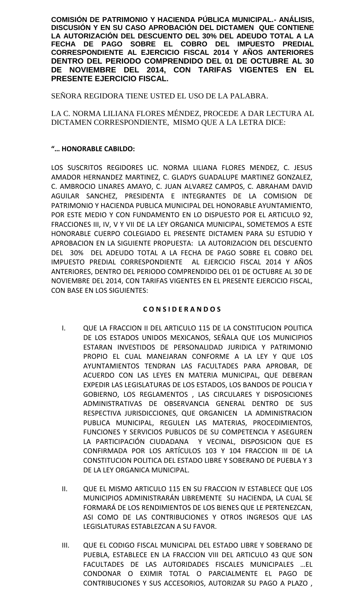**COMISIÓN DE PATRIMONIO Y HACIENDA PÚBLICA MUNICIPAL.- ANÁLISIS, DISCUSIÓN Y EN SU CASO APROBACIÓN DEL DICTAMEN QUE CONTIENE LA AUTORIZACIÓN DEL DESCUENTO DEL 30% DEL ADEUDO TOTAL A LA FECHA DE PAGO SOBRE EL COBRO DEL IMPUESTO PREDIAL CORRESPONDIENTE AL EJERCICIO FISCAL 2014 Y AÑOS ANTERIORES DENTRO DEL PERIODO COMPRENDIDO DEL 01 DE OCTUBRE AL 30 DE NOVIEMBRE DEL 2014, CON TARIFAS VIGENTES EN EL PRESENTE EJERCICIO FISCAL.**

SEÑORA REGIDORA TIENE USTED EL USO DE LA PALABRA.

LA C. NORMA LILIANA FLORES MÉNDEZ, PROCEDE A DAR LECTURA AL DICTAMEN CORRESPONDIENTE, MISMO QUE A LA LETRA DICE:

# **"… HONORABLE CABILDO:**

LOS SUSCRITOS REGIDORES LIC. NORMA LILIANA FLORES MENDEZ, C. JESUS AMADOR HERNANDEZ MARTINEZ, C. GLADYS GUADALUPE MARTINEZ GONZALEZ, C. AMBROCIO LINARES AMAYO, C. JUAN ALVAREZ CAMPOS, C. ABRAHAM DAVID AGUILAR SANCHEZ, PRESIDENTA E INTEGRANTES DE LA COMISION DE PATRIMONIO Y HACIENDA PUBLICA MUNICIPAL DEL HONORABLE AYUNTAMIENTO, POR ESTE MEDIO Y CON FUNDAMENTO EN LO DISPUESTO POR EL ARTICULO 92, FRACCIONES III, IV, V Y VII DE LA LEY ORGANICA MUNICIPAL, SOMETEMOS A ESTE HONORABLE CUERPO COLEGIADO EL PRESENTE DICTAMEN PARA SU ESTUDIO Y APROBACION EN LA SIGUIENTE PROPUESTA: LA AUTORIZACION DEL DESCUENTO DEL 30% DEL ADEUDO TOTAL A LA FECHA DE PAGO SOBRE EL COBRO DEL IMPUESTO PREDIAL CORRESPONDIENTE AL EJERCICIO FISCAL 2014 Y AÑOS ANTERIORES, DENTRO DEL PERIODO COMPRENDIDO DEL 01 DE OCTUBRE AL 30 DE NOVIEMBRE DEL 2014, CON TARIFAS VIGENTES EN EL PRESENTE EJERCICIO FISCAL, CON BASE EN LOS SIGUIENTES:

# **C O N S I D E R A N D O S**

- I. QUE LA FRACCION II DEL ARTICULO 115 DE LA CONSTITUCION POLITICA DE LOS ESTADOS UNIDOS MEXICANOS, SEÑALA QUE LOS MUNICIPIOS ESTARAN INVESTIDOS DE PERSONALIDAD JURIDICA Y PATRIMONIO PROPIO EL CUAL MANEJARAN CONFORME A LA LEY Y QUE LOS AYUNTAMIENTOS TENDRAN LAS FACULTADES PARA APROBAR, DE ACUERDO CON LAS LEYES EN MATERIA MUNICIPAL, QUE DEBERAN EXPEDIR LAS LEGISLATURAS DE LOS ESTADOS, LOS BANDOS DE POLICIA Y GOBIERNO, LOS REGLAMENTOS , LAS CIRCULARES Y DISPOSICIONES ADMINISTRATIVAS DE OBSERVANCIA GENERAL DENTRO DE SUS RESPECTIVA JURISDICCIONES, QUE ORGANICEN LA ADMINISTRACION PUBLICA MUNICIPAL, REGULEN LAS MATERIAS, PROCEDIMIENTOS, FUNCIONES Y SERVICIOS PUBLICOS DE SU COMPETENCIA Y ASEGUREN LA PARTICIPACIÓN CIUDADANA Y VECINAL, DISPOSICION QUE ES CONFIRMADA POR LOS ARTÍCULOS 103 Y 104 FRACCION III DE LA CONSTITUCION POLITICA DEL ESTADO LIBRE Y SOBERANO DE PUEBLA Y 3 DE LA LEY ORGANICA MUNICIPAL.
- II. QUE EL MISMO ARTICULO 115 EN SU FRACCION IV ESTABLECE QUE LOS MUNICIPIOS ADMINISTRARÁN LIBREMENTE SU HACIENDA, LA CUAL SE FORMARÁ DE LOS RENDIMIENTOS DE LOS BIENES QUE LE PERTENEZCAN, ASI COMO DE LAS CONTRIBUCIONES Y OTROS INGRESOS QUE LAS LEGISLATURAS ESTABLEZCAN A SU FAVOR.
- III. QUE EL CODIGO FISCAL MUNICIPAL DEL ESTADO LIBRE Y SOBERANO DE PUEBLA, ESTABLECE EN LA FRACCION VIII DEL ARTICULO 43 QUE SON FACULTADES DE LAS AUTORIDADES FISCALES MUNICIPALES …EL CONDONAR O EXIMIR TOTAL O PARCIALMENTE EL PAGO DE CONTRIBUCIONES Y SUS ACCESORIOS, AUTORIZAR SU PAGO A PLAZO ,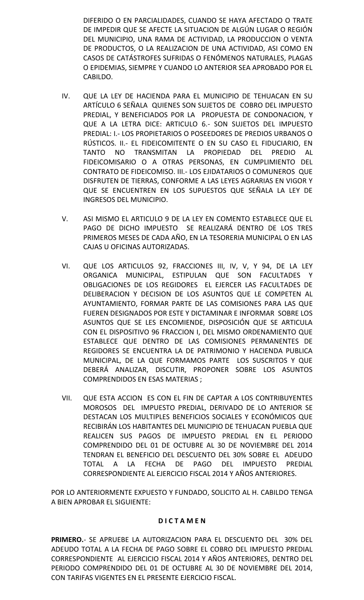DIFERIDO O EN PARCIALIDADES, CUANDO SE HAYA AFECTADO O TRATE DE IMPEDIR QUE SE AFECTE LA SITUACION DE ALGÚN LUGAR O REGIÓN DEL MUNICIPIO, UNA RAMA DE ACTIVIDAD, LA PRODUCCION O VENTA DE PRODUCTOS, O LA REALIZACION DE UNA ACTIVIDAD, ASI COMO EN CASOS DE CATÁSTROFES SUFRIDAS O FENÓMENOS NATURALES, PLAGAS O EPIDEMIAS, SIEMPRE Y CUANDO LO ANTERIOR SEA APROBADO POR EL CABILDO.

- IV. QUE LA LEY DE HACIENDA PARA EL MUNICIPIO DE TEHUACAN EN SU ARTÍCULO 6 SEÑALA QUIENES SON SUJETOS DE COBRO DEL IMPUESTO PREDIAL, Y BENEFICIADOS POR LA PROPUESTA DE CONDONACION, Y QUE A LA LETRA DICE: ARTICULO 6.- SON SUJETOS DEL IMPUESTO PREDIAL: I.- LOS PROPIETARIOS O POSEEDORES DE PREDIOS URBANOS O RÚSTICOS. II.- EL FIDEICOMITENTE O EN SU CASO EL FIDUCIARIO, EN TANTO NO TRANSMITAN LA PROPIEDAD DEL PREDIO AL FIDEICOMISARIO O A OTRAS PERSONAS, EN CUMPLIMIENTO DEL CONTRATO DE FIDEICOMISO. III.- LOS EJIDATARIOS O COMUNEROS QUE DISFRUTEN DE TIERRAS, CONFORME A LAS LEYES AGRARIAS EN VIGOR Y QUE SE ENCUENTREN EN LOS SUPUESTOS QUE SEÑALA LA LEY DE INGRESOS DEL MUNICIPIO.
- V. ASI MISMO EL ARTICULO 9 DE LA LEY EN COMENTO ESTABLECE QUE EL PAGO DE DICHO IMPUESTO SE REALIZARÁ DENTRO DE LOS TRES PRIMEROS MESES DE CADA AÑO, EN LA TESORERIA MUNICIPAL O EN LAS CAJAS U OFICINAS AUTORIZADAS.
- VI. QUE LOS ARTICULOS 92, FRACCIONES III, IV, V, Y 94, DE LA LEY ORGANICA MUNICIPAL, ESTIPULAN QUE SON FACULTADES Y OBLIGACIONES DE LOS REGIDORES EL EJERCER LAS FACULTADES DE DELIBERACION Y DECISION DE LOS ASUNTOS QUE LE COMPETEN AL AYUNTAMIENTO, FORMAR PARTE DE LAS COMISIONES PARA LAS QUE FUEREN DESIGNADOS POR ESTE Y DICTAMINAR E INFORMAR SOBRE LOS ASUNTOS QUE SE LES ENCOMIENDE, DISPOSICIÓN QUE SE ARTICULA CON EL DISPOSITIVO 96 FRACCION I, DEL MISMO ORDENAMIENTO QUE ESTABLECE QUE DENTRO DE LAS COMISIONES PERMANENTES DE REGIDORES SE ENCUENTRA LA DE PATRIMONIO Y HACIENDA PUBLICA MUNICIPAL, DE LA QUE FORMAMOS PARTE LOS SUSCRITOS Y QUE DEBERÁ ANALIZAR, DISCUTIR, PROPONER SOBRE LOS ASUNTOS COMPRENDIDOS EN ESAS MATERIAS ;
- VII. QUE ESTA ACCION ES CON EL FIN DE CAPTAR A LOS CONTRIBUYENTES MOROSOS DEL IMPUESTO PREDIAL, DERIVADO DE LO ANTERIOR SE DESTACAN LOS MULTIPLES BENEFICIOS SOCIALES Y ECONÓMICOS QUE RECIBIRÁN LOS HABITANTES DEL MUNICIPIO DE TEHUACAN PUEBLA QUE REALICEN SUS PAGOS DE IMPUESTO PREDIAL EN EL PERIODO COMPRENDIDO DEL 01 DE OCTUBRE AL 30 DE NOVIEMBRE DEL 2014 TENDRAN EL BENEFICIO DEL DESCUENTO DEL 30% SOBRE EL ADEUDO TOTAL A LA FECHA DE PAGO DEL IMPUESTO PREDIAL CORRESPONDIENTE AL EJERCICIO FISCAL 2014 Y AÑOS ANTERIORES.

POR LO ANTERIORMENTE EXPUESTO Y FUNDADO, SOLICITO AL H. CABILDO TENGA A BIEN APROBAR EL SIGUIENTE:

# **D I C T A M E N**

**PRIMERO.**- SE APRUEBE LA AUTORIZACION PARA EL DESCUENTO DEL 30% DEL ADEUDO TOTAL A LA FECHA DE PAGO SOBRE EL COBRO DEL IMPUESTO PREDIAL CORRESPONDIENTE AL EJERCICIO FISCAL 2014 Y AÑOS ANTERIORES, DENTRO DEL PERIODO COMPRENDIDO DEL 01 DE OCTUBRE AL 30 DE NOVIEMBRE DEL 2014, CON TARIFAS VIGENTES EN EL PRESENTE EJERCICIO FISCAL.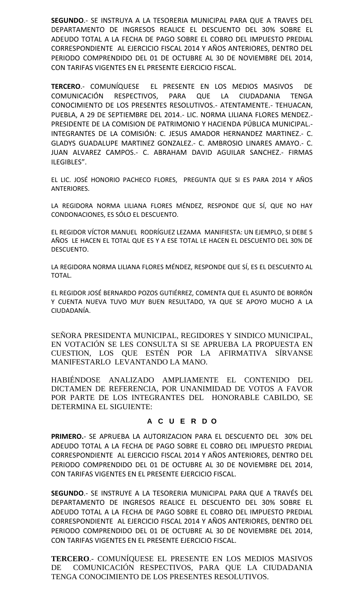**SEGUNDO**.- SE INSTRUYA A LA TESORERIA MUNICIPAL PARA QUE A TRAVES DEL DEPARTAMENTO DE INGRESOS REALICE EL DESCUENTO DEL 30% SOBRE EL ADEUDO TOTAL A LA FECHA DE PAGO SOBRE EL COBRO DEL IMPUESTO PREDIAL CORRESPONDIENTE AL EJERCICIO FISCAL 2014 Y AÑOS ANTERIORES, DENTRO DEL PERIODO COMPRENDIDO DEL 01 DE OCTUBRE AL 30 DE NOVIEMBRE DEL 2014, CON TARIFAS VIGENTES EN EL PRESENTE EJERCICIO FISCAL.

**TERCERO**.- COMUNÍQUESE EL PRESENTE EN LOS MEDIOS MASIVOS DE COMUNICACIÓN RESPECTIVOS, PARA QUE LA CIUDADANIA TENGA CONOCIMIENTO DE LOS PRESENTES RESOLUTIVOS.- ATENTAMENTE.- TEHUACAN, PUEBLA, A 29 DE SEPTIEMBRE DEL 2014.- LIC. NORMA LILIANA FLORES MENDEZ.- PRESIDENTE DE LA COMISION DE PATRIMONIO Y HACIENDA PÚBLICA MUNICIPAL.- INTEGRANTES DE LA COMISIÓN: C. JESUS AMADOR HERNANDEZ MARTINEZ.- C. GLADYS GUADALUPE MARTINEZ GONZALEZ.- C. AMBROSIO LINARES AMAYO.- C. JUAN ALVAREZ CAMPOS.- C. ABRAHAM DAVID AGUILAR SANCHEZ.- FIRMAS ILEGIBLES".

EL LIC. JOSÉ HONORIO PACHECO FLORES, PREGUNTA QUE SI ES PARA 2014 Y AÑOS ANTERIORES.

LA REGIDORA NORMA LILIANA FLORES MÉNDEZ, RESPONDE QUE SÍ, QUE NO HAY CONDONACIONES, ES SÓLO EL DESCUENTO.

EL REGIDOR VÍCTOR MANUEL RODRÍGUEZ LEZAMA MANIFIESTA: UN EJEMPLO, SI DEBE 5 AÑOS LE HACEN EL TOTAL QUE ES Y A ESE TOTAL LE HACEN EL DESCUENTO DEL 30% DE DESCUENTO.

LA REGIDORA NORMA LILIANA FLORES MÉNDEZ, RESPONDE QUE SÍ, ES EL DESCUENTO AL TOTAL.

EL REGIDOR JOSÉ BERNARDO POZOS GUTIÉRREZ, COMENTA QUE EL ASUNTO DE BORRÓN Y CUENTA NUEVA TUVO MUY BUEN RESULTADO, YA QUE SE APOYO MUCHO A LA CIUDADANÍA.

SEÑORA PRESIDENTA MUNICIPAL, REGIDORES Y SINDICO MUNICIPAL, EN VOTACIÓN SE LES CONSULTA SI SE APRUEBA LA PROPUESTA EN CUESTION, LOS QUE ESTÉN POR LA AFIRMATIVA SÍRVANSE MANIFESTARLO LEVANTANDO LA MANO.

HABIÉNDOSE ANALIZADO AMPLIAMENTE EL CONTENIDO DEL DICTAMEN DE REFERENCIA, POR UNANIMIDAD DE VOTOS A FAVOR POR PARTE DE LOS INTEGRANTES DEL HONORABLE CABILDO, SE DETERMINA EL SIGUIENTE:

# **A C U E R D O**

**PRIMERO.**- SE APRUEBA LA AUTORIZACION PARA EL DESCUENTO DEL 30% DEL ADEUDO TOTAL A LA FECHA DE PAGO SOBRE EL COBRO DEL IMPUESTO PREDIAL CORRESPONDIENTE AL EJERCICIO FISCAL 2014 Y AÑOS ANTERIORES, DENTRO DEL PERIODO COMPRENDIDO DEL 01 DE OCTUBRE AL 30 DE NOVIEMBRE DEL 2014, CON TARIFAS VIGENTES EN EL PRESENTE EJERCICIO FISCAL.

**SEGUNDO**.- SE INSTRUYE A LA TESORERIA MUNICIPAL PARA QUE A TRAVÉS DEL DEPARTAMENTO DE INGRESOS REALICE EL DESCUENTO DEL 30% SOBRE EL ADEUDO TOTAL A LA FECHA DE PAGO SOBRE EL COBRO DEL IMPUESTO PREDIAL CORRESPONDIENTE AL EJERCICIO FISCAL 2014 Y AÑOS ANTERIORES, DENTRO DEL PERIODO COMPRENDIDO DEL 01 DE OCTUBRE AL 30 DE NOVIEMBRE DEL 2014, CON TARIFAS VIGENTES EN EL PRESENTE EJERCICIO FISCAL.

**TERCERO**.- COMUNÍQUESE EL PRESENTE EN LOS MEDIOS MASIVOS DE COMUNICACIÓN RESPECTIVOS, PARA QUE LA CIUDADANIA TENGA CONOCIMIENTO DE LOS PRESENTES RESOLUTIVOS.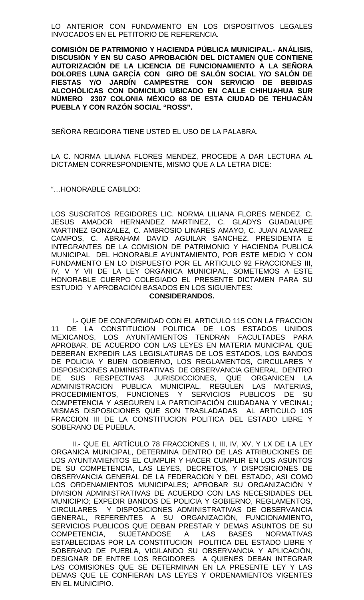LO ANTERIOR CON FUNDAMENTO EN LOS DISPOSITIVOS LEGALES INVOCADOS EN EL PETITORIO DE REFERENCIA.

**COMISIÓN DE PATRIMONIO Y HACIENDA PÚBLICA MUNICIPAL.- ANÁLISIS, DISCUSIÓN Y EN SU CASO APROBACIÓN DEL DICTAMEN QUE CONTIENE AUTORIZACIÓN DE LA LICENCIA DE FUNCIONAMIENTO A LA SEÑORA DOLORES LUNA GARCÍA CON GIRO DE SALÓN SOCIAL Y/O SALÓN DE FIESTAS Y/O JARDÍN CAMPESTRE CON SERVICIO DE BEBIDAS ALCOHÓLICAS CON DOMICILIO UBICADO EN CALLE CHIHUAHUA SUR NÚMERO 2307 COLONIA MÉXICO 68 DE ESTA CIUDAD DE TEHUACÁN PUEBLA Y CON RAZÓN SOCIAL "ROSS".**

SEÑORA REGIDORA TIENE USTED EL USO DE LA PALABRA.

LA C. NORMA LILIANA FLORES MENDEZ, PROCEDE A DAR LECTURA AL DICTAMEN CORRESPONDIENTE, MISMO QUE A LA LETRA DICE:

"…HONORABLE CABILDO:

LOS SUSCRITOS REGIDORES LIC. NORMA LILIANA FLORES MENDEZ, C. JESUS AMADOR HERNANDEZ MARTINEZ, C. GLADYS GUADALUPE MARTINEZ GONZALEZ, C. AMBROSIO LINARES AMAYO, C. JUAN ALVAREZ CAMPOS, C. ABRAHAM DAVID AGUILAR SANCHEZ, PRESIDENTA E INTEGRANTES DE LA COMISION DE PATRIMONIO Y HACIENDA PUBLICA MUNICIPAL DEL HONORABLE AYUNTAMIENTO, POR ESTE MEDIO Y CON FUNDAMENTO EN LO DISPUESTO POR EL ARTICULO 92 FRACCIONES III, IV, V Y VII DE LA LEY ORGÁNICA MUNICIPAL, SOMETEMOS A ESTE HONORABLE CUERPO COLEGIADO EL PRESENTE DICTAMEN PARA SU ESTUDIO Y APROBACIÓN BASADOS EN LOS SIGUIENTES:

### **CONSIDERANDOS.**

I.- QUE DE CONFORMIDAD CON EL ARTICULO 115 CON LA FRACCION 11 DE LA CONSTITUCION POLITICA DE LOS ESTADOS UNIDOS MEXICANOS, LOS AYUNTAMIENTOS TENDRAN FACULTADES PARA APROBAR, DE ACUERDO CON LAS LEYES EN MATERIA MUNICIPAL QUE DEBERAN EXPEDIR LAS LEGISLATURAS DE LOS ESTADOS, LOS BANDOS DE POLICIA Y BUEN GOBIERNO, LOS REGLAMENTOS, CIRCULARES Y DISPOSICIONES ADMINISTRATIVAS DE OBSERVANCIA GENERAL DENTRO DE SUS RESPECTIVAS JURISDICCIONES, QUE ORGANICEN LA ADMINISTRACION PUBLICA MUNICIPAL, REGULEN LAS MATERIAS, PROCEDIMIENTOS, FUNCIONES Y SERVICIOS PUBLICOS DE SU COMPETENCIA Y ASEGUREN LA PARTICIPACIÓN CIUDADANA Y VECINAL; MISMAS DISPOSICIONES QUE SON TRASLADADAS AL ARTICULO 105 FRACCION III DE LA CONSTITUCION POLITICA DEL ESTADO LIBRE Y SOBERANO DE PUEBLA.

II.- QUE EL ARTÍCULO 78 FRACCIONES I, III, IV, XV, Y LX DE LA LEY ORGANICA MUNICIPAL, DETERMINA DENTRO DE LAS ATRIBUCIONES DE LOS AYUNTAMIENTOS EL CUMPLIR Y HACER CUMPLIR EN LOS ASUNTOS DE SU COMPETENCIA, LAS LEYES, DECRETOS, Y DISPOSICIONES DE OBSERVANCIA GENERAL DE LA FEDERACION Y DEL ESTADO, ASI COMO LOS ORDENAMIENTOS MUNICIPALES; APROBAR SU ORGANIZACIÓN Y DIVISION ADMINISTRATIVAS DE ACUERDO CON LAS NECESIDADES DEL MUNICIPIO; EXPEDIR BANDOS DE POLICIA Y GOBIERNO, REGLAMENTOS, CIRCULARES Y DISPOSICIONES ADMINISTRATIVAS DE OBSERVANCIA GENERAL, REFERENTES A SU ORGANIZACIÓN, FUNCIONAMIENTO, SERVICIOS PUBLICOS QUE DEBAN PRESTAR Y DEMAS ASUNTOS DE SU COMPETENCIA, SUJETANDOSE A LAS BASES NORMATIVAS ESTABLECIDAS POR LA CONSTITUCION POLITICA DEL ESTADO LIBRE Y SOBERANO DE PUEBLA, VIGILANDO SU OBSERVANCIA Y APLICACIÓN, DESIGNAR DE ENTRE LOS REGIDORES A QUIENES DEBAN INTEGRAR LAS COMISIONES QUE SE DETERMINAN EN LA PRESENTE LEY Y LAS DEMAS QUE LE CONFIERAN LAS LEYES Y ORDENAMIENTOS VIGENTES EN EL MUNICIPIO.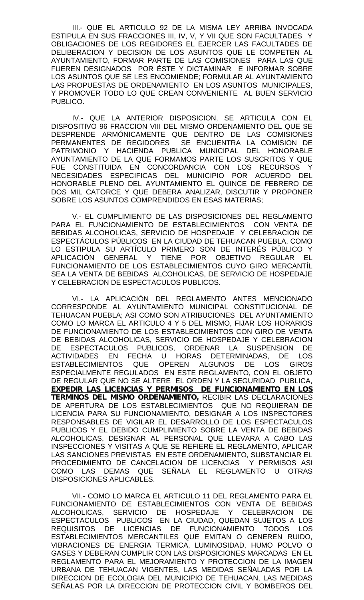III.- QUE EL ARTICULO 92 DE LA MISMA LEY ARRIBA INVOCADA ESTIPULA EN SUS FRACCIONES III, IV, V, Y VII QUE SON FACULTADES Y OBLIGACIONES DE LOS REGIDORES EL EJERCER LAS FACULTADES DE DELIBERACION Y DECISION DE LOS ASUNTOS QUE LE COMPETEN AL AYUNTAMIENTO, FORMAR PARTE DE LAS COMISIONES PARA LAS QUE FUEREN DESIGNADOS POR ÉSTE Y DICTAMINAR E INFORMAR SOBRE LOS ASUNTOS QUE SE LES ENCOMIENDE; FORMULAR AL AYUNTAMIENTO LAS PROPUESTAS DE ORDENAMIENTO EN LOS ASUNTOS MUNICIPALES, Y PROMOVER TODO LO QUE CREAN CONVENIENTE AL BUEN SERVICIO PUBLICO.

IV.- QUE LA ANTERIOR DISPOSICION, SE ARTICULA CON EL DISPOSITIVO 96 FRACCION VIII DEL MISMO ORDENAMIENTO DEL QUE SE DESPRENDE ARMÓNICAMENTE QUE DENTRO DE LAS COMISIONES PERMANENTES DE REGIDORES SE ENCUENTRA LA COMISION DE PATRIMONIO Y HACIENDA PUBLICA MUNICIPAL DEL HONORABLE AYUNTAMIENTO DE LA QUE FORMAMOS PARTE LOS SUSCRITOS Y QUE FUE CONSTITUIDA EN CONCORDANCIA CON LOS RECURSOS Y NECESIDADES ESPECIFICAS DEL MUNICIPIO POR ACUERDO DEL HONORABLE PLENO DEL AYUNTAMIENTO EL QUINCE DE FEBRERO DE DOS MIL CATORCE Y QUE DEBERA ANALIZAR, DISCUTIR Y PROPONER SOBRE LOS ASUNTOS COMPRENDIDOS EN ESAS MATERIAS;

V.- EL CUMPLIMIENTO DE LAS DISPOSICIONES DEL REGLAMENTO PARA EL FUNCIONAMIENTO DE ESTABLECIMIENTOS CON VENTA DE BEBIDAS ALCOHOLICAS, SERVICIO DE HOSPEDAJE Y CELEBRACION DE ESPECTÁCULOS PÚBLICOS EN LA CIUDAD DE TEHUACAN PUEBLA, COMO LO ESTIPULA SU ARTÍCULO PRIMERO SON DE INTERÉS PÚBLICO Y APLICACIÓN GENERAL Y TIENE POR OBJETIVO REGULAR EL FUNCIONAMIENTO DE LOS ESTABLECIMIENTOS CUYO GIRO MERCANTÍL SEA LA VENTA DE BEBIDAS ALCOHOLICAS, DE SERVICIO DE HOSPEDAJE Y CELEBRACION DE ESPECTACULOS PUBLICOS.

VI.- LA APLICACIÓN DEL REGLAMENTO ANTES MENCIONADO CORRESPONDE AL AYUNTAMIENTO MUNICIPAL CONSTITUCIONAL DE TEHUACAN PUEBLA; ASI COMO SON ATRIBUCIONES DEL AYUNTAMIENTO COMO LO MARCA EL ARTICULO 4 Y 5 DEL MISMO, FIJAR LOS HORARIOS DE FUNCIONAMIENTO DE LOS ESTABLECIMIENTOS CON GIRO DE VENTA DE BEBIDAS ALCOHOLICAS, SERVICIO DE HOSPEDAJE Y CELEBRACION DE ESPECTACULOS PUBLICOS, ORDENAR LA SUSPENSION DE ACTIVIDADES EN FECHA U HORAS DETERMINADAS, DE LOS ESTABLECIMIENTOS QUE OPEREN ALGUNOS DE LOS GIROS ESPECIALMENTE REGULADOS EN ESTE REGLAMENTO, CON EL OBJETO DE REGULAR QUE NO SE ALTERE EL ORDEN Y LA SEGURIDAD PUBLICA, *EXPEDIR LAS LICENCIAS Y PERMISOS DE FUNCIONAMIENTO EN LOS TERMINOS DEL MISMO ORDENAMIENTO,* RECIBIR LAS DECLARACIONES DE APERTURA DE LOS ESTABLECIMIENTOS QUE NO REQUIERAN DE LICENCIA PARA SU FUNCIONAMIENTO, DESIGNAR A LOS INSPECTORES RESPONSABLES DE VIGILAR EL DESARROLLO DE LOS ESPECTACULOS PUBLICOS Y EL DEBIDO CUMPLIMIENTO SOBRE LA VENTA DE BEBIDAS ALCOHOLICAS, DESIGNAR AL PERSONAL QUE LLEVARA A CABO LAS INSPECCIONES Y VISITAS A QUE SE REFIERE EL REGLAMENTO, APLICAR LAS SANCIONES PREVISTAS EN ESTE ORDENAMIENTO, SUBSTANCIAR EL PROCEDIMIENTO DE CANCELACION DE LICENCIAS Y PERMISOS ASI COMO LAS DEMAS QUE SEÑALA EL REGLAMENTO U OTRAS DISPOSICIONES APLICABLES.

VII.- COMO LO MARCA EL ARTICULO 11 DEL REGLAMENTO PARA EL FUNCIONAMIENTO DE ESTABLECIMIENTOS CON VENTA DE BEBIDAS<br>ALCOHOLICAS, SERVICIO DE HOSPEDAJE Y CELEBRACION DE ALCOHOLICAS, SERVICIO DE HOSPEDAJE Y CELEBRACION DE ESPECTACULOS PUBLICOS EN LA CIUDAD, QUEDAN SUJETOS A LOS REQUISITOS DE LICENCIAS DE FUNCIONAMIENTO TODOS LOS ESTABLECIMIENTOS MERCANTILES QUE EMITAN O GENEREN RUIDO, VIBRACIONES DE ENERGIA TERMICA, LUMINOSIDAD, HUMO POLVO O GASES Y DEBERAN CUMPLIR CON LAS DISPOSICIONES MARCADAS EN EL REGLAMENTO PARA EL MEJORAMIENTO Y PROTECCION DE LA IMAGEN URBANA DE TEHUACAN VIGENTES, LAS MEDIDAS SENALADAS POR LA DIRECCION DE ECOLOGIA DEL MUNICIPIO DE TEHUACAN, LAS MEDIDAS SEÑALAS POR LA DIRECCION DE PROTECCION CIVIL Y BOMBEROS DEL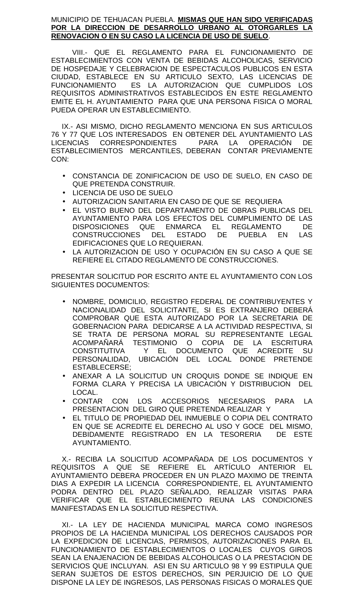## MUNICIPIO DE TEHUACAN PUEBLA. **MISMAS QUE HAN SIDO VERIFICADAS POR LA DIRECCION DE DESARROLLO URBANO AL OTORGARLES LA RENOVACION O EN SU CASO LA LICENCIA DE USO DE SUELO**.

VIII.- QUE EL REGLAMENTO PARA EL FUNCIONAMIENTO DE ESTABLECIMIENTOS CON VENTA DE BEBIDAS ALCOHOLICAS, SERVICIO DE HOSPEDAJE Y CELEBRACION DE ESPECTACULOS PUBLICOS EN ESTA CIUDAD, ESTABLECE EN SU ARTICULO SEXTO, LAS LICENCIAS DE FUNCIONAMIENTO ES LA AUTORIZACION QUE CUMPLIDOS LOS REQUISITOS ADMINISTRATIVOS ESTABLECIDOS EN ESTE REGLAMENTO EMITE EL H. AYUNTAMIENTO PARA QUE UNA PERSONA FISICA O MORAL PUEDA OPERAR UN ESTABLECIMIENTO.

IX.- ASI MISMO, DICHO REGLAMENTO MENCIONA EN SUS ARTICULOS 76 Y 77 QUE LOS INTERESADOS EN OBTENER DEL AYUNTAMIENTO LAS LICENCIAS CORRESPONDIENTES PARA LA OPERACIÓN DE ESTABLECIMIENTOS MERCANTILES, DEBERAN CONTAR PREVIAMENTE CON:

- CONSTANCIA DE ZONIFICACION DE USO DE SUELO, EN CASO DE QUE PRETENDA CONSTRUIR.
- LICENCIA DE USO DE SUELO
- AUTORIZACION SANITARIA EN CASO DE QUE SE REQUIERA
- EL VISTO BUENO DEL DEPARTAMENTO DE OBRAS PUBLICAS DEL AYUNTAMIENTO PARA LOS EFECTOS DEL CUMPLIMIENTO DE LAS DISPOSICIONES QUE ENMARCA EL REGLAMENTO DE<br>CONSTRUCCIONES DEL ESTADO DE PUEBLA EN LAS CONSTRUCCIONES DEL ESTADO DE PUEBLA EN LAS EDIFICACIONES QUE LO REQUIERAN.
- LA AUTORIZACION DE USO Y OCUPACIÓN EN SU CASO A QUE SE REFIERE EL CITADO REGLAMENTO DE CONSTRUCCIONES.

PRESENTAR SOLICITUD POR ESCRITO ANTE EL AYUNTAMIENTO CON LOS SIGUIENTES DOCUMENTOS:

- NOMBRE, DOMICILIO, REGISTRO FEDERAL DE CONTRIBUYENTES Y NACIONALIDAD DEL SOLICITANTE, SI ES EXTRANJERO DEBERÁ COMPROBAR QUE ESTA AUTORIZADO POR LA SECRETARIA DE GOBERNACION PARA DEDICARSE A LA ACTIVIDAD RESPECTIVA, SI SE TRATA DE PERSONA MORAL SU REPRESENTANTE LEGAL ACOMPAÑARÁ TESTIMONIO O COPIA DE LA ESCRITURA CONSTITUTIVA Y EL DOCUMENTO QUE ACREDITE SU PERSONALIDAD, UBICACIÓN DEL LOCAL DONDE PRETENDE ESTABLECERSE;
- ANEXAR A LA SOLICITUD UN CROQUIS DONDE SE INDIQUE EN FORMA CLARA Y PRECISA LA UBICACIÓN Y DISTRIBUCION DEL LOCAL.
- CONTAR CON LOS ACCESORIOS NECESARIOS PARA LA PRESENTACION DEL GIRO QUE PRETENDA REALIZAR Y
- EL TITULO DE PROPIEDAD DEL INMUEBLE O COPIA DEL CONTRATO EN QUE SE ACREDITE EL DERECHO AL USO Y GOCE DEL MISMO, DEBIDAMENTE REGISTRADO EN LA TESORERIA DE ESTE AYUNTAMIENTO.

X.- RECIBA LA SOLICITUD ACOMPAÑADA DE LOS DOCUMENTOS Y REQUISITOS A QUE SE REFIERE EL ARTÍCULO ANTERIOR EL AYUNTAMIENTO DEBERA PROCEDER EN UN PLAZO MAXIMO DE TREINTA DIAS A EXPEDIR LA LICENCIA CORRESPONDIENTE, EL AYUNTAMIENTO PODRA DENTRO DEL PLAZO SEÑALADO, REALIZAR VISITAS PARA VERIFICAR QUE EL ESTABLECIMIENTO REUNA LAS CONDICIONES MANIFESTADAS EN LA SOLICITUD RESPECTIVA.

XI.- LA LEY DE HACIENDA MUNICIPAL MARCA COMO INGRESOS PROPIOS DE LA HACIENDA MUNICIPAL LOS DERECHOS CAUSADOS POR LA EXPEDICION DE LICENCIAS, PERMISOS, AUTORIZACIONES PARA EL FUNCIONAMIENTO DE ESTABLECIMIENTOS O LOCALES CUYOS GIROS SEAN LA ENAJENACION DE BEBIDAS ALCOHOLICAS O LA PRESTACION DE SERVICIOS QUE INCLUYAN. ASI EN SU ARTICULO 98 Y 99 ESTIPULA QUE SERAN SUJETOS DE ESTOS DERECHOS, SIN PERJUICIO DE LO QUE DISPONE LA LEY DE INGRESOS, LAS PERSONAS FISICAS O MORALES QUE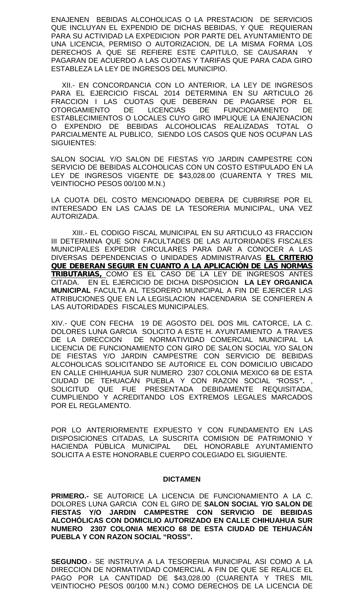ENAJENEN BEBIDAS ALCOHOLICAS O LA PRESTACION DE SERVICIOS QUE INCLUYAN EL EXPENDIO DE DICHAS BEBIDAS, Y QUE REQUIERAN PARA SU ACTIVIDAD LA EXPEDICION POR PARTE DEL AYUNTAMIENTO DE UNA LICENCIA, PERMISO O AUTORIZACION, DE LA MISMA FORMA LOS DERECHOS A QUE SE REFIERE ESTE CAPITULO, SE CAUSARAN Y PAGARAN DE ACUERDO A LAS CUOTAS Y TARIFAS QUE PARA CADA GIRO ESTABLEZA LA LEY DE INGRESOS DEL MUNICIPIO.

XII.- EN CONCORDANCIA CON LO ANTERIOR, LA LEY DE INGRESOS PARA EL EJERCICIO FISCAL 2014 DETERMINA EN SU ARTICULO 26 FRACCION I LAS CUOTAS QUE DEBERAN DE PAGARSE POR EL OTORGAMIENTO DE LICENCIAS DE FUNCIONAMIENTO DE ESTABLECIMIENTOS O LOCALES CUYO GIRO IMPLIQUE LA ENAJENACION O EXPENDIO DE BEBIDAS ALCOHOLICAS REALIZADAS TOTAL O PARCIALMENTE AL PUBLICO, SIENDO LOS CASOS QUE NOS OCUPAN LAS SIGUIENTES:

SALON SOCIAL Y/O SALON DE FIESTAS Y/O JARDIN CAMPESTRE CON SERVICIO DE BEBIDAS ALCOHOLICAS CON UN COSTO ESTIPULADO EN LA LEY DE INGRESOS VIGENTE DE \$43,028.00 (CUARENTA Y TRES MIL VEINTIOCHO PESOS 00/100 M.N.)

LA CUOTA DEL COSTO MENCIONADO DEBERA DE CUBRIRSE POR EL INTERESADO EN LAS CAJAS DE LA TESORERIA MUNICIPAL, UNA VEZ AUTORIZADA.

XIII.- EL CODIGO FISCAL MUNICIPAL EN SU ARTICULO 43 FRACCION III DETERMINA QUE SON FACULTADES DE LAS AUTORIDADES FISCALES MUNICIPALES EXPEDIR CIRCULARES PARA DAR A CONOCER A LAS DIVERSAS DEPENDENCIAS O UNIDADES ADMINISTRAIVAS *EL CRITERIO QUE DEBERAN SEGUIR EN CUANTO A LA APLICACIÓN DE LAS NORMAS TRIBUTARIAS,* COMO ES EL CASO DE LA LEY DE INGRESOS ANTES CITADA. EN EL EJERCICIO DE DICHA DISPOSICION **LA LEY ORGANICA MUNICIPAL** FACULTA AL TESORERO MUNICIPAL A FIN DE EJERCER LAS ATRIBUCIONES QUE EN LA LEGISLACION HACENDARIA SE CONFIEREN A LAS AUTORIDADES FISCALES MUNICIPALES.

XIV.- QUE CON FECHA 19 DE AGOSTO DEL DOS MIL CATORCE, LA C. DOLORES LUNA GARCIA SOLICITO A ESTE H. AYUNTAMIENTO A TRAVES DE LA DIRECCION DE NORMATIVIDAD COMERCIAL MUNICIPAL LA LICENCIA DE FUNCIONAMIENTO CON GIRO DE SALON SOCIAL Y/O SALON DE FIESTAS Y/O JARDIN CAMPESTRE CON SERVICIO DE BEBIDAS ALCOHOLICAS SOLICITANDO SE AUTORICE EL CON DOMICILIO UBICADO EN CALLE CHIHUAHUA SUR NUMERO 2307 COLONIA MEXICO 68 DE ESTA CIUDAD DE TEHUACÁN PUEBLA Y CON RAZON SOCIAL "ROSS**".** , SOLICITUD QUE FUE PRESENTADA DEBIDAMENTE REQUISITADA, CUMPLIENDO Y ACREDITANDO LOS EXTREMOS LEGALES MARCADOS POR EL REGLAMENTO.

POR LO ANTERIORMENTE EXPUESTO Y CON FUNDAMENTO EN LAS DISPOSICIONES CITADAS, LA SUSCRITA COMISION DE PATRIMONIO Y HACIENDA PÚBLICA MUNICIPAL DEL HONORABLE AYUNTAMIENTO SOLICITA A ESTE HONORABLE CUERPO COLEGIADO EL SIGUIENTE.

## **DICTAMEN**

**PRIMERO.-** SE AUTORICE LA LICENCIA DE FUNCIONAMIENTO A LA C. DOLORES LUNA GARCIA CON EL GIRO DE **SALON SOCIAL Y/O SALON DE FIESTAS Y/O JARDIN CAMPESTRE CON SERVICIO DE BEBIDAS ALCOHÓLICAS CON DOMICILIO AUTORIZADO EN CALLE CHIHUAHUA SUR NUMERO 2307 COLONIA MEXICO 68 DE ESTA CIUDAD DE TEHUACÁN PUEBLA Y CON RAZON SOCIAL "ROSS".**

**SEGUNDO**.- SE INSTRUYA A LA TESORERIA MUNICIPAL ASI COMO A LA DIRECCION DE NORMATIVIDAD COMERCIAL A FIN DE QUE SE REALICE EL PAGO POR LA CANTIDAD DE \$43,028.00 (CUARENTA Y TRES MIL VEINTIOCHO PESOS 00/100 M.N.) COMO DERECHOS DE LA LICENCIA DE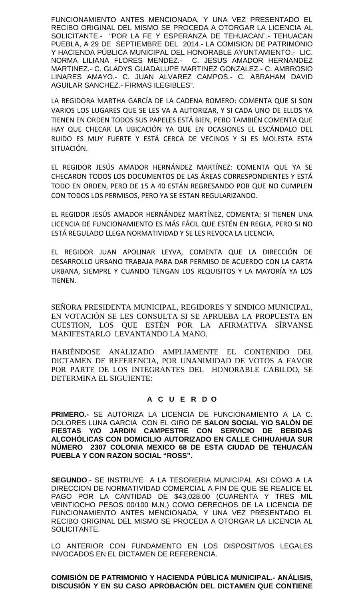FUNCIONAMIENTO ANTES MENCIONADA, Y UNA VEZ PRESENTADO EL RECIBO ORIGINAL DEL MISMO SE PROCEDA A OTORGAR LA LICENCIA AL SOLICITANTE.- "POR LA FE Y ESPERANZA DE TEHUACAN".- TEHUACAN PUEBLA, A 29 DE SEPTIEMBRE DEL 2014.- LA COMISION DE PATRIMONIO Y HACIENDA PÚBLICA MUNICIPAL DEL HONORABLE AYUNTAMIENTO.- LIC. NORMA LILIANA FLORES MENDEZ.- C. JESUS AMADOR HERNANDEZ MARTINEZ.- C. GLADYS GUADALUPE MARTINEZ GONZALEZ.- C. AMBROSIO LINARES AMAYO.- C. JUAN ALVAREZ CAMPOS.- C. ABRAHAM DAVID AGUILAR SANCHEZ.- FIRMAS ILEGIBLES".

LA REGIDORA MARTHA GARCÍA DE LA CADENA ROMERO: COMENTA QUE SI SON VARIOS LOS LUGARES QUE SE LES VA A AUTORIZAR, Y SI CADA UNO DE ELLOS YA TIENEN EN ORDEN TODOS SUS PAPELES ESTÁ BIEN, PERO TAMBIÉN COMENTA QUE HAY QUE CHECAR LA UBICACIÓN YA QUE EN OCASIONES EL ESCÁNDALO DEL RUIDO ES MUY FUERTE Y ESTÁ CERCA DE VECINOS Y SI ES MOLESTA ESTA SITUACIÓN.

EL REGIDOR JESÚS AMADOR HERNÁNDEZ MARTÍNEZ: COMENTA QUE YA SE CHECARON TODOS LOS DOCUMENTOS DE LAS ÁREAS CORRESPONDIENTES Y ESTÁ TODO EN ORDEN, PERO DE 15 A 40 ESTÁN REGRESANDO POR QUE NO CUMPLEN CON TODOS LOS PERMISOS, PERO YA SE ESTAN REGULARIZANDO.

EL REGIDOR JESÚS AMADOR HERNÁNDEZ MARTÍNEZ, COMENTA: SI TIENEN UNA LICENCIA DE FUNCIONAMIENTO ES MÁS FÁCIL QUE ESTÉN EN REGLA, PERO SI NO ESTÁ REGULADO LLEGA NORMATIVIDAD Y SE LES REVOCA LA LICENCIA.

EL REGIDOR JUAN APOLINAR LEYVA, COMENTA QUE LA DIRECCIÓN DE DESARROLLO URBANO TRABAJA PARA DAR PERMISO DE ACUERDO CON LA CARTA URBANA, SIEMPRE Y CUANDO TENGAN LOS REQUISITOS Y LA MAYORÍA YA LOS TIENEN.

SEÑORA PRESIDENTA MUNICIPAL, REGIDORES Y SINDICO MUNICIPAL, EN VOTACIÓN SE LES CONSULTA SI SE APRUEBA LA PROPUESTA EN CUESTION, LOS QUE ESTÉN POR LA AFIRMATIVA SÍRVANSE MANIFESTARLO LEVANTANDO LA MANO.

HABIÉNDOSE ANALIZADO AMPLIAMENTE EL CONTENIDO DEL DICTAMEN DE REFERENCIA, POR UNANIMIDAD DE VOTOS A FAVOR POR PARTE DE LOS INTEGRANTES DEL HONORABLE CABILDO, SE DETERMINA EL SIGUIENTE:

# **A C U E R D O**

**PRIMERO.-** SE AUTORIZA LA LICENCIA DE FUNCIONAMIENTO A LA C. DOLORES LUNA GARCIA CON EL GIRO DE **SALON SOCIAL Y/O SALÓN DE FIESTAS Y/O JARDIN CAMPESTRE CON SERVICIO DE BEBIDAS ALCOHÓLICAS CON DOMICILIO AUTORIZADO EN CALLE CHIHUAHUA SUR NÚMERO 2307 COLONIA MEXICO 68 DE ESTA CIUDAD DE TEHUACÁN PUEBLA Y CON RAZON SOCIAL "ROSS".**

**SEGUNDO**.- SE INSTRUYE A LA TESORERIA MUNICIPAL ASI COMO A LA DIRECCION DE NORMATIVIDAD COMERCIAL A FIN DE QUE SE REALICE EL PAGO POR LA CANTIDAD DE \$43,028.00 (CUARENTA Y TRES MIL VEINTIOCHO PESOS 00/100 M.N.) COMO DERECHOS DE LA LICENCIA DE FUNCIONAMIENTO ANTES MENCIONADA, Y UNA VEZ PRESENTADO EL RECIBO ORIGINAL DEL MISMO SE PROCEDA A OTORGAR LA LICENCIA AL SOLICITANTE.

LO ANTERIOR CON FUNDAMENTO EN LOS DISPOSITIVOS LEGALES INVOCADOS EN EL DICTAMEN DE REFERENCIA.

**COMISIÓN DE PATRIMONIO Y HACIENDA PÚBLICA MUNICIPAL.- ANÁLISIS, DISCUSIÓN Y EN SU CASO APROBACIÓN DEL DICTAMEN QUE CONTIENE**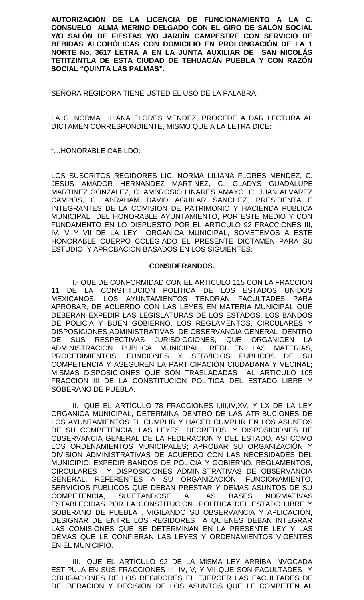**AUTORIZACIÓN DE LA LICENCIA DE FUNCIONAMIENTO A LA C. CONSUELO ALMA MERINO DELGADO CON EL GIRO DE SALÓN SOCIAL Y/O SALÓN DE FIESTAS Y/O JARDÍN CAMPESTRE CON SERVICIO DE BEBIDAS ALCOHÓLICAS CON DOMICILIO EN PROLONGACIÓN DE LA 1 NORTE No. 3617 LETRA A EN LA JUNTA AUXILIAR DE SAN NICOLÁS TETITZINTLA DE ESTA CIUDAD DE TEHUACÁN PUEBLA Y CON RAZÓN SOCIAL "QUINTA LAS PALMAS".**

SEÑORA REGIDORA TIENE USTED EL USO DE LA PALABRA.

LA C. NORMA LILIANA FLORES MENDEZ, PROCEDE A DAR LECTURA AL DICTAMEN CORRESPONDIENTE, MISMO QUE A LA LETRA DICE:

"…HONORABLE CABILDO:

LOS SUSCRITOS REGIDORES LIC. NORMA LILIANA FLORES MENDEZ, C. JESUS AMADOR HERNANDEZ MARTINEZ, C. GLADYS GUADALUPE MARTINEZ GONZALEZ, C. AMBROSIO LINARES AMAYO, C. JUAN ALVAREZ CAMPOS, C. ABRAHAM DAVID AGUILAR SANCHEZ, PRESIDENTA E INTEGRANTES DE LA COMISION DE PATRIMONIO Y HACIENDA PUBLICA MUNICIPAL DEL HONORABLE AYUNTAMIENTO, POR ESTE MEDIO Y CON FUNDAMENTO EN LO DISPUESTO POR EL ARTICULO 92 FRACCIONES III, IV, V Y VII DE LA LEY ORGANICA MUNICIPAL, SOMETEMOS A ESTE HONORABLE CUERPO COLEGIADO EL PRESENTE DICTAMEN PARA SU ESTUDIO Y APROBACION BASADOS EN LOS SIGUIENTES:

# **CONSIDERANDOS.**

I.- QUE DE CONFORMIDAD CON EL ARTICULO 115 CON LA FRACCION 11 DE LA CONSTITUCION POLITICA DE LOS ESTADOS UNIDOS MEXICANOS, LOS AYUNTAMIENTOS TENDRAN FACULTADES PARA APROBAR, DE ACUERDO CON LAS LEYES EN MATERIA MUNICIPAL QUE DEBERAN EXPEDIR LAS LEGISLATURAS DE LOS ESTADOS, LOS BANDOS DE POLICIA Y BUEN GOBIERNO, LOS REGLAMENTOS, CIRCULARES Y DISPOSICIONES ADMINISTRATIVAS DE OBSERVANCIA GENERAL DENTRO DE SUS RESPECTIVAS JURISDICCIONES, QUE ORGANICEN LA ADMINISTRACION PUBLICA MUNICIPAL, REGULEN LAS MATERIAS, PROCEDIMIENTOS, FUNCIONES Y SERVICIOS PUBLICOS DE SU COMPETENCIA Y ASEGUREN LA PARTICIPACIÓN CIUDADANA Y VECINAL; MISMAS DISPOSICIONES QUE SON TRASLADADAS AL ARTICULO 105 FRACCION III DE LA CONSTITUCION POLITICA DEL ESTADO LIBRE Y SOBERANO DE PUEBLA.

II.- QUE EL ARTÍCULO 78 FRACCIONES I,III,IV,XV, Y LX DE LA LEY ORGANICA MUNICIPAL, DETERMINA DENTRO DE LAS ATRIBUCIONES DE LOS AYUNTAMIENTOS EL CUMPLIR Y HACER CUMPLIR EN LOS ASUNTOS DE SU COMPETENCIA, LAS LEYES, DECRETOS, Y DISPOSICIONES DE OBSERVANCIA GENERAL DE LA FEDERACION Y DEL ESTADO, ASI COMO LOS ORDENAMIENTOS MUNICIPALES; APROBAR SU ORGANIZACIÓN Y DIVISION ADMINISTRATIVAS DE ACUERDO CON LAS NECESIDADES DEL MUNICIPIO; EXPEDIR BANDOS DE POLICIA Y GOBIERNO, REGLAMENTOS, CIRCULARES Y DISPOSICIONES ADMINISTRATIVAS DE OBSERVANCIA GENERAL, REFERENTES A SU ORGANIZACIÓN, FUNCIONAMIENTO, SERVICIOS PUBLICOS QUE DEBAN PRESTAR Y DEMAS ASUNTOS DE SU COMPETENCIA, SUJETANDOSE A LAS BASES NORMATIVAS ESTABLECIDAS POR LA CONSTITUCION POLITICA DEL ESTADO LIBRE Y SOBERANO DE PUEBLA , VIGILANDO SU OBSERVANCIA Y APLICACIÓN, DESIGNAR DE ENTRE LOS REGIDORES A QUIENES DEBAN INTEGRAR LAS COMISIONES QUE SE DETERMINAN EN LA PRESENTE LEY Y LAS DEMAS QUE LE CONFIERAN LAS LEYES Y ORDENAMIENTOS VIGENTES EN EL MUNICIPIO.

III.- QUE EL ARTICULO 92 DE LA MISMA LEY ARRIBA INVOCADA ESTIPULA EN SUS FRACCIONES III, IV, V, Y VII QUE SON FACULTADES Y OBLIGACIONES DE LOS REGIDORES EL EJERCER LAS FACULTADES DE DELIBERACION Y DECISION DE LOS ASUNTOS QUE LE COMPETEN AL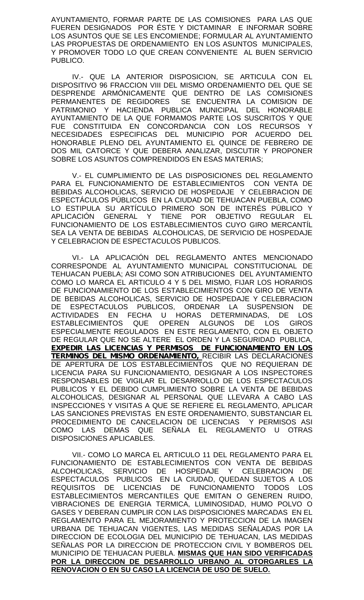AYUNTAMIENTO, FORMAR PARTE DE LAS COMISIONES PARA LAS QUE FUEREN DESIGNADOS POR ÉSTE Y DICTAMINAR E INFORMAR SOBRE LOS ASUNTOS QUE SE LES ENCOMIENDE; FORMULAR AL AYUNTAMIENTO LAS PROPUESTAS DE ORDENAMIENTO EN LOS ASUNTOS MUNICIPALES, Y PROMOVER TODO LO QUE CREAN CONVENIENTE AL BUEN SERVICIO PUBLICO.

IV.- QUE LA ANTERIOR DISPOSICION, SE ARTICULA CON EL DISPOSITIVO 96 FRACCION VIII DEL MISMO ORDENAMIENTO DEL QUE SE DESPRENDE ARMÓNICAMENTE QUE DENTRO DE LAS COMISIONES PERMANENTES DE REGIDORES SE ENCUENTRA LA COMISION DE PATRIMONIO Y HACIENDA PUBLICA MUNICIPAL DEL HONORABLE AYUNTAMIENTO DE LA QUE FORMAMOS PARTE LOS SUSCRITOS Y QUE FUE CONSTITUIDA EN CONCORDANCIA CON LOS RECURSOS Y NECESIDADES ESPECIFICAS DEL MUNICIPIO POR ACUERDO DEL HONORABLE PLENO DEL AYUNTAMIENTO EL QUINCE DE FEBRERO DE DOS MIL CATORCE Y QUE DEBERA ANALIZAR, DISCUTIR Y PROPONER SOBRE LOS ASUNTOS COMPRENDIDOS EN ESAS MATERIAS;

V.- EL CUMPLIMIENTO DE LAS DISPOSICIONES DEL REGLAMENTO PARA EL FUNCIONAMIENTO DE ESTABLECIMIENTOS CON VENTA DE BEBIDAS ALCOHOLICAS, SERVICIO DE HOSPEDAJE Y CELEBRACION DE ESPECTÁCULOS PÚBLICOS EN LA CIUDAD DE TEHUACAN PUEBLA, COMO LO ESTIPULA SU ARTÍCULO PRIMERO SON DE INTERÉS PÚBLICO Y APLICACIÓN GENERAL Y TIENE POR OBJETIVO REGULAR EL FUNCIONAMIENTO DE LOS ESTABLECIMIENTOS CUYO GIRO MERCANTÍL SEA LA VENTA DE BEBIDAS ALCOHOLICAS, DE SERVICIO DE HOSPEDAJE Y CELEBRACION DE ESPECTACULOS PUBLICOS.

VI.- LA APLICACIÓN DEL REGLAMENTO ANTES MENCIONADO CORRESPONDE AL AYUNTAMIENTO MUNICIPAL CONSTITUCIONAL DE TEHUACAN PUEBLA; ASI COMO SON ATRIBUCIONES DEL AYUNTAMIENTO COMO LO MARCA EL ARTICULO 4 Y 5 DEL MISMO, FIJAR LOS HORARIOS DE FUNCIONAMIENTO DE LOS ESTABLECIMIENTOS CON GIRO DE VENTA DE BEBIDAS ALCOHOLICAS, SERVICIO DE HOSPEDAJE Y CELEBRACION DE ESPECTACULOS PUBLICOS, ORDENAR LA SUSPENSION DE ACTIVIDADES EN FECHA U HORAS DETERMINADAS, DE LOS ESTABLECIMIENTOS QUE OPEREN ALGUNOS DE LOS GIROS ESPECIALMENTE REGULADOS EN ESTE REGLAMENTO, CON EL OBJETO DE REGULAR QUE NO SE ALTERE EL ORDEN Y LA SEGURIDAD PUBLICA, *EXPEDIR LAS LICENCIAS Y PERMISOS DE FUNCIONAMIENTO EN LOS TERMINOS DEL MISMO ORDENAMIENTO,* RECIBIR LAS DECLARACIONES DE APERTURA DE LOS ESTABLECIMIENTOS QUE NO REQUIERAN DE LICENCIA PARA SU FUNCIONAMIENTO, DESIGNAR A LOS INSPECTORES RESPONSABLES DE VIGILAR EL DESARROLLO DE LOS ESPECTACULOS PUBLICOS Y EL DEBIDO CUMPLIMIENTO SOBRE LA VENTA DE BEBIDAS ALCOHOLICAS, DESIGNAR AL PERSONAL QUE LLEVARA A CABO LAS INSPECCIONES Y VISITAS A QUE SE REFIERE EL REGLAMENTO, APLICAR LAS SANCIONES PREVISTAS EN ESTE ORDENAMIENTO, SUBSTANCIAR EL PROCEDIMIENTO DE CANCELACION DE LICENCIAS Y PERMISOS ASI COMO LAS DEMAS QUE SEÑALA EL REGLAMENTO U OTRAS DISPOSICIONES APLICABLES.

VII.- COMO LO MARCA EL ARTICULO 11 DEL REGLAMENTO PARA EL FUNCIONAMIENTO DE ESTABLECIMIENTOS CON VENTA DE BEBIDAS ALCOHOLICAS, SERVICIO DE HOSPEDAJE Y CELEBRACION DE ESPECTACULOS PUBLICOS EN LA CIUDAD, QUEDAN SUJETOS A LOS REQUISITOS DE LICENCIAS DE FUNCIONAMIENTO TODOS LOS ESTABLECIMIENTOS MERCANTILES QUE EMITAN O GENEREN RUIDO, VIBRACIONES DE ENERGIA TERMICA, LUMINOSIDAD, HUMO POLVO O GASES Y DEBERAN CUMPLIR CON LAS DISPOSICIONES MARCADAS EN EL REGLAMENTO PARA EL MEJORAMIENTO Y PROTECCION DE LA IMAGEN URBANA DE TEHUACAN VIGENTES, LAS MEDIDAS SEÑALADAS POR LA DIRECCION DE ECOLOGIA DEL MUNICIPIO DE TEHUACAN, LAS MEDIDAS SEÑALAS POR LA DIRECCION DE PROTECCION CIVIL Y BOMBEROS DEL MUNICIPIO DE TEHUACAN PUEBLA. **MISMAS QUE HAN SIDO VERIFICADAS POR LA DIRECCION DE DESARROLLO URBANO AL OTORGARLES LA RENOVACION O EN SU CASO LA LICENCIA DE USO DE SUELO.**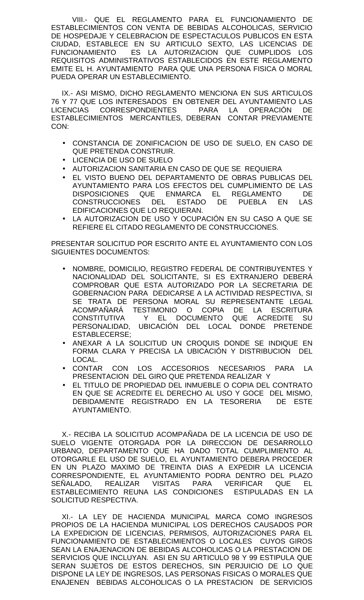VIII.- QUE EL REGLAMENTO PARA EL FUNCIONAMIENTO DE ESTABLECIMIENTOS CON VENTA DE BEBIDAS ALCOHOLICAS, SERVICIO DE HOSPEDAJE Y CELEBRACION DE ESPECTACULOS PUBLICOS EN ESTA CIUDAD, ESTABLECE EN SU ARTICULO SEXTO, LAS LICENCIAS DE FUNCIONAMIENTO ES LA AUTORIZACION QUE CUMPLIDOS LOS REQUISITOS ADMINISTRATIVOS ESTABLECIDOS EN ESTE REGLAMENTO EMITE EL H. AYUNTAMIENTO PARA QUE UNA PERSONA FISICA O MORAL PUEDA OPERAR UN ESTABLECIMIENTO.

IX.- ASI MISMO, DICHO REGLAMENTO MENCIONA EN SUS ARTICULOS 76 Y 77 QUE LOS INTERESADOS EN OBTENER DEL AYUNTAMIENTO LAS LICENCIAS CORRESPONDIENTES PARA LA OPERACIÓN DE ESTABLECIMIENTOS MERCANTILES, DEBERAN CONTAR PREVIAMENTE CON:

- CONSTANCIA DE ZONIFICACION DE USO DE SUELO, EN CASO DE QUE PRETENDA CONSTRUIR.
- LICENCIA DE USO DE SUELO
- AUTORIZACION SANITARIA EN CASO DE QUE SE REQUIERA
- EL VISTO BUENO DEL DEPARTAMENTO DE OBRAS PUBLICAS DEL AYUNTAMIENTO PARA LOS EFECTOS DEL CUMPLIMIENTO DE LAS DISPOSICIONES QUE ENMARCA EL REGLAMENTO DE CONSTRUCCIONES DEL ESTADO DE PUEBLA EN LAS EDIFICACIONES QUE LO REQUIERAN.
- LA AUTORIZACION DE USO Y OCUPACIÓN EN SU CASO A QUE SE REFIERE EL CITADO REGLAMENTO DE CONSTRUCCIONES.

PRESENTAR SOLICITUD POR ESCRITO ANTE EL AYUNTAMIENTO CON LOS SIGUIENTES DOCUMENTOS:

- NOMBRE, DOMICILIO, REGISTRO FEDERAL DE CONTRIBUYENTES Y NACIONALIDAD DEL SOLICITANTE, SI ES EXTRANJERO DEBERÁ COMPROBAR QUE ESTA AUTORIZADO POR LA SECRETARIA DE GOBERNACION PARA DEDICARSE A LA ACTIVIDAD RESPECTIVA, SI SE TRATA DE PERSONA MORAL SU REPRESENTANTE LEGAL ACOMPAÑARÁ TESTIMONIO O COPIA DE LA ESCRITURA CONSTITUTIVA Y EL DOCUMENTO QUE ACREDITE SU PERSONALIDAD, UBICACIÓN DEL LOCAL DONDE PRETENDE ESTABLECERSE;
- ANEXAR A LA SOLICITUD UN CROQUIS DONDE SE INDIQUE EN FORMA CLARA Y PRECISA LA UBICACIÓN Y DISTRIBUCION DEL LOCAL.
- CONTAR CON LOS ACCESORIOS NECESARIOS PARA LA PRESENTACION DEL GIRO QUE PRETENDA REALIZAR Y
- EL TITULO DE PROPIEDAD DEL INMUEBLE O COPIA DEL CONTRATO EN QUE SE ACREDITE EL DERECHO AL USO Y GOCE DEL MISMO, DEBIDAMENTE REGISTRADO EN LA TESORERIA DE ESTE AYUNTAMIENTO.

X.- RECIBA LA SOLICITUD ACOMPAÑADA DE LA LICENCIA DE USO DE SUELO VIGENTE OTORGADA POR LA DIRECCION DE DESARROLLO URBANO, DEPARTAMENTO QUE HA DADO TOTAL CUMPLIMIENTO AL OTORGARLE EL USO DE SUELO, EL AYUNTAMIENTO DEBERA PROCEDER EN UN PLAZO MAXIMO DE TREINTA DIAS A EXPEDIR LA LICENCIA CORRESPONDIENTE, EL AYUNTAMIENTO PODRA DENTRO DEL PLAZO SEÑALADO, REALIZAR VISITAS PARA VERIFICAR QUE EL ESTABLECIMIENTO REUNA LAS CONDICIONES ESTIPULADAS EN LA SOLICITUD RESPECTIVA.

XI.- LA LEY DE HACIENDA MUNICIPAL MARCA COMO INGRESOS PROPIOS DE LA HACIENDA MUNICIPAL LOS DERECHOS CAUSADOS POR LA EXPEDICION DE LICENCIAS, PERMISOS, AUTORIZACIONES PARA EL FUNCIONAMIENTO DE ESTABLECIMIENTOS O LOCALES CUYOS GIROS SEAN LA ENAJENACION DE BEBIDAS ALCOHOLICAS O LA PRESTACION DE SERVICIOS QUE INCLUYAN. ASI EN SU ARTICULO 98 Y 99 ESTIPULA QUE SERAN SUJETOS DE ESTOS DERECHOS, SIN PERJUICIO DE LO QUE DISPONE LA LEY DE INGRESOS, LAS PERSONAS FISICAS O MORALES QUE ENAJENEN BEBIDAS ALCOHOLICAS O LA PRESTACION DE SERVICIOS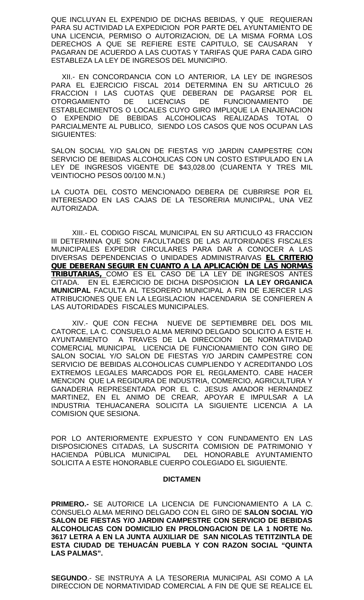QUE INCLUYAN EL EXPENDIO DE DICHAS BEBIDAS, Y QUE REQUIERAN PARA SU ACTIVIDAD LA EXPEDICION POR PARTE DEL AYUNTAMIENTO DE UNA LICENCIA, PERMISO O AUTORIZACION, DE LA MISMA FORMA LOS DERECHOS A QUE SE REFIERE ESTE CAPITULO, SE CAUSARAN Y PAGARAN DE ACUERDO A LAS CUOTAS Y TARIFAS QUE PARA CADA GIRO ESTABLEZA LA LEY DE INGRESOS DEL MUNICIPIO.

XII.- EN CONCORDANCIA CON LO ANTERIOR, LA LEY DE INGRESOS PARA EL EJERCICIO FISCAL 2014 DETERMINA EN SU ARTICULO 26 FRACCION I LAS CUOTAS QUE DEBERAN DE PAGARSE POR EL OTORGAMIENTO DE LICENCIAS DE FUNCIONAMIENTO DE ESTABLECIMIENTOS O LOCALES CUYO GIRO IMPLIQUE LA ENAJENACION O EXPENDIO DE BEBIDAS ALCOHOLICAS REALIZADAS TOTAL O PARCIALMENTE AL PUBLICO, SIENDO LOS CASOS QUE NOS OCUPAN LAS SIGUIENTES:

SALON SOCIAL Y/O SALON DE FIESTAS Y/O JARDIN CAMPESTRE CON SERVICIO DE BEBIDAS ALCOHOLICAS CON UN COSTO ESTIPULADO EN LA LEY DE INGRESOS VIGENTE DE \$43,028.00 (CUARENTA Y TRES MIL VEINTIOCHO PESOS 00/100 M.N.)

LA CUOTA DEL COSTO MENCIONADO DEBERA DE CUBRIRSE POR EL INTERESADO EN LAS CAJAS DE LA TESORERIA MUNICIPAL, UNA VEZ AUTORIZADA.

XIII.- EL CODIGO FISCAL MUNICIPAL EN SU ARTICULO 43 FRACCION III DETERMINA QUE SON FACULTADES DE LAS AUTORIDADES FISCALES MUNICIPALES EXPEDIR CIRCULARES PARA DAR A CONOCER A LAS DIVERSAS DEPENDENCIAS O UNIDADES ADMINISTRAIVAS *EL CRITERIO QUE DEBERAN SEGUIR EN CUANTO A LA APLICACIÓN DE LAS NORMAS TRIBUTARIAS,* COMO ES EL CASO DE LA LEY DE INGRESOS ANTES CITADA. EN EL EJERCICIO DE DICHA DISPOSICION **LA LEY ORGANICA MUNICIPAL** FACULTA AL TESORERO MUNICIPAL A FIN DE EJERCER LAS ATRIBUCIONES QUE EN LA LEGISLACION HACENDARIA SE CONFIEREN A LAS AUTORIDADES FISCALES MUNICIPALES.

XIV.- QUE CON FECHA NUEVE DE SEPTIEMBRE DEL DOS MIL CATORCE, LA C. CONSUELO ALMA MERINO DELGADO SOLICITO A ESTE H. AYUNTAMIENTO A TRAVES DE LA DIRECCION DE NORMATIVIDAD COMERCIAL MUNICIPAL LICENCIA DE FUNCIONAMIENTO CON GIRO DE SALON SOCIAL Y/O SALON DE FIESTAS Y/O JARDIN CAMPESTRE CON SERVICIO DE BEBIDAS ALCOHOLICAS CUMPLIENDO Y ACREDITANDO LOS EXTREMOS LEGALES MARCADOS POR EL REGLAMENTO. CABE HACER MENCION QUE LA REGIDURA DE INDUSTRIA, COMERCIO, AGRICULTURA Y GANADERIA REPRESENTADA POR EL C. JESUS AMADOR HERNANDEZ MARTINEZ, EN EL ANIMO DE CREAR, APOYAR E IMPULSAR A LA INDUSTRIA TEHUACANERA SOLICITA LA SIGUIENTE LICENCIA A LA COMISION QUE SESIONA.

POR LO ANTERIORMENTE EXPUESTO Y CON FUNDAMENTO EN LAS DISPOSICIONES CITADAS, LA SUSCRITA COMISION DE PATRIMONIO Y HACIENDA PÚBLICA MUNICIPAL DEL HONORABLE AYUNTAMIENTO SOLICITA A ESTE HONORABLE CUERPO COLEGIADO EL SIGUIENTE.

## **DICTAMEN**

**PRIMERO.-** SE AUTORICE LA LICENCIA DE FUNCIONAMIENTO A LA C. CONSUELO ALMA MERINO DELGADO CON EL GIRO DE **SALON SOCIAL Y/O SALON DE FIESTAS Y/O JARDIN CAMPESTRE CON SERVICIO DE BEBIDAS ALCOHOLICAS CON DOMICILIO EN PROLONGACION DE LA 1 NORTE No. 3617 LETRA A EN LA JUNTA AUXILIAR DE SAN NICOLAS TETITZINTLA DE ESTA CIUDAD DE TEHUACÁN PUEBLA Y CON RAZON SOCIAL "QUINTA LAS PALMAS".**

**SEGUNDO**.- SE INSTRUYA A LA TESORERIA MUNICIPAL ASI COMO A LA DIRECCION DE NORMATIVIDAD COMERCIAL A FIN DE QUE SE REALICE EL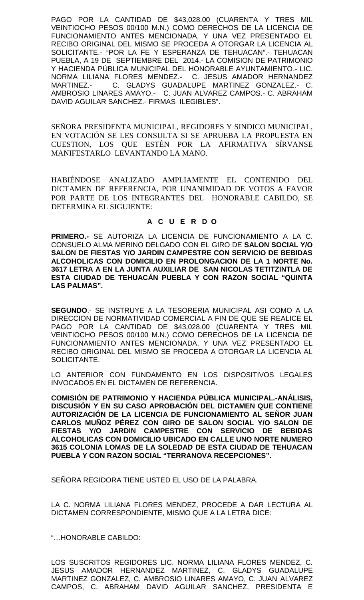PAGO POR LA CANTIDAD DE \$43,028.00 (CUARENTA Y TRES MIL VEINTIOCHO PESOS 00/100 M.N.) COMO DERECHOS DE LA LICENCIA DE FUNCIONAMIENTO ANTES MENCIONADA, Y UNA VEZ PRESENTADO EL RECIBO ORIGINAL DEL MISMO SE PROCEDA A OTORGAR LA LICENCIA AL SOLICITANTE.- "POR LA FE Y ESPERANZA DE TEHUACAN".- TEHUACAN PUEBLA, A 19 DE SEPTIEMBRE DEL 2014.- LA COMISION DE PATRIMONIO Y HACIENDA PÚBLICA MUNICIPAL DEL HONORABLE AYUNTAMIENTO.- LIC. NORMA LILIANA FLORES MENDEZ.- C. JESUS AMADOR HERNANDEZ MARTINEZ.- C. GLADYS GUADALUPE MARTINEZ GONZALEZ.- C. AMBROSIO LINARES AMAYO.- C. JUAN ALVAREZ CAMPOS.- C. ABRAHAM DAVID AGUILAR SANCHEZ.- FIRMAS ILEGIBLES".

SEÑORA PRESIDENTA MUNICIPAL, REGIDORES Y SINDICO MUNICIPAL, EN VOTACIÓN SE LES CONSULTA SI SE APRUEBA LA PROPUESTA EN CUESTION, LOS QUE ESTÉN POR LA AFIRMATIVA SÍRVANSE MANIFESTARLO LEVANTANDO LA MANO.

HABIÉNDOSE ANALIZADO AMPLIAMENTE EL CONTENIDO DEL DICTAMEN DE REFERENCIA, POR UNANIMIDAD DE VOTOS A FAVOR POR PARTE DE LOS INTEGRANTES DEL HONORABLE CABILDO, SE DETERMINA EL SIGUIENTE:

# **A C U E R D O**

**PRIMERO.-** SE AUTORIZA LA LICENCIA DE FUNCIONAMIENTO A LA C. CONSUELO ALMA MERINO DELGADO CON EL GIRO DE **SALON SOCIAL Y/O SALON DE FIESTAS Y/O JARDIN CAMPESTRE CON SERVICIO DE BEBIDAS ALCOHOLICAS CON DOMICILIO EN PROLONGACION DE LA 1 NORTE No. 3617 LETRA A EN LA JUNTA AUXILIAR DE SAN NICOLAS TETITZINTLA DE ESTA CIUDAD DE TEHUACÁN PUEBLA Y CON RAZON SOCIAL "QUINTA LAS PALMAS".**

**SEGUNDO**.- SE INSTRUYE A LA TESORERIA MUNICIPAL ASI COMO A LA DIRECCION DE NORMATIVIDAD COMERCIAL A FIN DE QUE SE REALICE EL PAGO POR LA CANTIDAD DE \$43,028.00 (CUARENTA Y TRES MIL VEINTIOCHO PESOS 00/100 M.N.) COMO DERECHOS DE LA LICENCIA DE FUNCIONAMIENTO ANTES MENCIONADA, Y UNA VEZ PRESENTADO EL RECIBO ORIGINAL DEL MISMO SE PROCEDA A OTORGAR LA LICENCIA AL SOLICITANTE.

LO ANTERIOR CON FUNDAMENTO EN LOS DISPOSITIVOS LEGALES INVOCADOS EN EL DICTAMEN DE REFERENCIA.

**COMISIÓN DE PATRIMONIO Y HACIENDA PÚBLICA MUNICIPAL.-ANÁLISIS, DISCUSIÓN Y EN SU CASO APROBACIÓN DEL DICTAMEN QUE CONTIENE AUTORIZACIÓN DE LA LICENCIA DE FUNCIONAMIENTO AL SEÑOR JUAN CARLOS MUÑOZ PÉREZ CON GIRO DE SALON SOCIAL Y/O SALON DE FIESTAS Y/O JARDIN CAMPESTRE CON SERVICIO DE BEBIDAS ALCOHOLICAS CON DOMICILIO UBICADO EN CALLE UNO NORTE NUMERO 3615 COLONIA LOMAS DE LA SOLEDAD DE ESTA CIUDAD DE TEHUACAN PUEBLA Y CON RAZON SOCIAL "TERRANOVA RECEPCIONES".**

SEÑORA REGIDORA TIENE USTED EL USO DE LA PALABRA.

LA C. NORMA LILIANA FLORES MENDEZ, PROCEDE A DAR LECTURA AL DICTAMEN CORRESPONDIENTE, MISMO QUE A LA LETRA DICE:

"…HONORABLE CABILDO:

LOS SUSCRITOS REGIDORES LIC. NORMA LILIANA FLORES MENDEZ, C. JESUS AMADOR HERNANDEZ MARTINEZ, C. GLADYS GUADALUPE MARTINEZ GONZALEZ, C. AMBROSIO LINARES AMAYO, C. JUAN ALVAREZ CAMPOS, C. ABRAHAM DAVID AGUILAR SANCHEZ, PRESIDENTA E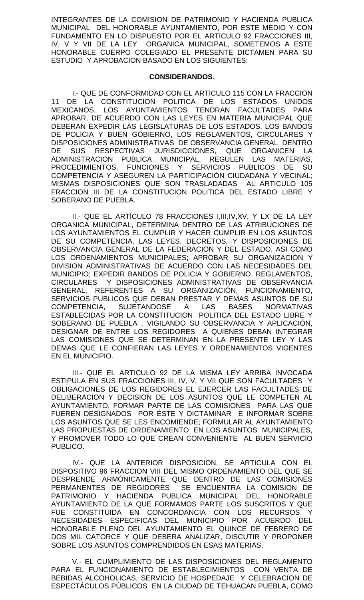INTEGRANTES DE LA COMISION DE PATRIMONIO Y HACIENDA PUBLICA MUNICIPAL DEL HONORABLE AYUNTAMIENTO, POR ESTE MEDIO Y CON FUNDAMENTO EN LO DISPUESTO POR EL ARTICULO 92 FRACCIONES III, IV, V Y VII DE LA LEY ORGANICA MUNICIPAL, SOMETEMOS A ESTE HONORABLE CUERPO COLEGIADO EL PRESENTE DICTAMEN PARA SU ESTUDIO Y APROBACION BASADO EN LOS SIGUIENTES:

## **CONSIDERANDOS.**

I.- QUE DE CONFORMIDAD CON EL ARTICULO 115 CON LA FRACCION 11 DE LA CONSTITUCION POLITICA DE LOS ESTADOS UNIDOS MEXICANOS, LOS AYUNTAMIENTOS TENDRAN FACULTADES PARA APROBAR, DE ACUERDO CON LAS LEYES EN MATERIA MUNICIPAL QUE DEBERAN EXPEDIR LAS LEGISLATURAS DE LOS ESTADOS, LOS BANDOS DE POLICIA Y BUEN GOBIERNO, LOS REGLAMENTOS, CIRCULARES Y DISPOSICIONES ADMINISTRATIVAS DE OBSERVANCIA GENERAL DENTRO DE SUS RESPECTIVAS JURISDICCIONES, QUE ORGANICEN LA ADMINISTRACION PUBLICA MUNICIPAL, REGULEN LAS MATERIAS, PROCEDIMIENTOS, FUNCIONES Y SERVICIOS PUBLICOS DE SU COMPETENCIA Y ASEGUREN LA PARTICIPACIÓN CIUDADANA Y VECINAL; MISMAS DISPOSICIONES QUE SON TRASLADADAS AL ARTICULO 105 FRACCION III DE LA CONSTITUCION POLITICA DEL ESTADO LIBRE Y SOBERANO DE PUEBLA.

II.- QUE EL ARTÍCULO 78 FRACCIONES I,III,IV,XV, Y LX DE LA LEY ORGANICA MUNICIPAL, DETERMINA DENTRO DE LAS ATRIBUCIONES DE LOS AYUNTAMIENTOS EL CUMPLIR Y HACER CUMPLIR EN LOS ASUNTOS DE SU COMPETENCIA, LAS LEYES, DECRETOS, Y DISPOSICIONES DE OBSERVANCIA GENERAL DE LA FEDERACION Y DEL ESTADO, ASI COMO LOS ORDENAMIENTOS MUNICIPALES; APROBAR SU ORGANIZACIÓN Y DIVISION ADMINISTRATIVAS DE ACUERDO CON LAS NECESIDADES DEL MUNICIPIO; EXPEDIR BANDOS DE POLICIA Y GOBIERNO, REGLAMENTOS, CIRCULARES Y DISPOSICIONES ADMINISTRATIVAS DE OBSERVANCIA GENERAL, REFERENTES A SU ORGANIZACIÓN, FUNCIONAMIENTO, SERVICIOS PUBLICOS QUE DEBAN PRESTAR Y DEMAS ASUNTOS DE SU<br>COMPETENCIA, SUJETANDOSE A LAS BASES NORMATIVAS SUJETANDOSE A LAS BASES NORMATIVAS ESTABLECIDAS POR LA CONSTITUCION POLITICA DEL ESTADO LIBRE Y SOBERANO DE PUEBLA , VIGILANDO SU OBSERVANCIA Y APLICACIÓN, DESIGNAR DE ENTRE LOS REGIDORES A QUIENES DEBAN INTEGRAR LAS COMISIONES QUE SE DETERMINAN EN LA PRESENTE LEY Y LAS DEMAS QUE LE CONFIERAN LAS LEYES Y ORDENAMIENTOS VIGENTES EN EL MUNICIPIO.

III.- QUE EL ARTICULO 92 DE LA MISMA LEY ARRIBA INVOCADA ESTIPULA EN SUS FRACCIONES III, IV, V, Y VII QUE SON FACULTADES Y OBLIGACIONES DE LOS REGIDORES EL EJERCER LAS FACULTADES DE DELIBERACION Y DECISION DE LOS ASUNTOS QUE LE COMPETEN AL AYUNTAMIENTO, FORMAR PARTE DE LAS COMISIONES PARA LAS QUE FUEREN DESIGNADOS POR ÉSTE Y DICTAMINAR E INFORMAR SOBRE LOS ASUNTOS QUE SE LES ENCOMIENDE; FORMULAR AL AYUNTAMIENTO LAS PROPUESTAS DE ORDENAMIENTO EN LOS ASUNTOS MUNICIPALES, Y PROMOVER TODO LO QUE CREAN CONVENIENTE AL BUEN SERVICIO PUBLICO.

IV.- QUE LA ANTERIOR DISPOSICION, SE ARTICULA CON EL DISPOSITIVO 96 FRACCION VIII DEL MISMO ORDENAMIENTO DEL QUE SE DESPRENDE ARMÓNICAMENTE QUE DENTRO DE LAS COMISIONES PERMANENTES DE REGIDORES SE ENCUENTRA LA COMISION DE PATRIMONIO Y HACIENDA PUBLICA MUNICIPAL DEL HONORABLE AYUNTAMIENTO DE LA QUE FORMAMOS PARTE LOS SUSCRITOS Y QUE FUE CONSTITUIDA EN CONCORDANCIA CON LOS RECURSOS Y NECESIDADES ESPECIFICAS DEL MUNICIPIO POR ACUERDO DEL HONORABLE PLENO DEL AYUNTAMIENTO EL QUINCE DE FEBRERO DE DOS MIL CATORCE Y QUE DEBERA ANALIZAR, DISCUTIR Y PROPONER SOBRE LOS ASUNTOS COMPRENDIDOS EN ESAS MATERIAS;

V.- EL CUMPLIMIENTO DE LAS DISPOSICIONES DEL REGLAMENTO PARA EL FUNCIONAMIENTO DE ESTABLECIMIENTOS CON VENTA DE BEBIDAS ALCOHOLICAS, SERVICIO DE HOSPEDAJE Y CELEBRACION DE ESPECTÁCULOS PÚBLICOS EN LA CIUDAD DE TEHUACAN PUEBLA, COMO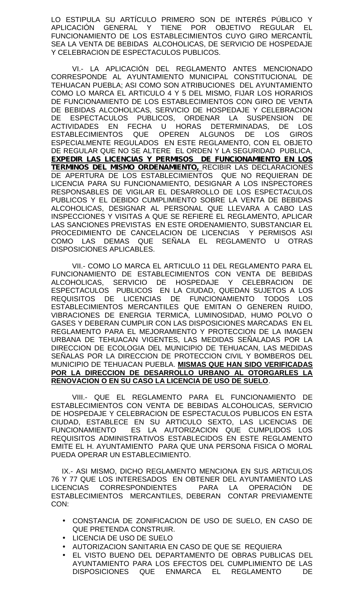LO ESTIPULA SU ARTÍCULO PRIMERO SON DE INTERÉS PÚBLICO Y APLICACIÓN GENERAL Y TIENE POR OBJETIVO REGULAR EL FUNCIONAMIENTO DE LOS ESTABLECIMIENTOS CUYO GIRO MERCANTÍL SEA LA VENTA DE BEBIDAS ALCOHOLICAS, DE SERVICIO DE HOSPEDAJE Y CELEBRACION DE ESPECTACULOS PUBLICOS.

VI.- LA APLICACIÓN DEL REGLAMENTO ANTES MENCIONADO CORRESPONDE AL AYUNTAMIENTO MUNICIPAL CONSTITUCIONAL DE TEHUACAN PUEBLA; ASI COMO SON ATRIBUCIONES DEL AYUNTAMIENTO COMO LO MARCA EL ARTICULO 4 Y 5 DEL MISMO, FIJAR LOS HORARIOS DE FUNCIONAMIENTO DE LOS ESTABLECIMIENTOS CON GIRO DE VENTA DE BEBIDAS ALCOHOLICAS, SERVICIO DE HOSPEDAJE Y CELEBRACION DE ESPECTACULOS PUBLICOS, ORDENAR LA SUSPENSION DE ACTIVIDADES EN FECHA U HORAS DETERMINADAS, DE LOS<br>ESTABLECIMIENTOS QUE OPEREN ALGUNOS DE LOS GIROS QUE OPEREN ALGUNOS DE LOS GIROS ESPECIALMENTE REGULADOS EN ESTE REGLAMENTO, CON EL OBJETO DE REGULAR QUE NO SE ALTERE EL ORDEN Y LA SEGURIDAD PUBLICA, *EXPEDIR LAS LICENCIAS Y PERMISOS DE FUNCIONAMIENTO EN LOS TERMINOS DEL MISMO ORDENAMIENTO,* RECIBIR LAS DECLARACIONES DE APERTURA DE LOS ESTABLECIMIENTOS QUE NO REQUIERAN DE LICENCIA PARA SU FUNCIONAMIENTO, DESIGNAR A LOS INSPECTORES RESPONSABLES DE VIGILAR EL DESARROLLO DE LOS ESPECTACULOS PUBLICOS Y EL DEBIDO CUMPLIMIENTO SOBRE LA VENTA DE BEBIDAS ALCOHOLICAS, DESIGNAR AL PERSONAL QUE LLEVARA A CABO LAS INSPECCIONES Y VISITAS A QUE SE REFIERE EL REGLAMENTO, APLICAR LAS SANCIONES PREVISTAS EN ESTE ORDENAMIENTO, SUBSTANCIAR EL PROCEDIMIENTO DE CANCELACION DE LICENCIAS Y PERMISOS ASI COMO LAS DEMAS QUE SEÑALA EL REGLAMENTO U OTRAS DISPOSICIONES APLICABLES.

VII.- COMO LO MARCA EL ARTICULO 11 DEL REGLAMENTO PARA EL FUNCIONAMIENTO DE ESTABLECIMIENTOS CON VENTA DE BEBIDAS ALCOHOLICAS, SERVICIO DE HOSPEDAJE Y CELEBRACION DE ESPECTACULOS PUBLICOS EN LA CIUDAD, QUEDAN SUJETOS A LOS<br>REQUISITOS DE LICENCIAS DE FUNCIONAMIENTO TODOS LOS REQUISITOS DE LICENCIAS DE FUNCIONAMIENTO TODOS LOS ESTABLECIMIENTOS MERCANTILES QUE EMITAN O GENEREN RUIDO, VIBRACIONES DE ENERGIA TERMICA, LUMINOSIDAD, HUMO POLVO O GASES Y DEBERAN CUMPLIR CON LAS DISPOSICIONES MARCADAS EN EL REGLAMENTO PARA EL MEJORAMIENTO Y PROTECCION DE LA IMAGEN URBANA DE TEHUACAN VIGENTES, LAS MEDIDAS SEÑALADAS POR LA DIRECCION DE ECOLOGIA DEL MUNICIPIO DE TEHUACAN, LAS MEDIDAS SEÑALAS POR LA DIRECCION DE PROTECCION CIVIL Y BOMBEROS DEL MUNICIPIO DE TEHUACAN PUEBLA. **MISMAS QUE HAN SIDO VERIFICADAS POR LA DIRECCION DE DESARROLLO URBANO AL OTORGARLES LA RENOVACION O EN SU CASO LA LICENCIA DE USO DE SUELO**.

VIII.- QUE EL REGLAMENTO PARA EL FUNCIONAMIENTO DE ESTABLECIMIENTOS CON VENTA DE BEBIDAS ALCOHOLICAS, SERVICIO DE HOSPEDAJE Y CELEBRACION DE ESPECTACULOS PUBLICOS EN ESTA CIUDAD, ESTABLECE EN SU ARTICULO SEXTO, LAS LICENCIAS DE FUNCIONAMIENTO ES LA AUTORIZACION QUE CUMPLIDOS LOS REQUISITOS ADMINISTRATIVOS ESTABLECIDOS EN ESTE REGLAMENTO EMITE EL H. AYUNTAMIENTO PARA QUE UNA PERSONA FISICA O MORAL PUEDA OPERAR UN ESTABLECIMIENTO.

IX.- ASI MISMO, DICHO REGLAMENTO MENCIONA EN SUS ARTICULOS 76 Y 77 QUE LOS INTERESADOS EN OBTENER DEL AYUNTAMIENTO LAS LICENCIAS CORRESPONDIENTES PARA LA OPERACIÓN DE ESTABLECIMIENTOS MERCANTILES, DEBERAN CONTAR PREVIAMENTE CON:

- CONSTANCIA DE ZONIFICACION DE USO DE SUELO, EN CASO DE QUE PRETENDA CONSTRUIR.
- LICENCIA DE USO DE SUELO
- AUTORIZACION SANITARIA EN CASO DE QUE SE REQUIERA
- EL VISTO BUENO DEL DEPARTAMENTO DE OBRAS PUBLICAS DEL AYUNTAMIENTO PARA LOS EFECTOS DEL CUMPLIMIENTO DE LAS DISPOSICIONES QUE ENMARCA EL REGLAMENTO DE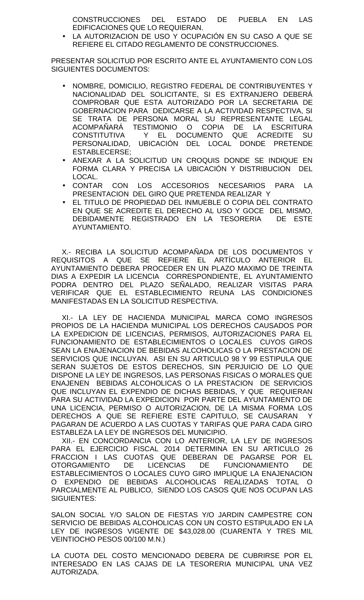CONSTRUCCIONES DEL ESTADO DE PUEBLA EN LAS EDIFICACIONES QUE LO REQUIERAN.

 LA AUTORIZACION DE USO Y OCUPACIÓN EN SU CASO A QUE SE REFIERE EL CITADO REGLAMENTO DE CONSTRUCCIONES.

PRESENTAR SOLICITUD POR ESCRITO ANTE EL AYUNTAMIENTO CON LOS SIGUIENTES DOCUMENTOS:

- NOMBRE, DOMICILIO, REGISTRO FEDERAL DE CONTRIBUYENTES Y NACIONALIDAD DEL SOLICITANTE, SI ES EXTRANJERO DEBERÁ COMPROBAR QUE ESTA AUTORIZADO POR LA SECRETARIA DE GOBERNACION PARA DEDICARSE A LA ACTIVIDAD RESPECTIVA, SI SE TRATA DE PERSONA MORAL SU REPRESENTANTE LEGAL ACOMPAÑARÁ TESTIMONIO O COPIA DE LA ESCRITURA CONSTITUTIVA Y EL DOCUMENTO QUE ACREDITE SU PERSONALIDAD, UBICACIÓN DEL LOCAL DONDE PRETENDE ESTABLECERSE;
- ANEXAR A LA SOLICITUD UN CROQUIS DONDE SE INDIQUE EN FORMA CLARA Y PRECISA LA UBICACIÓN Y DISTRIBUCION DEL LOCAL.
- CONTAR CON LOS ACCESORIOS NECESARIOS PARA LA PRESENTACION DEL GIRO QUE PRETENDA REALIZAR Y
- EL TITULO DE PROPIEDAD DEL INMUEBLE O COPIA DEL CONTRATO EN QUE SE ACREDITE EL DERECHO AL USO Y GOCE DEL MISMO, DEBIDAMENTE REGISTRADO EN LA TESORERIA DE ESTE AYUNTAMIENTO.

X.- RECIBA LA SOLICITUD ACOMPAÑADA DE LOS DOCUMENTOS Y REQUISITOS A QUE SE REFIERE EL ARTÍCULO ANTERIOR EL AYUNTAMIENTO DEBERA PROCEDER EN UN PLAZO MAXIMO DE TREINTA DIAS A EXPEDIR LA LICENCIA CORRESPONDIENTE, EL AYUNTAMIENTO PODRA DENTRO DEL PLAZO SEÑALADO, REALIZAR VISITAS PARA VERIFICAR QUE EL ESTABLECIMIENTO REUNA LAS CONDICIONES MANIFESTADAS EN LA SOLICITUD RESPECTIVA.

XI.- LA LEY DE HACIENDA MUNICIPAL MARCA COMO INGRESOS PROPIOS DE LA HACIENDA MUNICIPAL LOS DERECHOS CAUSADOS POR LA EXPEDICION DE LICENCIAS, PERMISOS, AUTORIZACIONES PARA EL FUNCIONAMIENTO DE ESTABLECIMIENTOS O LOCALES CUYOS GIROS SEAN LA ENAJENACION DE BEBIDAS ALCOHOLICAS O LA PRESTACION DE SERVICIOS QUE INCLUYAN. ASI EN SU ARTICULO 98 Y 99 ESTIPULA QUE SERAN SUJETOS DE ESTOS DERECHOS, SIN PERJUICIO DE LO QUE DISPONE LA LEY DE INGRESOS, LAS PERSONAS FISICAS O MORALES QUE ENAJENEN BEBIDAS ALCOHOLICAS O LA PRESTACION DE SERVICIOS QUE INCLUYAN EL EXPENDIO DE DICHAS BEBIDAS, Y QUE REQUIERAN PARA SU ACTIVIDAD LA EXPEDICION POR PARTE DEL AYUNTAMIENTO DE UNA LICENCIA, PERMISO O AUTORIZACION, DE LA MISMA FORMA LOS DERECHOS A QUE SE REFIERE ESTE CAPITULO, SE CAUSARAN Y PAGARAN DE ACUERDO A LAS CUOTAS Y TARIFAS QUE PARA CADA GIRO ESTABLEZA LA LEY DE INGRESOS DEL MUNICIPIO.

XII.- EN CONCORDANCIA CON LO ANTERIOR, LA LEY DE INGRESOS PARA EL EJERCICIO FISCAL 2014 DETERMINA EN SU ARTICULO 26 FRACCION I LAS CUOTAS QUE DEBERAN DE PAGARSE POR EL OTORGAMIENTO DE LICENCIAS DE FUNCIONAMIENTO DE ESTABLECIMIENTOS O LOCALES CUYO GIRO IMPLIQUE LA ENAJENACION O EXPENDIO DE BEBIDAS ALCOHOLICAS REALIZADAS TOTAL O PARCIALMENTE AL PUBLICO, SIENDO LOS CASOS QUE NOS OCUPAN LAS SIGUIENTES:

SALON SOCIAL Y/O SALON DE FIESTAS Y/O JARDIN CAMPESTRE CON SERVICIO DE BEBIDAS ALCOHOLICAS CON UN COSTO ESTIPULADO EN LA LEY DE INGRESOS VIGENTE DE \$43,028.00 (CUARENTA Y TRES MIL VEINTIOCHO PESOS 00/100 M.N.)

LA CUOTA DEL COSTO MENCIONADO DEBERA DE CUBRIRSE POR EL INTERESADO EN LAS CAJAS DE LA TESORERIA MUNICIPAL UNA VEZ AUTORIZADA.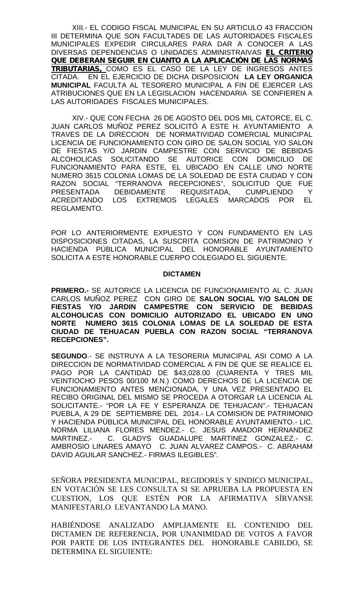XIII.- EL CODIGO FISCAL MUNICIPAL EN SU ARTICULO 43 FRACCION III DETERMINA QUE SON FACULTADES DE LAS AUTORIDADES FISCALES MUNICIPALES EXPEDIR CIRCULARES PARA DAR A CONOCER A LAS DIVERSAS DEPENDENCIAS O UNIDADES ADMINISTRAIVAS *EL CRITERIO QUE DEBERAN SEGUIR EN CUANTO A LA APLICACIÓN DE LAS NORMAS TRIBUTARIAS,* COMO ES EL CASO DE LA LEY DE INGRESOS ANTES CITADA. EN EL EJERCICIO DE DICHA DISPOSICION **LA LEY ORGANICA MUNICIPAL** FACULTA AL TESORERO MUNICIPAL A FIN DE EJERCER LAS ATRIBUCIONES QUE EN LA LEGISLACION HACENDARIA SE CONFIEREN A LAS AUTORIDADES FISCALES MUNICIPALES.

XIV.- QUE CON FECHA 26 DE AGOSTO DEL DOS MIL CATORCE, EL C. JUAN CARLOS MUÑOZ PEREZ SOLICITÓ A ESTE H. AYUNTAMIENTO A TRAVES DE LA DIRECCION DE NORMATIVIDAD COMERCIAL MUNICIPAL LICENCIA DE FUNCIONAMIENTO CON GIRO DE SALON SOCIAL Y/O SALON DE FIESTAS Y/O JARDIN CAMPESTRE CON SERVICIO DE BEBIDAS ALCOHOLICAS SOLICITANDO SE AUTORICE CON DOMICILIO DE FUNCIONAMIENTO PARA ESTE, EL UBICADO EN CALLE UNO NORTE NUMERO 3615 COLONIA LOMAS DE LA SOLEDAD DE ESTA CIUDAD Y CON RAZON SOCIAL "TERRANOVA RECEPCIONES", SOLICITUD QUE FUE PRESENTADA DEBIDAMENTE REQUISITADA, CUMPLIENDO Y ACREDITANDO LOS EXTREMOS LEGALES MARCADOS POR EL REGLAMENTO.

POR LO ANTERIORMENTE EXPUESTO Y CON FUNDAMENTO EN LAS DISPOSICIONES CITADAS, LA SUSCRITA COMISION DE PATRIMONIO Y HACIENDA PÚBLICA MUNICIPAL DEL HONORABLE AYUNTAMIENTO SOLICITA A ESTE HONORABLE CUERPO COLEGIADO EL SIGUIENTE.

#### **DICTAMEN**

**PRIMERO.-** SE AUTORICE LA LICENCIA DE FUNCIONAMIENTO AL C. JUAN CARLOS MUÑOZ PEREZ CON GIRO DE **SALON SOCIAL Y/O SALON DE FIESTAS Y/O JARDIN CAMPESTRE CON SERVICIO DE BEBIDAS ALCOHOLICAS CON DOMICILIO AUTORIZADO EL UBICADO EN UNO NORTE NUMERO 3615 COLONIA LOMAS DE LA SOLEDAD DE ESTA CIUDAD DE TEHUACAN PUEBLA CON RAZON SOCIAL "TERRANOVA RECEPCIONES".**

**SEGUNDO**.- SE INSTRUYA A LA TESORERIA MUNICIPAL ASI COMO A LA DIRECCION DE NORMATIVIDAD COMERCIAL A FIN DE QUE SE REALICE EL PAGO POR LA CANTIDAD DE \$43,028.00 (CUARENTA Y TRES MIL VEINTIOCHO PESOS 00/100 M.N.) COMO DERECHOS DE LA LICENCIA DE FUNCIONAMIENTO ANTES MENCIONADA, Y UNA VEZ PRESENTADO EL RECIBO ORIGINAL DEL MISMO SE PROCEDA A OTORGAR LA LICENCIA AL SOLICITANTE.- "POR LA FE Y ESPERANZA DE TEHUACAN".- TEHUACAN PUEBLA, A 29 DE SEPTIEMBRE DEL 2014.- LA COMISION DE PATRIMONIO Y HACIENDA PÚBLICA MUNICIPAL DEL HONORABLE AYUNTAMIENTO.- LIC. NORMA LILIANA FLORES MENDEZ.- C. JESUS AMADOR HERNANDEZ MARTINEZ.- C. GLADYS GUADALUPE MARTINEZ GONZALEZ.- C. AMBROSIO LINARES AMAYO C. JUAN ALVAREZ CAMPOS.- C. ABRAHAM DAVID AGUILAR SANCHEZ.- FIRMAS ILEGIBLES".

SEÑORA PRESIDENTA MUNICIPAL, REGIDORES Y SINDICO MUNICIPAL, EN VOTACIÓN SE LES CONSULTA SI SE APRUEBA LA PROPUESTA EN CUESTION, LOS QUE ESTÉN POR LA AFIRMATIVA SÍRVANSE MANIFESTARLO LEVANTANDO LA MANO.

HABIÉNDOSE ANALIZADO AMPLIAMENTE EL CONTENIDO DEL DICTAMEN DE REFERENCIA, POR UNANIMIDAD DE VOTOS A FAVOR POR PARTE DE LOS INTEGRANTES DEL HONORABLE CABILDO, SE DETERMINA EL SIGUIENTE: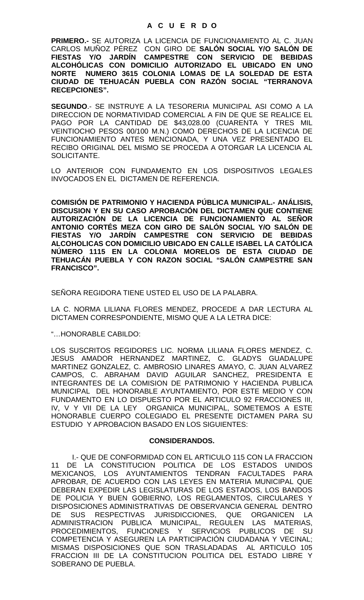### **A C U E R D O**

**PRIMERO.-** SE AUTORIZA LA LICENCIA DE FUNCIONAMIENTO AL C. JUAN CARLOS MUÑOZ PÉREZ CON GIRO DE **SALÓN SOCIAL Y/O SALÓN DE FIESTAS Y/O JARDÍN CAMPESTRE CON SERVICIO DE BEBIDAS ALCOHÓLICAS CON DOMICILIO AUTORIZADO EL UBICADO EN UNO NORTE NUMERO 3615 COLONIA LOMAS DE LA SOLEDAD DE ESTA CIUDAD DE TEHUACÁN PUEBLA CON RAZÓN SOCIAL "TERRANOVA RECEPCIONES".**

**SEGUNDO**.- SE INSTRUYE A LA TESORERIA MUNICIPAL ASI COMO A LA DIRECCION DE NORMATIVIDAD COMERCIAL A FIN DE QUE SE REALICE EL PAGO POR LA CANTIDAD DE \$43,028.00 (CUARENTA Y TRES MIL VEINTIOCHO PESOS 00/100 M.N.) COMO DERECHOS DE LA LICENCIA DE FUNCIONAMIENTO ANTES MENCIONADA, Y UNA VEZ PRESENTADO EL RECIBO ORIGINAL DEL MISMO SE PROCEDA A OTORGAR LA LICENCIA AL SOLICITANTE.

LO ANTERIOR CON FUNDAMENTO EN LOS DISPOSITIVOS LEGALES INVOCADOS EN EL DICTAMEN DE REFERENCIA.

**COMISIÓN DE PATRIMONIO Y HACIENDA PÚBLICA MUNICIPAL.- ANÁLISIS, DISCUSION Y EN SU CASO APROBACIÓN DEL DICTAMEN QUE CONTIENE AUTORIZACIÓN DE LA LICENCIA DE FUNCIONAMIENTO AL SEÑOR ANTONIO CORTÉS MEZA CON GIRO DE SALÓN SOCIAL Y/O SALÓN DE FIESTAS Y/O JARDÍN CAMPESTRE CON SERVICIO DE BEBIDAS ALCOHOLICAS CON DOMICILIO UBICADO EN CALLE ISABEL LA CATÓLICA NÚMERO 1115 EN LA COLONIA MORELOS DE ESTA CIUDAD DE TEHUACÁN PUEBLA Y CON RAZON SOCIAL "SALÓN CAMPESTRE SAN FRANCISCO".**

SEÑORA REGIDORA TIENE USTED EL USO DE LA PALABRA.

LA C. NORMA LILIANA FLORES MENDEZ, PROCEDE A DAR LECTURA AL DICTAMEN CORRESPONDIENTE, MISMO QUE A LA LETRA DICE:

"…HONORABLE CABILDO:

LOS SUSCRITOS REGIDORES LIC. NORMA LILIANA FLORES MENDEZ, C. JESUS AMADOR HERNANDEZ MARTINEZ, C. GLADYS GUADALUPE MARTINEZ GONZALEZ, C. AMBROSIO LINARES AMAYO, C. JUAN ALVAREZ CAMPOS, C. ABRAHAM DAVID AGUILAR SANCHEZ, PRESIDENTA E INTEGRANTES DE LA COMISION DE PATRIMONIO Y HACIENDA PUBLICA MUNICIPAL DEL HONORABLE AYUNTAMIENTO, POR ESTE MEDIO Y CON FUNDAMENTO EN LO DISPUESTO POR EL ARTICULO 92 FRACCIONES III, IV, V Y VII DE LA LEY ORGANICA MUNICIPAL, SOMETEMOS A ESTE HONORABLE CUERPO COLEGIADO EL PRESENTE DICTAMEN PARA SU ESTUDIO Y APROBACION BASADO EN LOS SIGUIENTES:

#### **CONSIDERANDOS.**

I.- QUE DE CONFORMIDAD CON EL ARTICULO 115 CON LA FRACCION 11 DE LA CONSTITUCION POLITICA DE LOS ESTADOS UNIDOS MEXICANOS, LOS AYUNTAMIENTOS TENDRAN FACULTADES PARA APROBAR, DE ACUERDO CON LAS LEYES EN MATERIA MUNICIPAL QUE DEBERAN EXPEDIR LAS LEGISLATURAS DE LOS ESTADOS, LOS BANDOS DE POLICIA Y BUEN GOBIERNO, LOS REGLAMENTOS, CIRCULARES Y DISPOSICIONES ADMINISTRATIVAS DE OBSERVANCIA GENERAL DENTRO DE SUS RESPECTIVAS JURISDICCIONES, QUE ORGANICEN LA ADMINISTRACION PUBLICA MUNICIPAL, REGULEN LAS MATERIAS, PROCEDIMIENTOS, FUNCIONES Y SERVICIOS PUBLICOS DE SU COMPETENCIA Y ASEGUREN LA PARTICIPACIÓN CIUDADANA Y VECINAL; MISMAS DISPOSICIONES QUE SON TRASLADADAS AL ARTICULO 105 FRACCION III DE LA CONSTITUCION POLITICA DEL ESTADO LIBRE Y SOBERANO DE PUEBLA.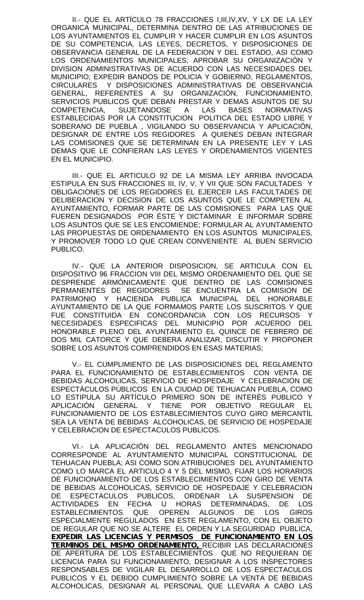II.- QUE EL ARTÍCULO 78 FRACCIONES I,III,IV,XV, Y LX DE LA LEY ORGANICA MUNICIPAL, DETERMINA DENTRO DE LAS ATRIBUCIONES DE LOS AYUNTAMIENTOS EL CUMPLIR Y HACER CUMPLIR EN LOS ASUNTOS DE SU COMPETENCIA, LAS LEYES, DECRETOS, Y DISPOSICIONES DE OBSERVANCIA GENERAL DE LA FEDERACION Y DEL ESTADO, ASI COMO LOS ORDENAMIENTOS MUNICIPALES; APROBAR SU ORGANIZACIÓN Y DIVISION ADMINISTRATIVAS DE ACUERDO CON LAS NECESIDADES DEL MUNICIPIO; EXPEDIR BANDOS DE POLICIA Y GOBIERNO, REGLAMENTOS, CIRCULARES Y DISPOSICIONES ADMINISTRATIVAS DE OBSERVANCIA GENERAL, REFERENTES A SU ORGANIZACIÓN, FUNCIONAMIENTO, SERVICIOS PUBLICOS QUE DEBAN PRESTAR Y DEMAS ASUNTOS DE SU COMPETENCIA, SUJETANDOSE A LAS BASES NORMATIVAS ESTABLECIDAS POR LA CONSTITUCION POLITICA DEL ESTADO LIBRE Y SOBERANO DE PUEBLA , VIGILANDO SU OBSERVANCIA Y APLICACIÓN, DESIGNAR DE ENTRE LOS REGIDORES A QUIENES DEBAN INTEGRAR LAS COMISIONES QUE SE DETERMINAN EN LA PRESENTE LEY Y LAS DEMAS QUE LE CONFIERAN LAS LEYES Y ORDENAMIENTOS VIGENTES EN EL MUNICIPIO.

III.- QUE EL ARTICULO 92 DE LA MISMA LEY ARRIBA INVOCADA ESTIPULA EN SUS FRACCIONES III, IV, V, Y VII QUE SON FACULTADES Y OBLIGACIONES DE LOS REGIDORES EL EJERCER LAS FACULTADES DE DELIBERACION Y DECISION DE LOS ASUNTOS QUE LE COMPETEN AL AYUNTAMIENTO, FORMAR PARTE DE LAS COMISIONES PARA LAS QUE FUEREN DESIGNADOS POR ÉSTE Y DICTAMINAR E INFORMAR SOBRE LOS ASUNTOS QUE SE LES ENCOMIENDE; FORMULAR AL AYUNTAMIENTO LAS PROPUESTAS DE ORDENAMIENTO EN LOS ASUNTOS MUNICIPALES, Y PROMOVER TODO LO QUE CREAN CONVENIENTE AL BUEN SERVICIO PUBLICO.

IV.- QUE LA ANTERIOR DISPOSICION, SE ARTICULA CON EL DISPOSITIVO 96 FRACCION VIII DEL MISMO ORDENAMIENTO DEL QUE SE DESPRENDE ARMÓNICAMENTE QUE DENTRO DE LAS COMISIONES PERMANENTES DE REGIDORES SE ENCUENTRA LA COMISION DE PATRIMONIO Y HACIENDA PUBLICA MUNICIPAL DEL HONORABLE AYUNTAMIENTO DE LA QUE FORMAMOS PARTE LOS SUSCRITOS Y QUE FUE CONSTITUIDA EN CONCORDANCIA CON LOS RECURSOS Y NECESIDADES ESPECIFICAS DEL MUNICIPIO POR ACUERDO DEL HONORABLE PLENO DEL AYUNTAMIENTO EL QUINCE DE FEBRERO DE DOS MIL CATORCE Y QUE DEBERA ANALIZAR, DISCUTIR Y PROPONER SOBRE LOS ASUNTOS COMPRENDIDOS EN ESAS MATERIAS;

V.- EL CUMPLIMIENTO DE LAS DISPOSICIONES DEL REGLAMENTO PARA EL FUNCIONAMIENTO DE ESTABLECIMIENTOS CON VENTA DE BEBIDAS ALCOHOLICAS, SERVICIO DE HOSPEDAJE Y CELEBRACION DE ESPECTÁCULOS PÚBLICOS EN LA CIUDAD DE TEHUACAN PUEBLA, COMO LO ESTIPULA SU ARTÍCULO PRIMERO SON DE INTERÉS PÚBLICO Y APLICACIÓN GENERAL Y TIENE POR OBJETIVO REGULAR EL FUNCIONAMIENTO DE LOS ESTABLECIMIENTOS CUYO GIRO MERCANTÍL SEA LA VENTA DE BEBIDAS ALCOHOLICAS, DE SERVICIO DE HOSPEDAJE Y CELEBRACION DE ESPECTACULOS PUBLICOS.

VI.- LA APLICACIÓN DEL REGLAMENTO ANTES MENCIONADO CORRESPONDE AL AYUNTAMIENTO MUNICIPAL CONSTITUCIONAL DE TEHUACAN PUEBLA; ASI COMO SON ATRIBUCIONES DEL AYUNTAMIENTO COMO LO MARCA EL ARTICULO 4 Y 5 DEL MISMO, FIJAR LOS HORARIOS DE FUNCIONAMIENTO DE LOS ESTABLECIMIENTOS CON GIRO DE VENTA DE BEBIDAS ALCOHOLICAS, SERVICIO DE HOSPEDAJE Y CELEBRACION DE ESPECTACULOS PUBLICOS, ORDENAR LA SUSPENSION DE ACTIVIDADES EN FECHA U HORAS DETERMINADAS, DE LOS<br>ESTABLECIMIENTOS QUE OPEREN ALGUNOS DE LOS GIROS ESTABLECIMIENTOS QUE OPEREN ALGUNOS DE LOS GIROS ESPECIALMENTE REGULADOS EN ESTE REGLAMENTO, CON EL OBJETO DE REGULAR QUE NO SE ALTERE EL ORDEN Y LA SEGURIDAD PUBLICA, *EXPEDIR LAS LICENCIAS Y PERMISOS DE FUNCIONAMIENTO EN LOS TERMINOS DEL MISMO ORDENAMIENTO,* RECIBIR LAS DECLARACIONES DE APERTURA DE LOS ESTABLECIMIENTOS QUE NO REQUIERAN DE LICENCIA PARA SU FUNCIONAMIENTO, DESIGNAR A LOS INSPECTORES RESPONSABLES DE VIGILAR EL DESARROLLO DE LOS ESPECTACULOS PUBLICOS Y EL DEBIDO CUMPLIMIENTO SOBRE LA VENTA DE BEBIDAS ALCOHOLICAS, DESIGNAR AL PERSONAL QUE LLEVARA A CABO LAS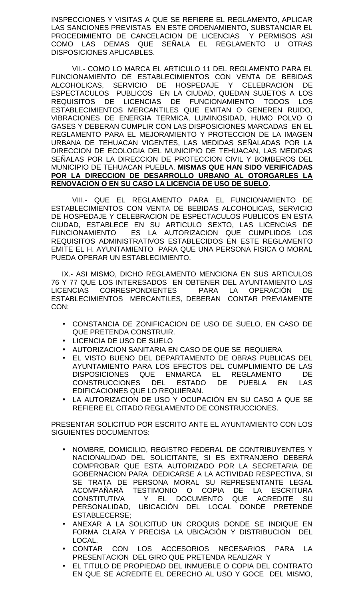INSPECCIONES Y VISITAS A QUE SE REFIERE EL REGLAMENTO, APLICAR LAS SANCIONES PREVISTAS EN ESTE ORDENAMIENTO, SUBSTANCIAR EL PROCEDIMIENTO DE CANCELACION DE LICENCIAS Y PERMISOS ASI COMO LAS DEMAS QUE SEÑALA EL REGLAMENTO U OTRAS DISPOSICIONES APLICABLES.

VII.- COMO LO MARCA EL ARTICULO 11 DEL REGLAMENTO PARA EL FUNCIONAMIENTO DE ESTABLECIMIENTOS CON VENTA DE BEBIDAS ALCOHOLICAS, SERVICIO DE HOSPEDAJE Y CELEBRACION DE ESPECTACULOS PUBLICOS EN LA CIUDAD, QUEDAN SUJETOS A LOS REQUISITOS DE LICENCIAS DE FUNCIONAMIENTO TODOS LOS ESTABLECIMIENTOS MERCANTILES QUE EMITAN O GENEREN RUIDO, VIBRACIONES DE ENERGIA TERMICA, LUMINOSIDAD, HUMO POLVO O GASES Y DEBERAN CUMPLIR CON LAS DISPOSICIONES MARCADAS EN EL REGLAMENTO PARA EL MEJORAMIENTO Y PROTECCION DE LA IMAGEN URBANA DE TEHUACAN VIGENTES, LAS MEDIDAS SEÑALADAS POR LA DIRECCION DE ECOLOGIA DEL MUNICIPIO DE TEHUACAN, LAS MEDIDAS SEÑALAS POR LA DIRECCION DE PROTECCION CIVIL Y BOMBEROS DEL MUNICIPIO DE TEHUACAN PUEBLA. **MISMAS QUE HAN SIDO VERIFICADAS POR LA DIRECCION DE DESARROLLO URBANO AL OTORGARLES LA RENOVACION O EN SU CASO LA LICENCIA DE USO DE SUELO**.

VIII.- QUE EL REGLAMENTO PARA EL FUNCIONAMIENTO DE ESTABLECIMIENTOS CON VENTA DE BEBIDAS ALCOHOLICAS, SERVICIO DE HOSPEDAJE Y CELEBRACION DE ESPECTACULOS PUBLICOS EN ESTA CIUDAD, ESTABLECE EN SU ARTICULO SEXTO, LAS LICENCIAS DE FUNCIONAMIENTO ES LA AUTORIZACION QUE CUMPLIDOS LOS REQUISITOS ADMINISTRATIVOS ESTABLECIDOS EN ESTE REGLAMENTO EMITE EL H. AYUNTAMIENTO PARA QUE UNA PERSONA FISICA O MORAL PUEDA OPERAR UN ESTABLECIMIENTO.

IX.- ASI MISMO, DICHO REGLAMENTO MENCIONA EN SUS ARTICULOS 76 Y 77 QUE LOS INTERESADOS EN OBTENER DEL AYUNTAMIENTO LAS LICENCIAS CORRESPONDIENTES PARA LA OPERACIÓN DE ESTABLECIMIENTOS MERCANTILES, DEBERAN CONTAR PREVIAMENTE CON:

- CONSTANCIA DE ZONIFICACION DE USO DE SUELO, EN CASO DE QUE PRETENDA CONSTRUIR.
- LICENCIA DE USO DE SUELO
- AUTORIZACION SANITARIA EN CASO DE QUE SE REQUIERA
- EL VISTO BUENO DEL DEPARTAMENTO DE OBRAS PUBLICAS DEL AYUNTAMIENTO PARA LOS EFECTOS DEL CUMPLIMIENTO DE LAS DISPOSICIONES QUE ENMARCA EL REGLAMENTO DE CONSTRUCCIONES DEL ESTADO DE PUEBLA EN LAS EDIFICACIONES QUE LO REQUIERAN.
- LA AUTORIZACION DE USO Y OCUPACIÓN EN SU CASO A QUE SE REFIERE EL CITADO REGLAMENTO DE CONSTRUCCIONES.

PRESENTAR SOLICITUD POR ESCRITO ANTE EL AYUNTAMIENTO CON LOS SIGUIENTES DOCUMENTOS:

- NOMBRE, DOMICILIO, REGISTRO FEDERAL DE CONTRIBUYENTES Y NACIONALIDAD DEL SOLICITANTE, SI ES EXTRANJERO DEBERÁ COMPROBAR QUE ESTA AUTORIZADO POR LA SECRETARIA DE GOBERNACION PARA DEDICARSE A LA ACTIVIDAD RESPECTIVA, SI SE TRATA DE PERSONA MORAL SU REPRESENTANTE LEGAL ACOMPAÑARÁ TESTIMONIO O COPIA DE LA ESCRITURA CONSTITUTIVA Y EL DOCUMENTO QUE ACREDITE SU PERSONALIDAD, UBICACIÓN DEL LOCAL DONDE PRETENDE ESTABLECERSE;
- ANEXAR A LA SOLICITUD UN CROQUIS DONDE SE INDIQUE EN FORMA CLARA Y PRECISA LA UBICACIÓN Y DISTRIBUCION DEL LOCAL.
- CONTAR CON LOS ACCESORIOS NECESARIOS PARA LA PRESENTACION DEL GIRO QUE PRETENDA REALIZAR Y
- EL TITULO DE PROPIEDAD DEL INMUEBLE O COPIA DEL CONTRATO EN QUE SE ACREDITE EL DERECHO AL USO Y GOCE DEL MISMO,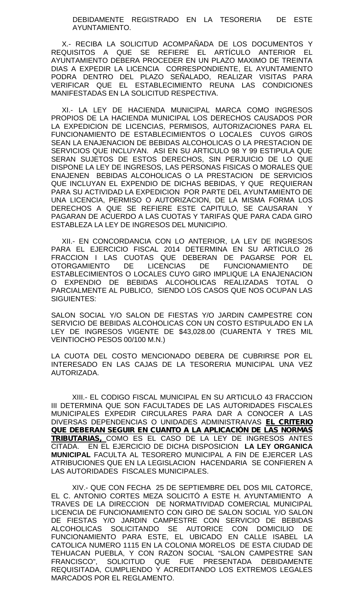#### DEBIDAMENTE REGISTRADO EN LA TESORERIA DE ESTE AYUNTAMIENTO.

X.- RECIBA LA SOLICITUD ACOMPAÑADA DE LOS DOCUMENTOS Y REQUISITOS A QUE SE REFIERE EL ARTÍCULO ANTERIOR EL AYUNTAMIENTO DEBERA PROCEDER EN UN PLAZO MAXIMO DE TREINTA DIAS A EXPEDIR LA LICENCIA CORRESPONDIENTE, EL AYUNTAMIENTO PODRA DENTRO DEL PLAZO SEÑALADO, REALIZAR VISITAS PARA VERIFICAR QUE EL ESTABLECIMIENTO REUNA LAS CONDICIONES MANIFESTADAS EN LA SOLICITUD RESPECTIVA.

XI.- LA LEY DE HACIENDA MUNICIPAL MARCA COMO INGRESOS PROPIOS DE LA HACIENDA MUNICIPAL LOS DERECHOS CAUSADOS POR LA EXPEDICION DE LICENCIAS, PERMISOS, AUTORIZACIONES PARA EL FUNCIONAMIENTO DE ESTABLECIMIENTOS O LOCALES CUYOS GIROS SEAN LA ENAJENACION DE BEBIDAS ALCOHOLICAS O LA PRESTACION DE SERVICIOS QUE INCLUYAN. ASI EN SU ARTICULO 98 Y 99 ESTIPULA QUE SERAN SUJETOS DE ESTOS DERECHOS, SIN PERJUICIO DE LO QUE DISPONE LA LEY DE INGRESOS, LAS PERSONAS FISICAS O MORALES QUE ENAJENEN BEBIDAS ALCOHOLICAS O LA PRESTACION DE SERVICIOS QUE INCLUYAN EL EXPENDIO DE DICHAS BEBIDAS, Y QUE REQUIERAN PARA SU ACTIVIDAD LA EXPEDICION POR PARTE DEL AYUNTAMIENTO DE UNA LICENCIA, PERMISO O AUTORIZACION, DE LA MISMA FORMA LOS DERECHOS A QUE SE REFIERE ESTE CAPITULO, SE CAUSARAN Y PAGARAN DE ACUERDO A LAS CUOTAS Y TARIFAS QUE PARA CADA GIRO ESTABLEZA LA LEY DE INGRESOS DEL MUNICIPIO.

XII.- EN CONCORDANCIA CON LO ANTERIOR, LA LEY DE INGRESOS PARA EL EJERCICIO FISCAL 2014 DETERMINA EN SU ARTICULO 26 FRACCION I LAS CUOTAS QUE DEBERAN DE PAGARSE POR EL OTORGAMIENTO DE LICENCIAS DE FUNCIONAMIENTO DE ESTABLECIMIENTOS O LOCALES CUYO GIRO IMPLIQUE LA ENAJENACION O EXPENDIO DE BEBIDAS ALCOHOLICAS REALIZADAS TOTAL O PARCIALMENTE AL PUBLICO, SIENDO LOS CASOS QUE NOS OCUPAN LAS SIGUIENTES:

SALON SOCIAL Y/O SALON DE FIESTAS Y/O JARDIN CAMPESTRE CON SERVICIO DE BEBIDAS ALCOHOLICAS CON UN COSTO ESTIPULADO EN LA LEY DE INGRESOS VIGENTE DE \$43,028.00 (CUARENTA Y TRES MIL VEINTIOCHO PESOS 00/100 M.N.)

LA CUOTA DEL COSTO MENCIONADO DEBERA DE CUBRIRSE POR EL INTERESADO EN LAS CAJAS DE LA TESORERIA MUNICIPAL UNA VEZ AUTORIZADA.

XIII.- EL CODIGO FISCAL MUNICIPAL EN SU ARTICULO 43 FRACCION III DETERMINA QUE SON FACULTADES DE LAS AUTORIDADES FISCALES MUNICIPALES EXPEDIR CIRCULARES PARA DAR A CONOCER A LAS DIVERSAS DEPENDENCIAS O UNIDADES ADMINISTRAIVAS *EL CRITERIO QUE DEBERAN SEGUIR EN CUANTO A LA APLICACIÓN DE LAS NORMAS TRIBUTARIAS,* COMO ES EL CASO DE LA LEY DE INGRESOS ANTES CITADA. EN EL EJERCICIO DE DICHA DISPOSICION **LA LEY ORGANICA MUNICIPAL** FACULTA AL TESORERO MUNICIPAL A FIN DE EJERCER LAS ATRIBUCIONES QUE EN LA LEGISLACION HACENDARIA SE CONFIEREN A LAS AUTORIDADES FISCALES MUNICIPALES.

XIV.- QUE CON FECHA 25 DE SEPTIEMBRE DEL DOS MIL CATORCE, EL C. ANTONIO CORTES MEZA SOLICITÓ A ESTE H. AYUNTAMIENTO A TRAVES DE LA DIRECCION DE NORMATIVIDAD COMERCIAL MUNICIPAL LICENCIA DE FUNCIONAMIENTO CON GIRO DE SALON SOCIAL Y/O SALON DE FIESTAS Y/O JARDIN CAMPESTRE CON SERVICIO DE BEBIDAS ALCOHOLICAS SOLICITANDO SE AUTORICE CON DOMICILIO DE FUNCIONAMIENTO PARA ESTE, EL UBICADO EN CALLE ISABEL LA CATOLICA NUMERO 1115 EN LA COLONIA MORELOS DE ESTA CIUDAD DE TEHUACAN PUEBLA, Y CON RAZON SOCIAL "SALON CAMPESTRE SAN FRANCISCO", SOLICITUD QUE FUE PRESENTADA DEBIDAMENTE REQUISITADA, CUMPLIENDO Y ACREDITANDO LOS EXTREMOS LEGALES MARCADOS POR EL REGLAMENTO.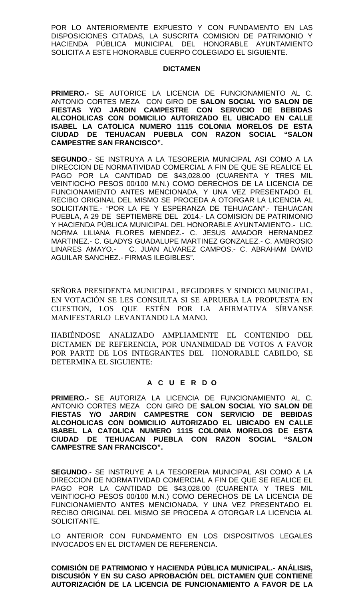POR LO ANTERIORMENTE EXPUESTO Y CON FUNDAMENTO EN LAS DISPOSICIONES CITADAS, LA SUSCRITA COMISION DE PATRIMONIO Y HACIENDA PÚBLICA MUNICIPAL DEL HONORABLE AYUNTAMIENTO SOLICITA A ESTE HONORABLE CUERPO COLEGIADO EL SIGUIENTE.

# **DICTAMEN**

**PRIMERO.-** SE AUTORICE LA LICENCIA DE FUNCIONAMIENTO AL C. ANTONIO CORTES MEZA CON GIRO DE **SALON SOCIAL Y/O SALON DE FIESTAS Y/O JARDIN CAMPESTRE CON SERVICIO DE BEBIDAS ALCOHOLICAS CON DOMICILIO AUTORIZADO EL UBICADO EN CALLE ISABEL LA CATOLICA NUMERO 1115 COLONIA MORELOS DE ESTA CIUDAD DE TEHUACAN PUEBLA CON RAZON SOCIAL "SALON CAMPESTRE SAN FRANCISCO".**

**SEGUNDO**.- SE INSTRUYA A LA TESORERIA MUNICIPAL ASI COMO A LA DIRECCION DE NORMATIVIDAD COMERCIAL A FIN DE QUE SE REALICE EL PAGO POR LA CANTIDAD DE \$43,028.00 (CUARENTA Y TRES MIL VEINTIOCHO PESOS 00/100 M.N.) COMO DERECHOS DE LA LICENCIA DE FUNCIONAMIENTO ANTES MENCIONADA, Y UNA VEZ PRESENTADO EL RECIBO ORIGINAL DEL MISMO SE PROCEDA A OTORGAR LA LICENCIA AL SOLICITANTE.- "POR LA FE Y ESPERANZA DE TEHUACAN".- TEHUACAN PUEBLA, A 29 DE SEPTIEMBRE DEL 2014.- LA COMISION DE PATRIMONIO Y HACIENDA PÚBLICA MUNICIPAL DEL HONORABLE AYUNTAMIENTO.- LIC. NORMA LILIANA FLORES MENDEZ.- C. JESUS AMADOR HERNANDEZ MARTINEZ.- C. GLADYS GUADALUPE MARTINEZ GONZALEZ.- C. AMBROSIO LINARES AMAYO.- C. JUAN ALVAREZ CAMPOS.- C. ABRAHAM DAVID AGUILAR SANCHEZ.- FIRMAS ILEGIBLES".

SEÑORA PRESIDENTA MUNICIPAL, REGIDORES Y SINDICO MUNICIPAL, EN VOTACIÓN SE LES CONSULTA SI SE APRUEBA LA PROPUESTA EN CUESTION, LOS QUE ESTÉN POR LA AFIRMATIVA SÍRVANSE MANIFESTARLO LEVANTANDO LA MANO.

HABIÉNDOSE ANALIZADO AMPLIAMENTE EL CONTENIDO DEL DICTAMEN DE REFERENCIA, POR UNANIMIDAD DE VOTOS A FAVOR POR PARTE DE LOS INTEGRANTES DEL HONORABLE CABILDO, SE DETERMINA EL SIGUIENTE:

# **A C U E R D O**

**PRIMERO.-** SE AUTORIZA LA LICENCIA DE FUNCIONAMIENTO AL C. ANTONIO CORTES MEZA CON GIRO DE **SALON SOCIAL Y/O SALON DE FIESTAS Y/O JARDIN CAMPESTRE CON SERVICIO DE BEBIDAS ALCOHOLICAS CON DOMICILIO AUTORIZADO EL UBICADO EN CALLE ISABEL LA CATOLICA NUMERO 1115 COLONIA MORELOS DE ESTA CIUDAD DE TEHUACAN PUEBLA CON RAZON SOCIAL "SALON CAMPESTRE SAN FRANCISCO".**

**SEGUNDO**.- SE INSTRUYE A LA TESORERIA MUNICIPAL ASI COMO A LA DIRECCION DE NORMATIVIDAD COMERCIAL A FIN DE QUE SE REALICE EL PAGO POR LA CANTIDAD DE \$43,028.00 (CUARENTA Y TRES MIL VEINTIOCHO PESOS 00/100 M.N.) COMO DERECHOS DE LA LICENCIA DE FUNCIONAMIENTO ANTES MENCIONADA, Y UNA VEZ PRESENTADO EL RECIBO ORIGINAL DEL MISMO SE PROCEDA A OTORGAR LA LICENCIA AL SOLICITANTE.

LO ANTERIOR CON FUNDAMENTO EN LOS DISPOSITIVOS LEGALES INVOCADOS EN EL DICTAMEN DE REFERENCIA.

**COMISIÓN DE PATRIMONIO Y HACIENDA PÚBLICA MUNICIPAL.- ANÁLISIS, DISCUSIÓN Y EN SU CASO APROBACIÓN DEL DICTAMEN QUE CONTIENE AUTORIZACIÓN DE LA LICENCIA DE FUNCIONAMIENTO A FAVOR DE LA**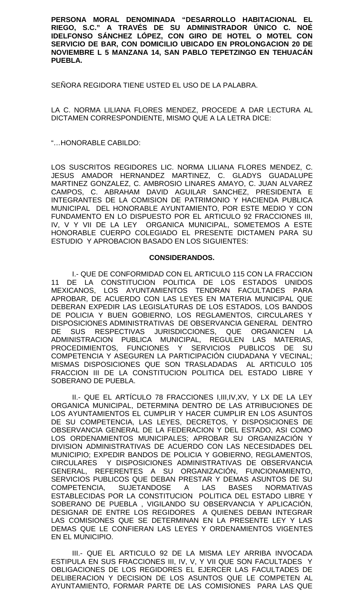**PERSONA MORAL DENOMINADA "DESARROLLO HABITACIONAL EL RIEGO, S.C." A TRAVÉS DE SU ADMINISTRADOR ÚNICO C. NOÉ IDELFONSO SÁNCHEZ LÓPEZ, CON GIRO DE HOTEL O MOTEL CON SERVICIO DE BAR, CON DOMICILIO UBICADO EN PROLONGACION 20 DE NOVIEMBRE L 5 MANZANA 14, SAN PABLO TEPETZINGO EN TEHUACÁN PUEBLA.**

SEÑORA REGIDORA TIENE USTED EL USO DE LA PALABRA.

LA C. NORMA LILIANA FLORES MENDEZ, PROCEDE A DAR LECTURA AL DICTAMEN CORRESPONDIENTE, MISMO QUE A LA LETRA DICE:

"…HONORABLE CABILDO:

LOS SUSCRITOS REGIDORES LIC. NORMA LILIANA FLORES MENDEZ, C. JESUS AMADOR HERNANDEZ MARTINEZ, C. GLADYS GUADALUPE MARTINEZ GONZALEZ, C. AMBROSIO LINARES AMAYO, C. JUAN ALVAREZ CAMPOS, C. ABRAHAM DAVID AGUILAR SANCHEZ, PRESIDENTA E INTEGRANTES DE LA COMISION DE PATRIMONIO Y HACIENDA PUBLICA MUNICIPAL DEL HONORABLE AYUNTAMIENTO, POR ESTE MEDIO Y CON FUNDAMENTO EN LO DISPUESTO POR EL ARTICULO 92 FRACCIONES III, IV, V Y VII DE LA LEY ORGANICA MUNICIPAL, SOMETEMOS A ESTE HONORABLE CUERPO COLEGIADO EL PRESENTE DICTAMEN PARA SU ESTUDIO Y APROBACION BASADO EN LOS SIGUIENTES:

## **CONSIDERANDOS.**

I.- QUE DE CONFORMIDAD CON EL ARTICULO 115 CON LA FRACCION 11 DE LA CONSTITUCION POLITICA DE LOS ESTADOS UNIDOS MEXICANOS, LOS AYUNTAMIENTOS TENDRAN FACULTADES PARA APROBAR, DE ACUERDO CON LAS LEYES EN MATERIA MUNICIPAL QUE DEBERAN EXPEDIR LAS LEGISLATURAS DE LOS ESTADOS, LOS BANDOS DE POLICIA Y BUEN GOBIERNO, LOS REGLAMENTOS, CIRCULARES Y DISPOSICIONES ADMINISTRATIVAS DE OBSERVANCIA GENERAL DENTRO DE SUS RESPECTIVAS JURISDICCIONES, QUE ORGANICEN LA ADMINISTRACION PUBLICA MUNICIPAL, REGULEN LAS MATERIAS, PROCEDIMIENTOS, FUNCIONES Y SERVICIOS PUBLICOS DE SU COMPETENCIA Y ASEGUREN LA PARTICIPACIÓN CIUDADANA Y VECINAL; MISMAS DISPOSICIONES QUE SON TRASLADADAS AL ARTICULO 105 FRACCION III DE LA CONSTITUCION POLITICA DEL ESTADO LIBRE Y SOBERANO DE PUEBLA.

II.- QUE EL ARTÍCULO 78 FRACCIONES I,III,IV,XV, Y LX DE LA LEY ORGANICA MUNICIPAL, DETERMINA DENTRO DE LAS ATRIBUCIONES DE LOS AYUNTAMIENTOS EL CUMPLIR Y HACER CUMPLIR EN LOS ASUNTOS DE SU COMPETENCIA, LAS LEYES, DECRETOS, Y DISPOSICIONES DE OBSERVANCIA GENERAL DE LA FEDERACION Y DEL ESTADO, ASI COMO LOS ORDENAMIENTOS MUNICIPALES; APROBAR SU ORGANIZACIÓN Y DIVISION ADMINISTRATIVAS DE ACUERDO CON LAS NECESIDADES DEL MUNICIPIO; EXPEDIR BANDOS DE POLICIA Y GOBIERNO, REGLAMENTOS, CIRCULARES Y DISPOSICIONES ADMINISTRATIVAS DE OBSERVANCIA GENERAL, REFERENTES A SU ORGANIZACIÓN, FUNCIONAMIENTO, SERVICIOS PUBLICOS QUE DEBAN PRESTAR Y DEMAS ASUNTOS DE SU COMPETENCIA, SUJETANDOSE A LAS BASES NORMATIVAS ESTABLECIDAS POR LA CONSTITUCION POLITICA DEL ESTADO LIBRE Y SOBERANO DE PUEBLA , VIGILANDO SU OBSERVANCIA Y APLICACIÓN, DESIGNAR DE ENTRE LOS REGIDORES A QUIENES DEBAN INTEGRAR LAS COMISIONES QUE SE DETERMINAN EN LA PRESENTE LEY Y LAS DEMAS QUE LE CONFIERAN LAS LEYES Y ORDENAMIENTOS VIGENTES EN EL MUNICIPIO.

III.- QUE EL ARTICULO 92 DE LA MISMA LEY ARRIBA INVOCADA ESTIPULA EN SUS FRACCIONES III, IV, V, Y VII QUE SON FACULTADES Y OBLIGACIONES DE LOS REGIDORES EL EJERCER LAS FACULTADES DE DELIBERACION Y DECISION DE LOS ASUNTOS QUE LE COMPETEN AL AYUNTAMIENTO, FORMAR PARTE DE LAS COMISIONES PARA LAS QUE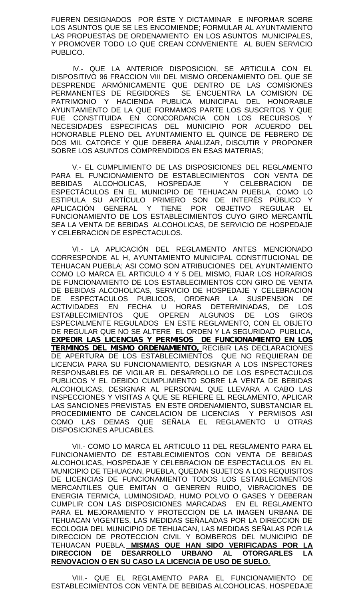FUEREN DESIGNADOS POR ÉSTE Y DICTAMINAR E INFORMAR SOBRE LOS ASUNTOS QUE SE LES ENCOMIENDE; FORMULAR AL AYUNTAMIENTO LAS PROPUESTAS DE ORDENAMIENTO EN LOS ASUNTOS MUNICIPALES, Y PROMOVER TODO LO QUE CREAN CONVENIENTE AL BUEN SERVICIO PUBLICO.

IV.- QUE LA ANTERIOR DISPOSICION, SE ARTICULA CON EL DISPOSITIVO 96 FRACCION VIII DEL MISMO ORDENAMIENTO DEL QUE SE DESPRENDE ARMÓNICAMENTE QUE DENTRO DE LAS COMISIONES PERMANENTES DE REGIDORES SE ENCUENTRA LA COMISION DE PATRIMONIO Y HACIENDA PUBLICA MUNICIPAL DEL HONORABLE AYUNTAMIENTO DE LA QUE FORMAMOS PARTE LOS SUSCRITOS Y QUE FUE CONSTITUIDA EN CONCORDANCIA CON LOS RECURSOS Y NECESIDADES ESPECIFICAS DEL MUNICIPIO POR ACUERDO DEL HONORABLE PLENO DEL AYUNTAMIENTO EL QUINCE DE FEBRERO DE DOS MIL CATORCE Y QUE DEBERA ANALIZAR, DISCUTIR Y PROPONER SOBRE LOS ASUNTOS COMPRENDIDOS EN ESAS MATERIAS;

V.- EL CUMPLIMIENTO DE LAS DISPOSICIONES DEL REGLAMENTO PARA EL FUNCIONAMIENTO DE ESTABLECIMIENTOS CON VENTA DE BEBIDAS ALCOHOLICAS, HOSPEDAJE Y CELEBRACION DE ESPECTÁCULOS EN EL MUNICIPIO DE TEHUACAN PUEBLA, COMO LO ESTIPULA SU ARTÍCULO PRIMERO SON DE INTERÉS PÚBLICO Y APLICACIÓN GENERAL Y TIENE POR OBJETIVO REGULAR EL FUNCIONAMIENTO DE LOS ESTABLECIMIENTOS CUYO GIRO MERCANTÍL SEA LA VENTA DE BEBIDAS ALCOHOLICAS, DE SERVICIO DE HOSPEDAJE Y CELEBRACION DE ESPECTACULOS.

VI.- LA APLICACIÓN DEL REGLAMENTO ANTES MENCIONADO CORRESPONDE AL H, AYUNTAMIENTO MUNICIPAL CONSTITUCIONAL DE TEHUACAN PUEBLA; ASI COMO SON ATRIBUCIONES DEL AYUNTAMIENTO COMO LO MARCA EL ARTICULO 4 Y 5 DEL MISMO, FIJAR LOS HORARIOS DE FUNCIONAMIENTO DE LOS ESTABLECIMIENTOS CON GIRO DE VENTA DE BEBIDAS ALCOHOLICAS, SERVICIO DE HOSPEDAJE Y CELEBRACION DE ESPECTACULOS PUBLICOS, ORDENAR LA SUSPENSION DE ACTIVIDADES EN FECHA U HORAS DETERMINADAS, DE LOS ESTABLECIMIENTOS QUE OPEREN ALGUNOS DE LOS GIROS ESPECIALMENTE REGULADOS EN ESTE REGLAMENTO, CON EL OBJETO DE REGULAR QUE NO SE ALTERE EL ORDEN Y LA SEGURIDAD PUBLICA, *EXPEDIR LAS LICENCIAS Y PERMISOS DE FUNCIONAMIENTO EN LOS TERMINOS DEL MISMO ORDENAMIENTO,* RECIBIR LAS DECLARACIONES DE APERTURA DE LOS ESTABLECIMIENTOS QUE NO REQUIERAN DE LICENCIA PARA SU FUNCIONAMIENTO, DESIGNAR A LOS INSPECTORES RESPONSABLES DE VIGILAR EL DESARROLLO DE LOS ESPECTACULOS PUBLICOS Y EL DEBIDO CUMPLIMIENTO SOBRE LA VENTA DE BEBIDAS ALCOHOLICAS, DESIGNAR AL PERSONAL QUE LLEVARA A CABO LAS INSPECCIONES Y VISITAS A QUE SE REFIERE EL REGLAMENTO, APLICAR LAS SANCIONES PREVISTAS EN ESTE ORDENAMIENTO, SUBSTANCIAR EL PROCEDIMIENTO DE CANCELACION DE LICENCIAS Y PERMISOS ASI COMO LAS DEMAS QUE SEÑALA EL REGLAMENTO U OTRAS DISPOSICIONES APLICABLES.

VII.- COMO LO MARCA EL ARTICULO 11 DEL REGLAMENTO PARA EL FUNCIONAMIENTO DE ESTABLECIMIENTOS CON VENTA DE BEBIDAS ALCOHOLICAS, HOSPEDAJE Y CELEBRACION DE ESPECTACULOS EN EL MUNICIPIO DE TEHUACAN, PUEBLA, QUEDAN SUJETOS A LOS REQUISITOS DE LICENCIAS DE FUNCIONAMIENTO TODOS LOS ESTABLECIMIENTOS MERCANTILES QUE EMITAN O GENEREN RUIDO, VIBRACIONES DE ENERGIA TERMICA, LUMINOSIDAD, HUMO POLVO O GASES Y DEBERAN CUMPLIR CON LAS DISPOSICIONES MARCADAS EN EL REGLAMENTO PARA EL MEJORAMIENTO Y PROTECCION DE LA IMAGEN URBANA DE TEHUACAN VIGENTES, LAS MEDIDAS SEÑALADAS POR LA DIRECCION DE ECOLOGIA DEL MUNICIPIO DE TEHUACAN, LAS MEDIDAS SEÑALAS POR LA DIRECCION DE PROTECCION CIVIL Y BOMBEROS DEL MUNICIPIO DE TEHUACAN PUEBLA. **MISMAS QUE HAN SIDO VERIFICADAS POR LA DIRECCION DE DESARROLLO URBANO AL OTORGARLES LA RENOVACION O EN SU CASO LA LICENCIA DE USO DE SUELO.**

VIII.- QUE EL REGLAMENTO PARA EL FUNCIONAMIENTO DE ESTABLECIMIENTOS CON VENTA DE BEBIDAS ALCOHOLICAS, HOSPEDAJE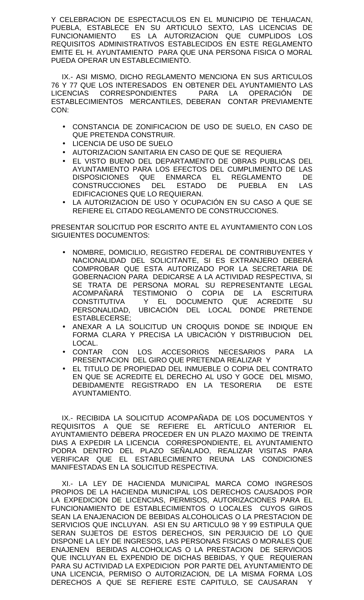Y CELEBRACION DE ESPECTACULOS EN EL MUNICIPIO DE TEHUACAN, PUEBLA, ESTABLECE EN SU ARTICULO SEXTO, LAS LICENCIAS DE FUNCIONAMIENTO ES LA AUTORIZACION QUE CUMPLIDOS LOS REQUISITOS ADMINISTRATIVOS ESTABLECIDOS EN ESTE REGLAMENTO EMITE EL H. AYUNTAMIENTO PARA QUE UNA PERSONA FISICA O MORAL PUEDA OPERAR UN ESTABLECIMIENTO.

IX.- ASI MISMO, DICHO REGLAMENTO MENCIONA EN SUS ARTICULOS 76 Y 77 QUE LOS INTERESADOS EN OBTENER DEL AYUNTAMIENTO LAS LICENCIAS CORRESPONDIENTES PARA LA OPERACIÓN DE ESTABLECIMIENTOS MERCANTILES, DEBERAN CONTAR PREVIAMENTE CON:

- CONSTANCIA DE ZONIFICACION DE USO DE SUELO, EN CASO DE QUE PRETENDA CONSTRUIR.
- LICENCIA DE USO DE SUELO
- AUTORIZACION SANITARIA EN CASO DE QUE SE REQUIERA
- EL VISTO BUENO DEL DEPARTAMENTO DE OBRAS PUBLICAS DEL AYUNTAMIENTO PARA LOS EFECTOS DEL CUMPLIMIENTO DE LAS DISPOSICIONES QUE ENMARCA EL REGLAMENTO DE CONSTRUCCIONES DEL ESTADO DE PUEBLA EN LAS EDIFICACIONES QUE LO REQUIERAN.
- LA AUTORIZACION DE USO Y OCUPACIÓN EN SU CASO A QUE SE REFIERE EL CITADO REGLAMENTO DE CONSTRUCCIONES.

PRESENTAR SOLICITUD POR ESCRITO ANTE EL AYUNTAMIENTO CON LOS SIGUIENTES DOCUMENTOS:

- NOMBRE, DOMICILIO, REGISTRO FEDERAL DE CONTRIBUYENTES Y NACIONALIDAD DEL SOLICITANTE, SI ES EXTRANJERO DEBERÁ COMPROBAR QUE ESTA AUTORIZADO POR LA SECRETARIA DE GOBERNACION PARA DEDICARSE A LA ACTIVIDAD RESPECTIVA, SI SE TRATA DE PERSONA MORAL SU REPRESENTANTE LEGAL ACOMPAÑARÁ TESTIMONIO O COPIA DE LA ESCRITURA CONSTITUTIVA Y EL DOCUMENTO QUE ACREDITE SU PERSONALIDAD, UBICACIÓN DEL LOCAL DONDE PRETENDE ESTABLECERSE;
- ANEXAR A LA SOLICITUD UN CROQUIS DONDE SE INDIQUE EN FORMA CLARA Y PRECISA LA UBICACIÓN Y DISTRIBUCION DEL LOCAL.
- CONTAR CON LOS ACCESORIOS NECESARIOS PARA LA PRESENTACION DEL GIRO QUE PRETENDA REALIZAR Y
- EL TITULO DE PROPIEDAD DEL INMUEBLE O COPIA DEL CONTRATO EN QUE SE ACREDITE EL DERECHO AL USO Y GOCE DEL MISMO, DEBIDAMENTE REGISTRADO EN LA TESORERIA DE ESTE AYUNTAMIENTO.

IX.- RECIBIDA LA SOLICITUD ACOMPAÑADA DE LOS DOCUMENTOS Y REQUISITOS A QUE SE REFIERE EL ARTÍCULO ANTERIOR EL AYUNTAMIENTO DEBERA PROCEDER EN UN PLAZO MAXIMO DE TREINTA DIAS A EXPEDIR LA LICENCIA CORRESPONDIENTE, EL AYUNTAMIENTO PODRA DENTRO DEL PLAZO SEÑALADO, REALIZAR VISITAS PARA VERIFICAR QUE EL ESTABLECIMIENTO REUNA LAS CONDICIONES MANIFESTADAS EN LA SOLICITUD RESPECTIVA.

XI.- LA LEY DE HACIENDA MUNICIPAL MARCA COMO INGRESOS PROPIOS DE LA HACIENDA MUNICIPAL LOS DERECHOS CAUSADOS POR LA EXPEDICION DE LICENCIAS, PERMISOS, AUTORIZACIONES PARA EL FUNCIONAMIENTO DE ESTABLECIMIENTOS O LOCALES CUYOS GIROS SEAN LA ENAJENACION DE BEBIDAS ALCOHOLICAS O LA PRESTACION DE SERVICIOS QUE INCLUYAN. ASI EN SU ARTICULO 98 Y 99 ESTIPULA QUE SERAN SUJETOS DE ESTOS DERECHOS, SIN PERJUICIO DE LO QUE DISPONE LA LEY DE INGRESOS, LAS PERSONAS FISICAS O MORALES QUE ENAJENEN BEBIDAS ALCOHOLICAS O LA PRESTACION DE SERVICIOS QUE INCLUYAN EL EXPENDIO DE DICHAS BEBIDAS, Y QUE REQUIERAN PARA SU ACTIVIDAD LA EXPEDICION POR PARTE DEL AYUNTAMIENTO DE UNA LICENCIA, PERMISO O AUTORIZACION, DE LA MISMA FORMA LOS DERECHOS A QUE SE REFIERE ESTE CAPITULO, SE CAUSARAN Y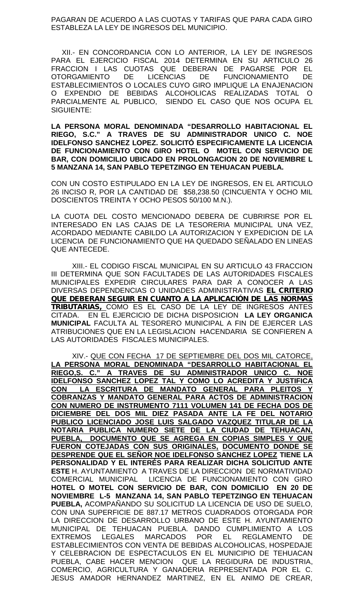PAGARAN DE ACUERDO A LAS CUOTAS Y TARIFAS QUE PARA CADA GIRO ESTABLEZA LA LEY DE INGRESOS DEL MUNICIPIO.

XII.- EN CONCORDANCIA CON LO ANTERIOR, LA LEY DE INGRESOS PARA EL EJERCICIO FISCAL 2014 DETERMINA EN SU ARTICULO 26 FRACCION I LAS CUOTAS QUE DEBERAN DE PAGARSE POR EL OTORGAMIENTO DE LICENCIAS DE FUNCIONAMIENTO DE ESTABLECIMIENTOS O LOCALES CUYO GIRO IMPLIQUE LA ENAJENACION O EXPENDIO DE BEBIDAS ALCOHOLICAS REALIZADAS TOTAL O PARCIALMENTE AL PUBLICO, SIENDO EL CASO QUE NOS OCUPA EL SIGUIENTE:

**LA PERSONA MORAL DENOMINADA "DESARROLLO HABITACIONAL EL RIEGO, S.C." A TRAVES DE SU ADMINISTRADOR UNICO C. NOE IDELFONSO SANCHEZ LOPEZ. SOLICITÓ ESPECIFICAMENTE LA LICENCIA DE FUNCIONAMIENTO CON GIRO HOTEL O MOTEL CON SERVICIO DE BAR, CON DOMICILIO UBICADO EN PROLONGACION 20 DE NOVIEMBRE L 5 MANZANA 14, SAN PABLO TEPETZINGO EN TEHUACAN PUEBLA.**

CON UN COSTO ESTIPULADO EN LA LEY DE INGRESOS, EN EL ARTICULO 26 INCISO R, POR LA CANTIDAD DE \$58,238.50 (CINCUENTA Y OCHO MIL DOSCIENTOS TREINTA Y OCHO PESOS 50/100 M.N.).

LA CUOTA DEL COSTO MENCIONADO DEBERA DE CUBRIRSE POR EL INTERESADO EN LAS CAJAS DE LA TESORERIA MUNICIPAL UNA VEZ, ACORDADO MEDIANTE CABILDO LA AUTORIZACION Y EXPEDICION DE LA LICENCIA DE FUNCIONAMIENTO QUE HA QUEDADO SEÑALADO EN LINEAS QUE ANTECEDE.

XIII.- EL CODIGO FISCAL MUNICIPAL EN SU ARTICULO 43 FRACCION III DETERMINA QUE SON FACULTADES DE LAS AUTORIDADES FISCALES MUNICIPALES EXPEDIR CIRCULARES PARA DAR A CONOCER A LAS DIVERSAS DEPENDENCIAS O UNIDADES ADMINISTRATIVAS *EL CRITERIO QUE DEBERAN SEGUIR EN CUANTO A LA APLICACIÓN DE LAS NORMAS TRIBUTARIAS,* COMO ES EL CASO DE LA LEY DE INGRESOS ANTES CITADA. EN EL EJERCICIO DE DICHA DISPOSICION **LA LEY ORGANICA MUNICIPAL** FACULTA AL TESORERO MUNICIPAL A FIN DE EJERCER LAS ATRIBUCIONES QUE EN LA LEGISLACION HACENDARIA SE CONFIEREN A LAS AUTORIDADES FISCALES MUNICIPALES.

XIV.- QUE CON FECHA 17 DE SEPTIEMBRE DEL DOS MIL CATORCE, **LA PERSONA MORAL DENOMINADA "DESARROLLO HABITACIONAL EL RIEGO,S. C." A TRAVES DE SU ADMINISTRADOR UNICO C. NOE IDELFONSO SANCHEZ LOPEZ TAL Y COMO LO ACREDITA Y JUSTIFICA CON LA ESCRITURA DE MANDATO GENERAL PARA PLEITOS Y COBRANZAS Y MANDATO GENERAL PARA ACTOS DE ADMINISTRACION CON NUMERO DE INSTRUMENTO 7111 VOLUMEN 141 DE FECHA DOS DE DICIEMBRE DEL DOS MIL DIEZ PASADA ANTE LA FE DEL NOTARIO PUBLICO LICENCIADO JOSE LUIS SALGADO VAZQUEZ TITULAR DE LA NOTARIA PUBLICA NUMERO SIETE DE LA CIUDAD DE TEHUACAN, PUEBLA, DOCUMENTO QUE SE AGREGA EN COPIAS SIMPLES Y QUE FUERON COTEJADAS CON SUS ORIGINALES, DOCUMENTO DONDE SE DESPRENDE QUE EL SEÑOR NOE IDELFONSO SANCHEZ LOPEZ TIENE LA PERSONALIDAD Y EL INTERÉS PARA REALIZAR DICHA SOLICITUD ANTE ESTE** H. AYUNTAMIENTO A TRAVES DE LA DIRECCION DE NORMATIVIDAD COMERCIAL MUNICIPAL LICENCIA DE FUNCIONAMIENTO CON GIRO **HOTEL O MOTEL CON SERVICIO DE BAR, CON DOMICILIO EN 20 DE NOVIEMBRE L-5 MANZANA 14, SAN PABLO TEPETZINGO EN TEHUACAN PUEBLA,** ACOMPAÑANDO SU SOLICITUD LA LICENCIA DE USO DE SUELO, CON UNA SUPERFICIE DE 887.17 METROS CUADRADOS OTORGADA POR LA DIRECCION DE DESARROLLO URBANO DE ESTE H. AYUNTAMIENTO MUNICIPAL DE TEHUACAN PUEBLA. DANDO CUMPLIMIENTO A LOS EXTREMOS LEGALES MARCADOS POR EL REGLAMENTO DE ESTABLECIMIENTOS CON VENTA DE BEBIDAS ALCOHOLICAS, HOSPEDAJE Y CELEBRACION DE ESPECTACULOS EN EL MUNICIPIO DE TEHUACAN PUEBLA, CABE HACER MENCION QUE LA REGIDURA DE INDUSTRIA, COMERCIO, AGRICULTURA Y GANADERIA REPRESENTADA POR EL C. JESUS AMADOR HERNANDEZ MARTINEZ, EN EL ANIMO DE CREAR,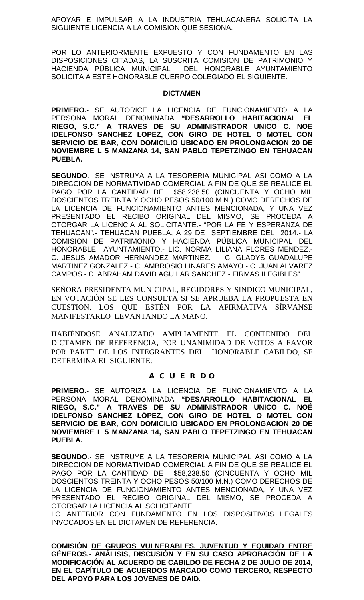APOYAR E IMPULSAR A LA INDUSTRIA TEHUACANERA SOLICITA LA SIGUIENTE LICENCIA A LA COMISION QUE SESIONA.

POR LO ANTERIORMENTE EXPUESTO Y CON FUNDAMENTO EN LAS DISPOSICIONES CITADAS, LA SUSCRITA COMISION DE PATRIMONIO Y HACIENDA PÚBLICA MUNICIPAL DEL HONORABLE AYUNTAMIENTO SOLICITA A ESTE HONORABLE CUERPO COLEGIADO EL SIGUIENTE.

# **DICTAMEN**

**PRIMERO.-** SE AUTORICE LA LICENCIA DE FUNCIONAMIENTO A LA PERSONA MORAL DENOMINADA **"DESARROLLO HABITACIONAL EL RIEGO, S.C." A TRAVES DE SU ADMINISTRADOR UNICO C. NOE IDELFONSO SANCHEZ LOPEZ, CON GIRO DE HOTEL O MOTEL CON SERVICIO DE BAR, CON DOMICILIO UBICADO EN PROLONGACION 20 DE NOVIEMBRE L 5 MANZANA 14, SAN PABLO TEPETZINGO EN TEHUACAN PUEBLA.**

**SEGUNDO**.- SE INSTRUYA A LA TESORERIA MUNICIPAL ASI COMO A LA DIRECCION DE NORMATIVIDAD COMERCIAL A FIN DE QUE SE REALICE EL PAGO POR LA CANTIDAD DE \$58,238.50 (CINCUENTA Y OCHO MIL DOSCIENTOS TREINTA Y OCHO PESOS 50/100 M.N.) COMO DERECHOS DE LA LICENCIA DE FUNCIONAMIENTO ANTES MENCIONADA, Y UNA VEZ PRESENTADO EL RECIBO ORIGINAL DEL MISMO, SE PROCEDA A OTORGAR LA LICENCIA AL SOLICITANTE.- "POR LA FE Y ESPERANZA DE TEHUACAN".- TEHUACAN PUEBLA, A 29 DE SEPTIEMBRE DEL 2014.- LA COMISION DE PATRIMONIO Y HACIENDA PÚBLICA MUNICIPAL DEL HONORABLE AYUNTAMIENTO.- LIC. NORMA LILIANA FLORES MENDEZ.- C. JESUS AMADOR HERNANDEZ MARTINEZ.- C. GLADYS GUADALUPE MARTINEZ GONZALEZ.- C. AMBROSIO LINARES AMAYO.- C. JUAN ALVAREZ CAMPOS.- C. ABRAHAM DAVID AGUILAR SANCHEZ.- FIRMAS ILEGIBLES"

SEÑORA PRESIDENTA MUNICIPAL, REGIDORES Y SINDICO MUNICIPAL, EN VOTACIÓN SE LES CONSULTA SI SE APRUEBA LA PROPUESTA EN CUESTION, LOS QUE ESTÉN POR LA AFIRMATIVA SÍRVANSE MANIFESTARLO LEVANTANDO LA MANO.

HABIÉNDOSE ANALIZADO AMPLIAMENTE EL CONTENIDO DEL DICTAMEN DE REFERENCIA, POR UNANIMIDAD DE VOTOS A FAVOR POR PARTE DE LOS INTEGRANTES DEL HONORABLE CABILDO, SE DETERMINA EL SIGUIENTE:

## **A C U E R D O**

**PRIMERO.-** SE AUTORIZA LA LICENCIA DE FUNCIONAMIENTO A LA PERSONA MORAL DENOMINADA **"DESARROLLO HABITACIONAL EL RIEGO, S.C." A TRAVES DE SU ADMINISTRADOR UNICO C. NOÉ IDELFONSO SÁNCHEZ LÓPEZ, CON GIRO DE HOTEL O MOTEL CON SERVICIO DE BAR, CON DOMICILIO UBICADO EN PROLONGACION 20 DE NOVIEMBRE L 5 MANZANA 14, SAN PABLO TEPETZINGO EN TEHUACAN PUEBLA.**

**SEGUNDO**.- SE INSTRUYE A LA TESORERIA MUNICIPAL ASI COMO A LA DIRECCION DE NORMATIVIDAD COMERCIAL A FIN DE QUE SE REALICE EL PAGO POR LA CANTIDAD DE \$58,238.50 (CINCUENTA Y OCHO MIL DOSCIENTOS TREINTA Y OCHO PESOS 50/100 M.N.) COMO DERECHOS DE LA LICENCIA DE FUNCIONAMIENTO ANTES MENCIONADA, Y UNA VEZ PRESENTADO EL RECIBO ORIGINAL DEL MISMO, SE PROCEDA A OTORGAR LA LICENCIA AL SOLICITANTE.

LO ANTERIOR CON FUNDAMENTO EN LOS DISPOSITIVOS LEGALES INVOCADOS EN EL DICTAMEN DE REFERENCIA.

**COMISIÓN DE GRUPOS VULNERABLES, JUVENTUD Y EQUIDAD ENTRE GÉNEROS.- ANÁLISIS, DISCUSIÓN Y EN SU CASO APROBACIÓN DE LA MODIFICACIÓN AL ACUERDO DE CABILDO DE FECHA 2 DE JULIO DE 2014, EN EL CAPÍTULO DE ACUERDOS MARCADO COMO TERCERO, RESPECTO DEL APOYO PARA LOS JOVENES DE DAID.**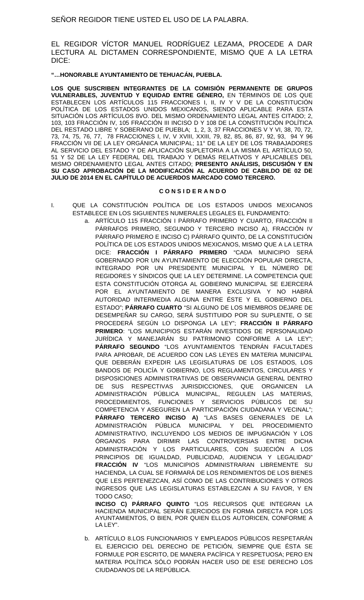SEÑOR REGIDOR TIENE USTED EL USO DE LA PALABRA.

EL REGIDOR VÍCTOR MANUEL RODRÍGUEZ LEZAMA, PROCEDE A DAR LECTURA AL DICTAMEN CORRESPONDIENTE, MISMO QUE A LA LETRA DICE:

#### **"…HONORABLE AYUNTAMIENTO DE TEHUACÁN, PUEBLA.**

**LOS QUE SUSCRIBEN INTEGRANTES DE LA COMISIÓN PERMANENTE DE GRUPOS VULNERABLES, JUVENTUD Y EQUIDAD ENTRE GÉNERO,** EN TÉRMINOS DE LOS QUE ESTABLECEN LOS ARTÍCULOS 115 FRACCIONES I, II, IV Y V DE LA CONSTITUCIÓN POLÍTICA DE LOS ESTADOS UNIDOS MEXICANOS, SIENDO APLICABLE PARA ESTA SITUACIÓN LOS ARTÍCULOS 8VO. DEL MISMO ORDENAMIENTO LEGAL ANTES CITADO; 2, 103, 103 FRACCIÓN IV, 105 FRACCIÓN III INCISO D Y 108 DE LA CONSTITUCIÓN POLÍTICA DEL RESTADO LIBRE Y SOBERANO DE PUEBLA; 1, 2, 3, 37 FRACCIONES V Y VI, 38, 70, 72, 73, 74, 75, 76, 77, 78 FRACCIONES I, IV, V XVIII, XXIII, 79, 82, 85, 86, 87, 92, 93, 94 Y 96 FRACCIÓN VII DE LA LEY ORGÁNICA MUNICIPAL; 11° DE LA LEY DE LOS TRABAJADORES AL SERVICIO DEL ESTADO Y DE APLICACIÓN SUPLETORIA A LA MISMA EL ARTÍCULO 50, 51 Y 52 DE LA LEY FEDERAL DEL TRABAJO Y DEMÁS RELATIVOS Y APLICABLES DEL MISMO ORDENAMIENTO LEGAL ANTES CITADO; **PRESENTO ANÁLISIS, DISCUSIÓN Y EN SU CASO APROBACIÓN DE LA MODIFICACIÓN AL ACUERDO DE CABILDO DE 02 DE JULIO DE 2014 EN EL CAPÍTULO DE ACUERDOS MARCADO COMO TERCERO.**

#### **C O N S I D E R A N D O**

- I. QUE LA CONSTITUCIÓN POLÍTICA DE LOS ESTADOS UNIDOS MEXICANOS ESTABLECE EN LOS SIGUIENTES NUMERALES LEGALES EL FUNDAMENTO:
	- a. ARTÍCULO 115 FRACCIÓN I PÁRRAFO PRIMERO Y CUARTO, FRACCIÓN II PÁRRAFOS PRIMERO, SEGUNDO Y TERCERO INCISO A), FRACCIÓN IV PÁRRAFO PRIMERO E INCISO C) PÁRRAFO QUINTO, DE LA CONSTITUCIÓN POLÍTICA DE LOS ESTADOS UNIDOS MEXICANOS, MISMO QUE A LA LETRA DICE: **FRACCIÓN I PÁRRAFO PRIMERO** "CADA MUNICIPIO SERÁ GOBERNADO POR UN AYUNTAMIENTO DE ELECCIÓN POPULAR DIRECTA, INTEGRADO POR UN PRESIDENTE MUNICIPAL Y EL NÚMERO DE REGIDORES Y SÍNDICOS QUE LA LEY DETERMINE. LA COMPETENCIA QUE ESTA CONSTITUCIÓN OTORGA AL GOBIERNO MUNICIPAL SE EJERCERÁ POR EL AYUNTAMIENTO DE MANERA EXCLUSIVA Y NO HABRÁ AUTORIDAD INTERMEDIA ALGUNA ENTRE ÉSTE Y EL GOBIERNO DEL ESTADO"; **PÁRRAFO CUARTO** "SI ALGUNO DE LOS MIEMBROS DEJARE DE DESEMPEÑAR SU CARGO, SERÁ SUSTITUIDO POR SU SUPLENTE, O SE PROCEDERÁ SEGÚN LO DISPONGA LA LEY"; **FRACCIÓN II PÁRRAFO PRIMERO**: "LOS MUNICIPIOS ESTARÁN INVESTIDOS DE PERSONALIDAD JURÍDICA Y MANEJARÁN SU PATRIMONIO CONFORME A LA LEY"; **PÁRRAFO SEGUNDO** "LOS AYUNTAMIENTOS TENDRÁN FACULTADES PARA APROBAR, DE ACUERDO CON LAS LEYES EN MATERIA MUNICIPAL QUE DEBERÁN EXPEDIR LAS LEGISLATURAS DE LOS ESTADOS, LOS BANDOS DE POLICÍA Y GOBIERNO, LOS REGLAMENTOS, CIRCULARES Y DISPOSICIONES ADMINISTRATIVAS DE OBSERVANCIA GENERAL DENTRO DE SUS RESPECTIVAS JURISDICCIONES, QUE ORGANICEN LA ADMINISTRACIÓN PÚBLICA MUNICIPAL, REGULEN LAS MATERIAS, PROCEDIMIENTOS, FUNCIONES Y SERVICIOS PÚBLICOS DE SU COMPETENCIA Y ASEGUREN LA PARTICIPACIÓN CIUDADANA Y VECINAL"; **PÁRRAFO TERCERO INCISO A)** "LAS BASES GENERALES DE LA ADMINISTRACIÓN PÚBLICA MUNICIPAL Y DEL PROCEDIMIENTO ADMINISTRATIVO, INCLUYENDO LOS MEDIOS DE IMPUGNACIÓN Y LOS ÓRGANOS PARA DIRIMIR LAS CONTROVERSIAS ENTRE DICHA ADMINISTRACIÓN Y LOS PARTICULARES, CON SUJECIÓN A LOS PRINCIPIOS DE IGUALDAD, PUBLICIDAD, AUDIENCIA Y LEGALIDAD" **FRACCIÓN IV** "LOS MUNICIPIOS ADMINISTRARAN LIBREMENTE SU HACIENDA, LA CUAL SE FORMARÁ DE LOS RENDIMIENTOS DE LOS BIENES QUE LES PERTENEZCAN, ASÍ COMO DE LAS CONTRIBUCIONES Y OTROS INGRESOS QUE LAS LEGISLATURAS ESTABLEZCAN A SU FAVOR, Y EN TODO CASO;

**INCISO C) PÁRRAFO QUINTO** "LOS RECURSOS QUE INTEGRAN LA HACIENDA MUNICIPAL SERÁN EJERCIDOS EN FORMA DIRECTA POR LOS AYUNTAMIENTOS, O BIEN, POR QUIEN ELLOS AUTORICEN, CONFORME A LA LEY".

b. ARTÍCULO 8.LOS FUNCIONARIOS Y EMPLEADOS PÚBLICOS RESPETARÁN EL EJERCICIO DEL DERECHO DE PETICIÓN, SIEMPRE QUE ÉSTA SE FORMULE POR ESCRITO, DE MANERA PACÍFICA Y RESPETUOSA; PERO EN MATERIA POLÍTICA SÓLO PODRÁN HACER USO DE ESE DERECHO LOS CIUDADANOS DE LA REPÚBLICA.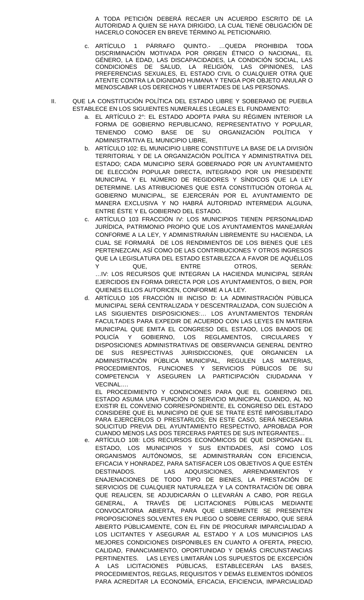A TODA PETICIÓN DEBERÁ RECAER UN ACUERDO ESCRITO DE LA AUTORIDAD A QUIEN SE HAYA DIRIGIDO, LA CUAL TIENE OBLIGACIÓN DE HACERLO CONOCER EN BREVE TÉRMINO AL PETICIONARIO.

- c. ARTÍCULO 1 PÁRRAFO QUINTO.- …QUEDA PROHIBIDA TODA DISCRIMINACIÓN MOTIVADA POR ORIGEN ÉTNICO O NACIONAL, EL GÉNERO, LA EDAD, LAS DISCAPACIDADES, LA CONDICIÓN SOCIAL, LAS CONDICIONES DE SALUD, LA RELIGIÓN, LAS OPINIONES, LAS PREFERENCIAS SEXUALES, EL ESTADO CIVIL O CUALQUIER OTRA QUE ATENTE CONTRA LA DIGNIDAD HUMANA Y TENGA POR OBJETO ANULAR O MENOSCABAR LOS DERECHOS Y LIBERTADES DE LAS PERSONAS.
- II. QUE LA CONSTITUCIÓN POLÍTICA DEL ESTADO LIBRE Y SOBERANO DE PUEBLA ESTABLECE EN LOS SIGUIENTES NUMERALES LEGALES EL FUNDAMENTO:
	- a. EL ARTÍCULO 2°: EL ESTADO ADOPTA PARA SU RÉGIMEN INTERIOR LA FORMA DE GOBIERNO REPUBLICANO, REPRESENTATIVO Y POPULAR, TENIENDO COMO BASE DE SU ORGANIZACIÓN POLÍTICA Y ADMINISTRATIVA EL MUNICIPIO LIBRE,
	- b. ARTÍCULO 102: EL MUNICIPIO LIBRE CONSTITUYE LA BASE DE LA DIVISIÓN TERRITORIAL Y DE LA ORGANIZACIÓN POLÍTICA Y ADMINISTRATIVA DEL ESTADO; CADA MUNICIPIO SERÁ GOBERNADO POR UN AYUNTAMIENTO DE ELECCIÓN POPULAR DIRECTA, INTEGRADO POR UN PRESIDENTE MUNICIPAL Y EL NÚMERO DE REGIDORES Y SÍNDICOS QUE LA LEY DETERMINE. LAS ATRIBUCIONES QUE ESTA CONSTITUCIÓN OTORGA AL GOBIERNO MUNICIPAL, SE EJERCERÁN POR EL AYUNTAMIENTO DE MANERA EXCLUSIVA Y NO HABRÁ AUTORIDAD INTERMEDIA ALGUNA, ENTRE ÉSTE Y EL GOBIERNO DEL ESTADO.
	- ARTICULO 103 FRACCIÓN IV: LOS MUNICIPIOS TIENEN PERSONALIDAD JURÍDICA, PATRIMONIO PROPIO QUE LOS AYUNTAMIENTOS MANEJARÁN CONFORME A LA LEY, Y ADMINISTRARÁN LIBREMENTE SU HACIENDA, LA CUAL SE FORMARÁ DE LOS RENDIMIENTOS DE LOS BIENES QUE LES PERTENEZCAN, ASÍ COMO DE LAS CONTRIBUCIONES Y OTROS INGRESOS QUE LA LEGISLATURA DEL ESTADO ESTABLEZCA A FAVOR DE AQUÉLLOS Y QUE, ENTRE OTROS, SERÁN: …IV: LOS RECURSOS QUE INTEGRAN LA HACIENDA MUNICIPAL SERÁN EJERCIDOS EN FORMA DIRECTA POR LOS AYUNTAMIENTOS, O BIEN, POR QUIENES ELLOS AUTORICEN, CONFORME A LA LEY.
	- d. ARTÍCULO 105 FRACCIÓN III INCISO D: LA ADMINISTRACIÓN PÚBLICA MUNICIPAL SERÁ CENTRALIZADA Y DESCENTRALIZADA, CON SUJECIÓN A LAS SIGUIENTES DISPOSICIONES:… LOS AYUNTAMIENTOS TENDRÁN FACULTADES PARA EXPEDIR DE ACUERDO CON LAS LEYES EN MATERIA MUNICIPAL QUE EMITA EL CONGRESO DEL ESTADO, LOS BANDOS DE POLICÍA Y GOBIERNO, LOS REGLAMENTOS, CIRCULARES Y DISPOSICIONES ADMINISTRATIVAS DE OBSERVANCIA GENERAL DENTRO DE SUS RESPECTIVAS JURISDICCIONES, QUE ORGANICEN LA ADMINISTRACIÓN PÚBLICA MUNICIPAL, REGULEN LAS MATERIAS, PROCEDIMIENTOS, FUNCIONES Y SERVICIOS PÚBLICOS DE SU COMPETENCIA Y ASEGUREN LA PARTICIPACIÓN CIUDADANA Y VECINAL….

EL PROCEDIMIENTO Y CONDICIONES PARA QUE EL GOBIERNO DEL ESTADO ASUMA UNA FUNCIÓN O SERVICIO MUNICIPAL CUANDO, AL NO EXISTIR EL CONVENIO CORRESPONDIENTE, EL CONGRESO DEL ESTADO CONSIDERE QUE EL MUNICIPIO DE QUE SE TRATE ESTÉ IMPOSIBILITADO PARA EJERCERLOS O PRESTARLOS; EN ESTE CASO, SERÁ NECESARIA SOLICITUD PREVIA DEL AYUNTAMIENTO RESPECTIVO, APROBADA POR CUANDO MENOS LAS DOS TERCERAS PARTES DE SUS INTEGRANTES…

e. ARTÍCULO 108: LOS RECURSOS ECONÓMICOS DE QUE DISPONGAN EL ESTADO, LOS MUNICIPIOS Y SUS ENTIDADES, ASÍ COMO LOS ORGANISMOS AUTÓNOMOS, SE ADMINISTRARÁN CON EFICIENCIA, EFICACIA Y HONRADEZ, PARA SATISFACER LOS OBJETIVOS A QUE ESTÉN DESTINADOS. LAS ADQUISICIONES, ARRENDAMIENTOS ENAJENACIONES DE TODO TIPO DE BIENES, LA PRESTACIÓN DE SERVICIOS DE CUALQUIER NATURALEZA Y LA CONTRATACIÓN DE OBRA QUE REALICEN, SE ADJUDICARÁN O LLEVARÁN A CABO, POR REGLA GENERAL, A TRAVÉS DE LICITACIONES PÚBLICAS MEDIANTE CONVOCATORIA ABIERTA, PARA QUE LIBREMENTE SE PRESENTEN PROPOSICIONES SOLVENTES EN PLIEGO O SOBRE CERRADO, QUE SERÁ ABIERTO PÚBLICAMENTE, CON EL FIN DE PROCURAR IMPARCIALIDAD A LOS LICITANTES Y ASEGURAR AL ESTADO Y A LOS MUNICIPIOS LAS MEJORES CONDICIONES DISPONIBLES EN CUANTO A OFERTA, PRECIO, CALIDAD, FINANCIAMIENTO, OPORTUNIDAD Y DEMÁS CIRCUNSTANCIAS PERTINENTES. LAS LEYES LIMITARÁN LOS SUPUESTOS DE EXCEPCIÓN A LAS LICITACIONES PÚBLICAS, ESTABLECERÁN LAS BASES, PROCEDIMIENTOS, REGLAS, REQUISITOS Y DEMÁS ELEMENTOS IDÓNEOS PARA ACREDITAR LA ECONOMÍA, EFICACIA, EFICIENCIA, IMPARCIALIDAD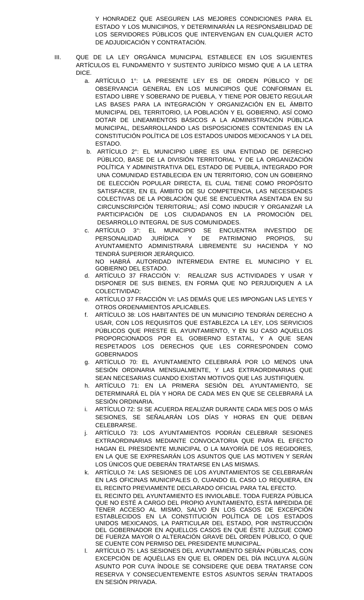Y HONRADEZ QUE ASEGUREN LAS MEJORES CONDICIONES PARA EL ESTADO Y LOS MUNICIPIOS, Y DETERMINARÁN LA RESPONSABILIDAD DE LOS SERVIDORES PÚBLICOS QUE INTERVENGAN EN CUALQUIER ACTO DE ADJUDICACIÓN Y CONTRATACIÓN.

- III. QUE DE LA LEY ORGÁNICA MUNICIPAL ESTABLECE EN LOS SIGUIENTES ARTÍCULOS EL FUNDAMENTO Y SUSTENTO JURÍDICO MISMO QUE A LA LETRA DICE.
	- a. ARTÍCULO 1°: LA PRESENTE LEY ES DE ORDEN PÚBLICO Y DE OBSERVANCIA GENERAL EN LOS MUNICIPIOS QUE CONFORMAN EL ESTADO LIBRE Y SOBERANO DE PUEBLA, Y TIENE POR OBJETO REGULAR LAS BASES PARA LA INTEGRACIÓN Y ORGANIZACIÓN EN EL ÁMBITO MUNICIPAL DEL TERRITORIO, LA POBLACIÓN Y EL GOBIERNO, ASÍ COMO DOTAR DE LINEAMIENTOS BÁSICOS A LA ADMINISTRACIÓN PÚBLICA MUNICIPAL, DESARROLLANDO LAS DISPOSICIONES CONTENIDAS EN LA CONSTITUCIÓN POLÍTICA DE LOS ESTADOS UNIDOS MEXICANOS Y LA DEL ESTADO.
	- b. ARTÍCULO 2°: EL MUNICIPIO LIBRE ES UNA ENTIDAD DE DERECHO PÚBLICO, BASE DE LA DIVISIÓN TERRITORIAL Y DE LA ORGANIZACIÓN POLÍTICA Y ADMINISTRATIVA DEL ESTADO DE PUEBLA, INTEGRADO POR UNA COMUNIDAD ESTABLECIDA EN UN TERRITORIO, CON UN GOBIERNO DE ELECCIÓN POPULAR DIRECTA, EL CUAL TIENE COMO PROPÓSITO SATISFACER, EN EL ÁMBITO DE SU COMPETENCIA, LAS NECESIDADES COLECTIVAS DE LA POBLACIÓN QUE SE ENCUENTRA ASENTADA EN SU CIRCUNSCRIPCIÓN TERRITORIAL; ASÍ COMO INDUCIR Y ORGANIZAR LA PARTICIPACIÓN DE LOS CIUDADANOS EN LA PROMOCIÓN DEL DESARROLLO INTEGRAL DE SUS COMUNIDADES.
	- c. ARTÍCULO 3°: EL MUNICIPIO SE ENCUENTRA INVESTIDO DE PERSONALIDAD JURÍDICA Y DE PATRIMONIO PROPIOS, SU AYUNTAMIENTO ADMINISTRARÁ LIBREMENTE SU HACIENDA Y NO TENDRÁ SUPERIOR JERÁRQUICO. NO HABRÁ AUTORIDAD INTERMEDIA ENTRE EL MUNICIPIO Y EL
	- GOBIERNO DEL ESTADO. d. ARTÍCULO 37 FRACCIÓN V: REALIZAR SUS ACTIVIDADES Y USAR Y DISPONER DE SUS BIENES, EN FORMA QUE NO PERJUDIQUEN A LA COLECTIVIDAD;
	- e. ARTÍCULO 37 FRACCIÓN VI: LAS DEMÁS QUE LES IMPONGAN LAS LEYES Y OTROS ORDENAMIENTOS APLICABLES.
	- f. ARTÍCULO 38: LOS HABITANTES DE UN MUNICIPIO TENDRÁN DERECHO A USAR, CON LOS REQUISITOS QUE ESTABLEZCA LA LEY, LOS SERVICIOS PÚBLICOS QUE PRESTE EL AYUNTAMIENTO, Y EN SU CASO AQUELLOS PROPORCIONADOS POR EL GOBIERNO ESTATAL, Y A QUE SEAN RESPETADOS LOS DERECHOS QUE LES CORRESPONDEN COMO **GOBERNADOS**
	- g. ARTÍCULO 70: EL AYUNTAMIENTO CELEBRARÁ POR LO MENOS UNA SESIÓN ORDINARIA MENSUALMENTE, Y LAS EXTRAORDINARIAS QUE SEAN NECESARIAS CUANDO EXISTAN MOTIVOS QUE LAS JUSTIFIQUEN.
	- h. ARTÍCULO 71: EN LA PRIMERA SESIÓN DEL AYUNTAMIENTO, SE DETERMINARÁ EL DÍA Y HORA DE CADA MES EN QUE SE CELEBRARÁ LA SESIÓN ORDINARIA.
	- i. ARTÍCULO 72: SI SE ACUERDA REALIZAR DURANTE CADA MES DOS O MÁS SESIONES, SE SEÑALARÁN LOS DÍAS Y HORAS EN QUE DEBAN CELEBRARSE.
	- j. ARTÍCULO 73: LOS AYUNTAMIENTOS PODRÁN CELEBRAR SESIONES EXTRAORDINARIAS MEDIANTE CONVOCATORIA QUE PARA EL EFECTO HAGAN EL PRESIDENTE MUNICIPAL O LA MAYORÍA DE LOS REGIDORES, EN LA QUE SE EXPRESARÁN LOS ASUNTOS QUE LAS MOTIVEN Y SERÁN LOS ÚNICOS QUE DEBERÁN TRATARSE EN LAS MISMAS.
	- k. ARTÍCULO 74: LAS SESIONES DE LOS AYUNTAMIENTOS SE CELEBRARÁN EN LAS OFICINAS MUNICIPALES O, CUANDO EL CASO LO REQUIERA, EN EL RECINTO PREVIAMENTE DECLARADO OFICIAL PARA TAL EFECTO. EL RECINTO DEL AYUNTAMIENTO ES INVIOLABLE. TODA FUERZA PÚBLICA QUE NO ESTÉ A CARGO DEL PROPIO AYUNTAMIENTO, ESTÁ IMPEDIDA DE TENER ACCESO AL MISMO, SALVO EN LOS CASOS DE EXCEPCIÓN ESTABLECIDOS EN LA CONSTITUCIÓN POLÍTICA DE LOS ESTADOS UNIDOS MEXICANOS, LA PARTICULAR DEL ESTADO, POR INSTRUCCIÓN DEL GOBERNADOR EN AQUELLOS CASOS EN QUE ÉSTE JUZGUE COMO DE FUERZA MAYOR O ALTERACIÓN GRAVE DEL ORDEN PÚBLICO, O QUE SE CUENTE CON PERMISO DEL PRESIDENTE MUNICIPAL.
	- l. ARTÍCULO 75: LAS SESIONES DEL AYUNTAMIENTO SERÁN PÚBLICAS, CON EXCEPCIÓN DE AQUÉLLAS EN QUE EL ORDEN DEL DÍA INCLUYA ALGÚN ASUNTO POR CUYA ÍNDOLE SE CONSIDERE QUE DEBA TRATARSE CON RESERVA Y CONSECUENTEMENTE ESTOS ASUNTOS SERÁN TRATADOS EN SESIÓN PRIVADA.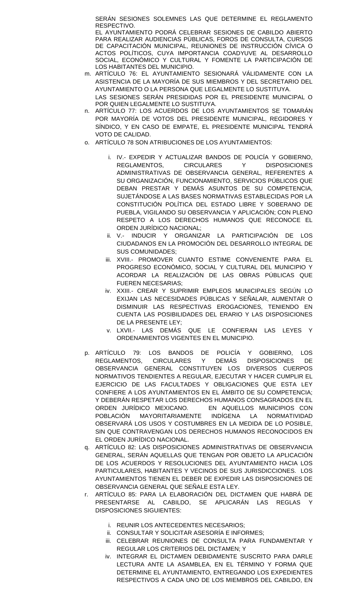SERÁN SESIONES SOLEMNES LAS QUE DETERMINE EL REGLAMENTO RESPECTIVO.

EL AYUNTAMIENTO PODRÁ CELEBRAR SESIONES DE CABILDO ABIERTO PARA REALIZAR AUDIENCIAS PÚBLICAS, FOROS DE CONSULTA, CURSOS DE CAPACITACIÓN MUNICIPAL, REUNIONES DE INSTRUCCIÓN CÍVICA O ACTOS POLÍTICOS, CUYA IMPORTANCIA COADYUVE AL DESARROLLO SOCIAL, ECONÓMICO Y CULTURAL Y FOMENTE LA PARTICIPACIÓN DE LOS HABITANTES DEL MUNICIPIO.

- m. ARTÍCULO 76: EL AYUNTAMIENTO SESIONARÁ VÁLIDAMENTE CON LA ASISTENCIA DE LA MAYORÍA DE SUS MIEMBROS Y DEL SECRETARIO DEL AYUNTAMIENTO O LA PERSONA QUE LEGALMENTE LO SUSTITUYA. LAS SESIONES SERÁN PRESIDIDAS POR EL PRESIDENTE MUNICIPAL O POR QUIEN LEGALMENTE LO SUSTITUYA.
- n. ARTÍCULO 77: LOS ACUERDOS DE LOS AYUNTAMIENTOS SE TOMARÁN POR MAYORÍA DE VOTOS DEL PRESIDENTE MUNICIPAL, REGIDORES Y SÍNDICO, Y EN CASO DE EMPATE, EL PRESIDENTE MUNICIPAL TENDRÁ VOTO DE CALIDAD.
- o. ARTÍCULO 78 SON ATRIBUCIONES DE LOS AYUNTAMIENTOS:
	- i. IV.- EXPEDIR Y ACTUALIZAR BANDOS DE POLICÍA Y GOBIERNO, REGLAMENTOS, CIRCULARES Y DISPOSICIONES ADMINISTRATIVAS DE OBSERVANCIA GENERAL, REFERENTES A SU ORGANIZACIÓN, FUNCIONAMIENTO, SERVICIOS PÚBLICOS QUE DEBAN PRESTAR Y DEMÁS ASUNTOS DE SU COMPETENCIA, SUJETÁNDOSE A LAS BASES NORMATIVAS ESTABLECIDAS POR LA CONSTITUCIÓN POLÍTICA DEL ESTADO LIBRE Y SOBERANO DE PUEBLA, VIGILANDO SU OBSERVANCIA Y APLICACIÓN; CON PLENO RESPETO A LOS DERECHOS HUMANOS QUE RECONOCE EL ORDEN JURÍDICO NACIONAL;
	- ii. V.- INDUCIR Y ORGANIZAR LA PARTICIPACIÓN DE LOS CIUDADANOS EN LA PROMOCIÓN DEL DESARROLLO INTEGRAL DE SUS COMUNIDADES;
	- iii. XVIII.- PROMOVER CUANTO ESTIME CONVENIENTE PARA EL PROGRESO ECONÓMICO, SOCIAL Y CULTURAL DEL MUNICIPIO Y ACORDAR LA REALIZACIÓN DE LAS OBRAS PÚBLICAS QUE FUEREN NECESARIAS;
	- iv. XXIII.- CREAR Y SUPRIMIR EMPLEOS MUNICIPALES SEGÚN LO EXIJAN LAS NECESIDADES PÚBLICAS Y SEÑALAR, AUMENTAR O DISMINUIR LAS RESPECTIVAS EROGACIONES, TENIENDO EN CUENTA LAS POSIBILIDADES DEL ERARIO Y LAS DISPOSICIONES DE LA PRESENTE LEY;
	- v. LXVII.- LAS DEMÁS QUE LE CONFIERAN LAS LEYES Y ORDENAMIENTOS VIGENTES EN EL MUNICIPIO.
- p. ARTÍCULO 79: LOS BANDOS DE POLICÍA Y GOBIERNO, LOS REGLAMENTOS, CIRCULARES Y DEMÁS DISPOSICIONES DE OBSERVANCIA GENERAL CONSTITUYEN LOS DIVERSOS CUERPOS NORMATIVOS TENDIENTES A REGULAR, EJECUTAR Y HACER CUMPLIR EL EJERCICIO DE LAS FACULTADES Y OBLIGACIONES QUE ESTA LEY CONFIERE A LOS AYUNTAMIENTOS EN EL ÁMBITO DE SU COMPETENCIA; Y DEBERÁN RESPETAR LOS DERECHOS HUMANOS CONSAGRADOS EN EL ORDEN JURÍDICO MEXICANO. EN AQUELLOS MUNICIPIOS CON POBLACIÓN MAYORITARIAMENTE INDÍGENA LA NORMATIVIDAD OBSERVARÁ LOS USOS Y COSTUMBRES EN LA MEDIDA DE LO POSIBLE, SIN QUE CONTRAVENGAN LOS DERECHOS HUMANOS RECONOCIDOS EN EL ORDEN JURÍDICO NACIONAL.
- q. ARTÍCULO 82: LAS DISPOSICIONES ADMINISTRATIVAS DE OBSERVANCIA GENERAL, SERÁN AQUELLAS QUE TENGAN POR OBJETO LA APLICACIÓN DE LOS ACUERDOS Y RESOLUCIONES DEL AYUNTAMIENTO HACIA LOS PARTICULARES, HABITANTES Y VECINOS DE SUS JURISDICCIONES. LOS AYUNTAMIENTOS TIENEN EL DEBER DE EXPEDIR LAS DISPOSICIONES DE OBSERVANCIA GENERAL QUE SEÑALE ESTA LEY.
- r. ARTÍCULO 85: PARA LA ELABORACIÓN DEL DICTAMEN QUE HABRÁ DE PRESENTARSE AL CABILDO, SE APLICARÁN LAS REGLAS Y DISPOSICIONES SIGUIENTES:
	- i. REUNIR LOS ANTECEDENTES NECESARIOS;
	- ii. CONSULTAR Y SOLICITAR ASESORÍA E INFORMES;
	- iii. CELEBRAR REUNIONES DE CONSULTA PARA FUNDAMENTAR Y REGULAR LOS CRITERIOS DEL DICTAMEN; Y
	- iv. INTEGRAR EL DICTAMEN DEBIDAMENTE SUSCRITO PARA DARLE LECTURA ANTE LA ASAMBLEA, EN EL TÉRMINO Y FORMA QUE DETERMINE EL AYUNTAMIENTO, ENTREGANDO LOS EXPEDIENTES RESPECTIVOS A CADA UNO DE LOS MIEMBROS DEL CABILDO, EN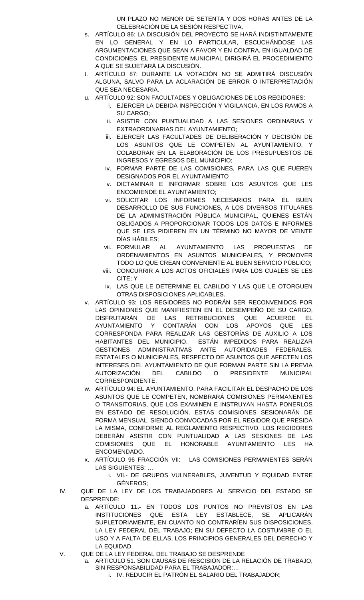UN PLAZO NO MENOR DE SETENTA Y DOS HORAS ANTES DE LA CELEBRACIÓN DE LA SESIÓN RESPECTIVA.

- s. ARTÍCULO 86: LA DISCUSIÓN DEL PROYECTO SE HARÁ INDISTINTAMENTE EN LO GENERAL Y EN LO PARTICULAR, ESCUCHÁNDOSE LAS ARGUMENTACIONES QUE SEAN A FAVOR Y EN CONTRA, EN IGUALDAD DE CONDICIONES. EL PRESIDENTE MUNICIPAL DIRIGIRÁ EL PROCEDIMIENTO A QUE SE SUJETARÁ LA DISCUSIÓN.
- t. ARTÍCULO 87: DURANTE LA VOTACIÓN NO SE ADMITIRÁ DISCUSIÓN ALGUNA, SALVO PARA LA ACLARACIÓN DE ERROR O INTERPRETACIÓN QUE SEA NECESARIA.
- u. ARTÍCULO 92: SON FACULTADES Y OBLIGACIONES DE LOS REGIDORES:
	- i. EJERCER LA DEBIDA INSPECCIÓN Y VIGILANCIA, EN LOS RAMOS A SU CARGO;
		- ii. ASISTIR CON PUNTUALIDAD A LAS SESIONES ORDINARIAS Y EXTRAORDINARIAS DEL AYUNTAMIENTO;
	- iii. EJERCER LAS FACULTADES DE DELIBERACIÓN Y DECISIÓN DE LOS ASUNTOS QUE LE COMPETEN AL AYUNTAMIENTO, Y COLABORAR EN LA ELABORACIÓN DE LOS PRESUPUESTOS DE INGRESOS Y EGRESOS DEL MUNICIPIO;
	- iv. FORMAR PARTE DE LAS COMISIONES, PARA LAS QUE FUEREN DESIGNADOS POR EL AYUNTAMIENTO
	- v. DICTAMINAR E INFORMAR SOBRE LOS ASUNTOS QUE LES ENCOMIENDE EL AYUNTAMIENTO;
	- vi. SOLICITAR LOS INFORMES NECESARIOS PARA EL BUEN DESARROLLO DE SUS FUNCIONES, A LOS DIVERSOS TITULARES DE LA ADMINISTRACIÓN PÚBLICA MUNICIPAL, QUIENES ESTÁN OBLIGADOS A PROPORCIONAR TODOS LOS DATOS E INFORMES QUE SE LES PIDIEREN EN UN TÉRMINO NO MAYOR DE VEINTE DÍAS HÁBILES;
	- vii. FORMULAR AL AYUNTAMIENTO LAS PROPUESTAS DE ORDENAMIENTOS EN ASUNTOS MUNICIPALES, Y PROMOVER TODO LO QUE CREAN CONVENIENTE AL BUEN SERVICIO PÚBLICO;
	- viii. CONCURRIR A LOS ACTOS OFICIALES PARA LOS CUALES SE LES CITE; Y
	- ix. LAS QUE LE DETERMINE EL CABILDO Y LAS QUE LE OTORGUEN OTRAS DISPOSICIONES APLICABLES.
- v. ARTÍCULO 93: LOS REGIDORES NO PODRÁN SER RECONVENIDOS POR LAS OPINIONES QUE MANIFIESTEN EN EL DESEMPEÑO DE SU CARGO, DISFRUTARÁN DE LAS RETRIBUCIONES QUE ACUERDE EL AYUNTAMIENTO Y CONTARÁN CON LOS APOYOS QUE LES CORRESPONDA PARA REALIZAR LAS GESTORÍAS DE AUXILIO A LOS HABITANTES DEL MUNICIPIO. ESTÁN IMPEDIDOS PARA REALIZAR GESTIONES ADMINISTRATIVAS ANTE AUTORIDADES FEDERALES, ESTATALES O MUNICIPALES, RESPECTO DE ASUNTOS QUE AFECTEN LOS INTERESES DEL AYUNTAMIENTO DE QUE FORMAN PARTE SIN LA PREVIA AUTORIZACIÓN DEL CABILDO O PRESIDENTE MUNICIPAL CORRESPONDIENTE.
- w. ARTÍCULO 94: EL AYUNTAMIENTO, PARA FACILITAR EL DESPACHO DE LOS ASUNTOS QUE LE COMPETEN, NOMBRARÁ COMISIONES PERMANENTES O TRANSITORIAS, QUE LOS EXAMINEN E INSTRUYAN HASTA PONERLOS EN ESTADO DE RESOLUCIÓN. ESTAS COMISIONES SESIONARÁN DE FORMA MENSUAL, SIENDO CONVOCADAS POR EL REGIDOR QUE PRESIDA LA MISMA, CONFORME AL REGLAMENTO RESPECTIVO. LOS REGIDORES DEBERÁN ASISTIR CON PUNTUALIDAD A LAS SESIONES DE LAS COMISIONES QUE EL HONORABLE AYUNTAMIENTO LES HA ENCOMENDADO.
- x. ARTÍCULO 96 FRACCIÓN VII: LAS COMISIONES PERMANENTES SERÁN LAS SIGUIENTES: …
	- i. VII.- DE GRUPOS VULNERABLES, JUVENTUD Y EQUIDAD ENTRE GÉNEROS;
- IV. QUE DE LA LEY DE LOS TRABAJADORES AL SERVICIO DEL ESTADO SE DESPRENDE:
	- a. ARTÍCULO 11**.-** EN TODOS LOS PUNTOS NO PREVISTOS EN LAS INSTITUCIONES QUE ESTA LEY ESTABLECE, SE APLICARÁN SUPLETORIAMENTE, EN CUANTO NO CONTRARÍEN SUS DISPOSICIONES, LA LEY FEDERAL DEL TRABAJO; EN SU DEFECTO LA COSTUMBRE O EL USO Y A FALTA DE ELLAS, LOS PRINCIPIOS GENERALES DEL DERECHO Y LA EQUIDAD.
- V. QUE DE LA LEY FEDERAL DEL TRABAJO SE DESPRENDE
	- a. ARTICULO 51. SON CAUSAS DE RESCISIÓN DE LA RELACIÓN DE TRABAJO, SIN RESPONSABILIDAD PARA EL TRABAJADOR:…
		- i. IV. REDUCIR EL PATRÓN EL SALARIO DEL TRABAJADOR;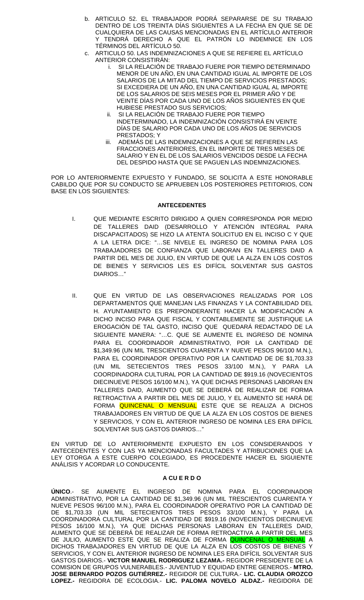- b. ARTICULO 52. EL TRABAJADOR PODRÁ SEPARARSE DE SU TRABAJO DENTRO DE LOS TREINTA DÍAS SIGUIENTES A LA FECHA EN QUE SE DE CUALQUIERA DE LAS CAUSAS MENCIONADAS EN EL ARTÍCULO ANTERIOR Y TENDRÁ DERECHO A QUE EL PATRÓN LO INDEMNICE EN LOS TÉRMINOS DEL ARTÍCULO 50.
- c. ARTICULO 50. LAS INDEMNIZACIONES A QUE SE REFIERE EL ARTÍCULO ANTERIOR CONSISTIRÁN:
	- i. SI LA RELACIÓN DE TRABAJO FUERE POR TIEMPO DETERMINADO MENOR DE UN AÑO, EN UNA CANTIDAD IGUAL AL IMPORTE DE LOS SALARIOS DE LA MITAD DEL TIEMPO DE SERVICIOS PRESTADOS; SI EXCEDIERA DE UN AÑO, EN UNA CANTIDAD IGUAL AL IMPORTE DE LOS SALARIOS DE SEIS MESES POR EL PRIMER AÑO Y DE VEINTE DÍAS POR CADA UNO DE LOS AÑOS SIGUIENTES EN QUE HUBIESE PRESTADO SUS SERVICIOS;
	- ii. SI LA RELACIÓN DE TRABAJO FUERE POR TIEMPO INDETERMINADO, LA INDEMNIZACIÓN CONSISTIRÁ EN VEINTE DÍAS DE SALARIO POR CADA UNO DE LOS AÑOS DE SERVICIOS PRESTADOS; Y
	- iii. ADEMÁS DE LAS INDEMNIZACIONES A QUE SE REFIEREN LAS FRACCIONES ANTERIORES, EN EL IMPORTE DE TRES MESES DE SALARIO Y EN EL DE LOS SALARIOS VENCIDOS DESDE LA FECHA DEL DESPIDO HASTA QUE SE PAGUEN LAS INDEMNIZACIONES.

POR LO ANTERIORMENTE EXPUESTO Y FUNDADO, SE SOLICITA A ESTE HONORABLE CABILDO QUE POR SU CONDUCTO SE APRUEBEN LOS POSTERIORES PETITORIOS, CON BASE EN LOS SIGUIENTES:

#### **ANTECEDENTES**

- I. QUE MEDIANTE ESCRITO DIRIGIDO A QUIEN CORRESPONDA POR MEDIO DE TALLERES DAID (DESARROLLO Y ATENCIÓN INTEGRAL PARA DISCAPACITADOS) SE HIZO LA ATENTA SOLICITUD EN EL INCISO C Y QUE A LA LETRA DICE: "…SE NIVELE EL INGRESO DE NOMINA PARA LOS TRABAJADORES DE CONFIANZA QUE LABORAN EN TALLERES DAID A PARTIR DEL MES DE JULIO, EN VIRTUD DE QUE LA ALZA EN LOS COSTOS DE BIENES Y SERVICIOS LES ES DIFÍCIL SOLVENTAR SUS GASTOS DIARIOS…"
- II. QUE EN VIRTUD DE LAS OBSERVACIONES REALIZADAS POR LOS DEPARTAMENTOS QUE MANEJAN LAS FINANZAS Y LA CONTABILIDAD DEL H. AYUNTAMIENTO ES PREPONDERANTE HACER LA MODIFICACIÓN A DICHO INCISO PARA QUE FISCAL Y CONTABLEMENTE SE JUSTIFIQUE LA EROGACIÓN DE TAL GASTO, INCISO QUE QUEDARÁ REDACTADO DE LA SIGUIENTE MANERA: "…C. QUE SE AUMENTE EL INGRESO DE NOMINA PARA EL COORDINADOR ADMINISTRATIVO, POR LA CANTIDAD DE \$1,349.96 (UN MIL TRESCIENTOS CUARENTA Y NUEVE PESOS 96/100 M.N.), PARA EL COORDINADOR OPERATIVO POR LA CANTIDAD DE DE \$1,703.33 (UN MIL SETECIENTOS TRES PESOS 33/100 M.N.), Y PARA LA COORDINADORA CULTURAL POR LA CANTIDAD DE \$919.16 (NOVECIENTOS DIECINUEVE PESOS 16/100 M.N.), YA QUE DICHAS PERSONAS LABORAN EN TALLERES DAID, AUMENTO QUE SE DEBERÁ DE REALIZAR DE FORMA RETROACTIVA A PARTIR DEL MES DE JULIO, Y EL AUMENTO SE HARÁ DE FORMA QUINCENAL O MENSUAL ESTE QUE SE REALIZA A DICHOS TRABAJADORES EN VIRTUD DE QUE LA ALZA EN LOS COSTOS DE BIENES Y SERVICIOS, Y CON EL ANTERIOR INGRESO DE NOMINA LES ERA DIFÍCIL SOLVENTAR SUS GASTOS DIARIOS…"

EN VIRTUD DE LO ANTERIORMENTE EXPUESTO EN LOS CONSIDERANDOS Y ANTECEDENTES Y CON LAS YA MENCIONADAS FACULTADES Y ATRIBUCIONES QUE LA LEY OTORGA A ESTE CUERPO COLEGIADO, ES PROCEDENTE HACER EL SIGUIENTE ANÁLISIS Y ACORDAR LO CONDUCENTE.

#### **A CU E R D O**

**ÚNICO**.- SE AUMENTE EL INGRESO DE NOMINA PARA EL COORDINADOR ADMINISTRATIVO, POR LA CANTIDAD DE \$1,349.96 (UN MIL TRESCIENTOS CUARENTA Y NUEVE PESOS 96/100 M.N.), PARA EL COORDINADOR OPERATIVO POR LA CANTIDAD DE DE \$1,703.33 (UN MIL SETECIENTOS TRES PESOS 33/100 M.N.), Y PARA LA COORDINADORA CULTURAL POR LA CANTIDAD DE \$919.16 (NOVECIENTOS DIECINUEVE PESOS 16/100 M.N.), YA QUE DICHAS PERSONAS LABORAN EN TALLERES DAID, AUMENTO QUE SE DEBERÁ DE REALIZAR DE FORMA RETROACTIVA A PARTIR DEL MES DE JULIO, AUMENTO ESTE QUE SE REALIZA DE FORMA <mark>QUINCENAL O MENSUAL</mark> A DICHOS TRABAJADORES EN VIRTUD DE QUE LA ALZA EN LOS COSTOS DE BIENES Y SERVICIOS, Y CON EL ANTERIOR INGRESO DE NOMINA LES ERA DIFÍCIL SOLVENTAR SUS GASTOS DIARIOS.- **VICTOR MANUEL RODRIGUEZ LEZAMA.-** REGIDOR PRESIDENTE DE LA COMISION DE GRUPOS VULNERABLES.- JUVENTUD Y EQUIDAD ENTRE GENEROS.- **MTRO. JOSE BERNARDO POZOS GUTIÉRREZ.-** REGIDOR DE CULTURA.- **LIC. CLAUDIA OROZCO LOPEZ.-** REGIDORA DE ECOLOGIA.- **LIC. PALOMA NOVELO ALDAZ.-** REGIDORA DE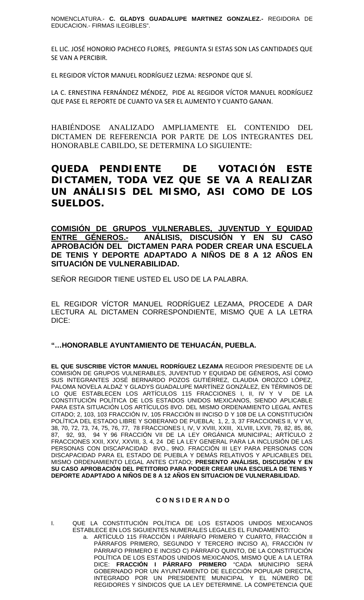NOMENCLATURA.- **C. GLADYS GUADALUPE MARTINEZ GONZALEZ.-** REGIDORA DE EDUCACION.- FIRMAS ILEGIBLES".

EL LIC. JOSÉ HONORIO PACHECO FLORES, PREGUNTA SI ESTAS SON LAS CANTIDADES QUE SE VAN A PERCIBIR.

EL REGIDOR VÍCTOR MANUEL RODRÍGUEZ LEZMA: RESPONDE QUE SÍ.

LA C. ERNESTINA FERNÁNDEZ MÉNDEZ, PIDE AL REGIDOR VÍCTOR MANUEL RODRÍGUEZ QUE PASE EL REPORTE DE CUANTO VA SER EL AUMENTO Y CUANTO GANAN.

HABIÉNDOSE ANALIZADO AMPLIAMENTE EL CONTENIDO DEL DICTAMEN DE REFERENCIA POR PARTE DE LOS INTEGRANTES DEL HONORABLE CABILDO, SE DETERMINA LO SIGUIENTE:

**QUEDA PENDIENTE DE VOTACIÓN ESTE DICTAMEN, TODA VEZ QUE SE VA A REALIZAR UN ANÁLISIS DEL MISMO, ASI COMO DE LOS SUELDOS.**

# **COMISIÓN DE GRUPOS VULNERABLES, JUVENTUD Y EQUIDAD ENTRE GÉNEROS.- ANÁLISIS, DISCUSIÓN Y EN SU CASO APROBACIÓN DEL DICTAMEN PARA PODER CREAR UNA ESCUELA DE TENIS Y DEPORTE ADAPTADO A NIÑOS DE 8 A 12 AÑOS EN SITUACIÓN DE VULNERABILIDAD.**

SEÑOR REGIDOR TIENE USTED EL USO DE LA PALABRA.

EL REGIDOR VÍCTOR MANUEL RODRÍGUEZ LEZAMA, PROCEDE A DAR LECTURA AL DICTAMEN CORRESPONDIENTE, MISMO QUE A LA LETRA DICE:

## **"…HONORABLE AYUNTAMIENTO DE TEHUACÁN, PUEBLA.**

**EL QUE SUSCRIBE VÍCTOR MANUEL RODRÍGUEZ LEZAMA** REGIDOR PRESIDENTE DE LA COMISIÓN DE GRUPOS VULNERABLES, JUVENTUD Y EQUIDAD DE GÉNEROS**,** ASÍ COMO SUS INTEGRANTES JOSÉ BERNARDO POZOS GUTIÉRREZ, CLAUDIA OROZCO LÓPEZ, PALOMA NOVELA ALDAZ Y GLADYS GUADALUPE MARTÍNEZ GONZÁLEZ, EN TÉRMINOS DE LO QUE ESTABLECEN LOS ARTÍCULOS 115 FRACCIONES I, II, IV Y V DE LA CONSTITUCIÓN POLÍTICA DE LOS ESTADOS UNIDOS MEXICANOS, SIENDO APLICABLE PARA ESTA SITUACIÓN LOS ARTÍCULOS 8VO. DEL MISMO ORDENAMIENTO LEGAL ANTES CITADO; 2, 103, 103 FRACCIÓN IV, 105 FRACCIÓN III INCISO D Y 108 DE LA CONSTITUCIÓN POLÍTICA DEL ESTADO LIBRE Y SOBERANO DE PUEBLA; 1, 2, 3, 37 FRACCIONES II, V Y VI, 38, 70, 72, 73, 74, 75, 76, 77, 78 FRACCIONES I, IV, V XVIII, XXIII, XLVIII, LXVII, 79, 82, 85, 86, 87, 92, 93, 94 Y 96 FRACCIÓN VII DE LA LEY ORGÁNICA MUNICIPAL; ARTÍCULO 2 FRACCIONES XXII, XXV, XXVIII, 3, 4, 24 DE LA LEY GENERAL PARA LA INCLUSIÓN DE LAS PERSONAS CON DISCAPACIDAD 8VO., 9NO. FRACCIÓN III LEY PARA PERSONAS CON DISCAPACIDAD PARA EL ESTADO DE PUEBLA Y DEMÁS RELATIVOS Y APLICABLES DEL MISMO ORDENAMIENTO LEGAL ANTES CITADO; **PRESENTO ANÁLISIS, DISCUSIÓN Y EN SU CASO APROBACIÓN DEL PETITORIO PARA PODER CREAR UNA ESCUELA DE TENIS Y DEPORTE ADAPTADO A NIÑOS DE 8 A 12 AÑOS EN SITUACION DE VULNERABILIDAD.**

## **C O N S I D E R A N D O**

I. QUE LA CONSTITUCIÓN POLÍTICA DE LOS ESTADOS UNIDOS MEXICANOS ESTABLECE EN LOS SIGUIENTES NUMERALES LEGALES EL FUNDAMENTO:

a. ARTÍCULO 115 FRACCIÓN I PÁRRAFO PRIMERO Y CUARTO, FRACCIÓN II PÁRRAFOS PRIMERO, SEGUNDO Y TERCERO INCISO A), FRACCIÓN IV PÁRRAFO PRIMERO E INCISO C) PÁRRAFO QUINTO, DE LA CONSTITUCIÓN POLÍTICA DE LOS ESTADOS UNIDOS MEXICANOS, MISMO QUE A LA LETRA DICE: **FRACCIÓN I PÁRRAFO PRIMERO** "CADA MUNICIPIO SERÁ GOBERNADO POR UN AYUNTAMIENTO DE ELECCIÓN POPULAR DIRECTA, INTEGRADO POR UN PRESIDENTE MUNICIPAL Y EL NÚMERO DE REGIDORES Y SÍNDICOS QUE LA LEY DETERMINE. LA COMPETENCIA QUE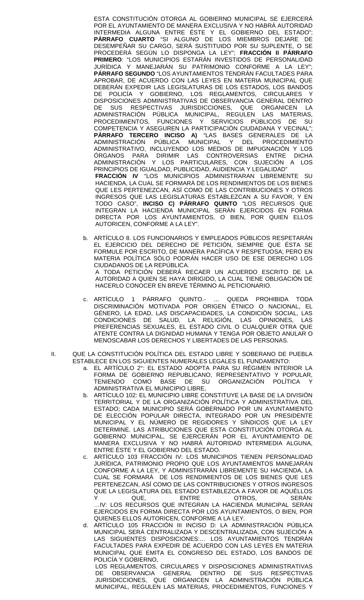ESTA CONSTITUCIÓN OTORGA AL GOBIERNO MUNICIPAL SE EJERCERÁ POR EL AYUNTAMIENTO DE MANERA EXCLUSIVA Y NO HABRÁ AUTORIDAD INTERMEDIA ALGUNA ENTRE ÉSTE Y EL GOBIERNO DEL ESTADO"; **PÁRRAFO CUARTO** "SI ALGUNO DE LOS MIEMBROS DEJARE DE DESEMPEÑAR SU CARGO, SERÁ SUSTITUIDO POR SU SUPLENTE, O SE PROCEDERÁ SEGÚN LO DISPONGA LA LEY"; **FRACCIÓN II PÁRRAFO PRIMERO**: "LOS MUNICIPIOS ESTARÁN INVESTIDOS DE PERSONALIDAD JURÍDICA Y MANEJARÁN SU PATRIMONIO CONFORME A LA LEY"; **PÁRRAFO SEGUNDO** "LOS AYUNTAMIENTOS TENDRÁN FACULTADES PARA APROBAR, DE ACUERDO CON LAS LEYES EN MATERIA MUNICIPAL QUE DEBERÁN EXPEDIR LAS LEGISLATURAS DE LOS ESTADOS, LOS BANDOS DE POLICÍA Y GOBIERNO, LOS REGLAMENTOS, CIRCULARES Y DISPOSICIONES ADMINISTRATIVAS DE OBSERVANCIA GENERAL DENTRO DE SUS RESPECTIVAS JURISDICCIONES, QUE ORGANICEN LA ADMINISTRACIÓN PÚBLICA MUNICIPAL, REGULEN LAS MATERIAS, PROCEDIMIENTOS, FUNCIONES Y SERVICIOS PÚBLICOS DE SU COMPETENCIA Y ASEGUREN LA PARTICIPACIÓN CIUDADANA Y VECINAL"; **PÁRRAFO TERCERO INCISO A)** "LAS BASES GENERALES DE LA ADMINISTRACIÓN PÚBLICA MUNICIPAL Y DEL PROCEDIMIENTO ADMINISTRATIVO, INCLUYENDO LOS MEDIOS DE IMPUGNACIÓN Y LOS ÓRGANOS PARA DIRIMIR LAS CONTROVERSIAS ENTRE DICHA ADMINISTRACIÓN Y LOS PARTICULARES, CON SUJECIÓN A LOS PRINCIPIOS DE IGUALDAD, PUBLICIDAD, AUDIENCIA Y LEGALIDAD" **FRACCIÓN IV** "LOS MUNICIPIOS ADMINISTRARAN LIBREMENTE SU HACIENDA, LA CUAL SE FORMARÁ DE LOS RENDIMIENTOS DE LOS BIENES QUE LES PERTENEZCAN, ASÍ COMO DE LAS CONTRIBUCIONES Y OTROS INGRESOS QUE LAS LEGISLATURAS ESTABLEZCAN A SU FAVOR, Y EN TODO CASO", **INCISO C) PÁRRAFO QUINTO** "LOS RECURSOS QUE INTEGRAN LA HACIENDA MUNICIPAL SERÁN EJERCIDOS EN FORMA DIRECTA POR LOS AYUNTAMIENTOS, O BIEN, POR QUIEN ELLOS AUTORICEN, CONFORME A LA LEY".

- b. ARTÍCULO 8. LOS FUNCIONARIOS Y EMPLEADOS PÚBLICOS RESPETARÁN EL EJERCICIO DEL DERECHO DE PETICIÓN, SIEMPRE QUE ÉSTA SE FORMULE POR ESCRITO, DE MANERA PACÍFICA Y RESPETUOSA; PERO EN MATERIA POLÍTICA SÓLO PODRÁN HACER USO DE ESE DERECHO LOS CIUDADANOS DE LA REPÚBLICA. A TODA PETICIÓN DEBERÁ RECAER UN ACUERDO ESCRITO DE LA AUTORIDAD A QUIEN SE HAYA DIRIGIDO, LA CUAL TIENE OBLIGACIÓN DE HACERLO CONOCER EN BREVE TÉRMINO AL PETICIONARIO.
- c. ARTÍCULO 1 PÁRRAFO QUINTO.- … QUEDA PROHIBIDA TODA DISCRIMINACIÓN MOTIVADA POR ORIGEN ÉTNICO O NACIONAL, EL GÉNERO, LA EDAD, LAS DISCAPACIDADES, LA CONDICIÓN SOCIAL, LAS CONDICIONES DE SALUD, LA RELIGIÓN, LAS OPINIONES, LAS PREFERENCIAS SEXUALES, EL ESTADO CIVIL O CUALQUIER OTRA QUE ATENTE CONTRA LA DIGNIDAD HUMANA Y TENGA POR OBJETO ANULAR O MENOSCABAR LOS DERECHOS Y LIBERTADES DE LAS PERSONAS.
- II. QUE LA CONSTITUCIÓN POLÍTICA DEL ESTADO LIBRE Y SOBERANO DE PUEBLA ESTABLECE EN LOS SIGUIENTES NUMERALES LEGALES EL FUNDAMENTO:
	- a. EL ARTÍCULO 2°: EL ESTADO ADOPTA PARA SU RÉGIMEN INTERIOR LA FORMA DE GOBIERNO REPUBLICANO, REPRESENTATIVO Y POPULAR,<br>TENIENDO COMO BASE DE SU ORGANIZACIÓN POLÍTICA Y TENIENDO COMO BASE DE SU ORGANIZACIÓN POLÍTICA Y ADMINISTRATIVA EL MUNICIPIO LIBRE,
	- b. ARTÍCULO 102: EL MUNICIPIO LIBRE CONSTITUYE LA BASE DE LA DIVISIÓN TERRITORIAL Y DE LA ORGANIZACIÓN POLÍTICA Y ADMINISTRATIVA DEL ESTADO; CADA MUNICIPIO SERÁ GOBERNADO POR UN AYUNTAMIENTO DE ELECCIÓN POPULAR DIRECTA, INTEGRADO POR UN PRESIDENTE MUNICIPAL Y EL NÚMERO DE REGIDORES Y SÍNDICOS QUE LA LEY DETERMINE. LAS ATRIBUCIONES QUE ESTA CONSTITUCIÓN OTORGA AL GOBIERNO MUNICIPAL, SE EJERCERÁN POR EL AYUNTAMIENTO DE MANERA EXCLUSIVA Y NO HABRÁ AUTORIDAD INTERMEDIA ALGUNA, ENTRE ÉSTE Y EL GOBIERNO DEL ESTADO.
	- c. ARTÍCULO 103 FRACCIÓN IV: LOS MUNICIPIOS TIENEN PERSONALIDAD JURÍDICA, PATRIMONIO PROPIO QUE LOS AYUNTAMIENTOS MANEJARÁN CONFORME A LA LEY, Y ADMINISTRARÁN LIBREMENTE SU HACIENDA, LA CUAL SE FORMARÁ DE LOS RENDIMIENTOS DE LOS BIENES QUE LES PERTENEZCAN, ASÍ COMO DE LAS CONTRIBUCIONES Y OTROS INGRESOS QUE LA LEGISLATURA DEL ESTADO ESTABLEZCA A FAVOR DE AQUÉLLOS Y QUE, ENTRE OTROS, SERÁN:

…IV: LOS RECURSOS QUE INTEGRAN LA HACIENDA MUNICIPAL SERÁN EJERCIDOS EN FORMA DIRECTA POR LOS AYUNTAMIENTOS, O BIEN, POR QUIENES ELLOS AUTORICEN, CONFORME A LA LEY.

d. ARTÍCULO 105 FRACCIÓN III INCISO D: LA ADMINISTRACIÓN PÚBLICA MUNICIPAL SERÁ CENTRALIZADA Y DESCENTRALIZADA, CON SUJECIÓN A LAS SIGUIENTES DISPOSICIONES:… LOS AYUNTAMIENTOS TENDRÁN FACULTADES PARA EXPEDIR DE ACUERDO CON LAS LEYES EN MATERIA MUNICIPAL QUE EMITA EL CONGRESO DEL ESTADO, LOS BANDOS DE POLICÍA Y GOBIERNO,

LOS REGLAMENTOS, CIRCULARES Y DISPOSICIONES ADMINISTRATIVAS DE OBSERVANCIA GENERAL DENTRO DE SUS RESPECTIVAS JURISDICCIONES, QUE ORGANICEN LA ADMINISTRACIÓN PÚBLICA MUNICIPAL, REGULEN LAS MATERIAS, PROCEDIMIENTOS, FUNCIONES Y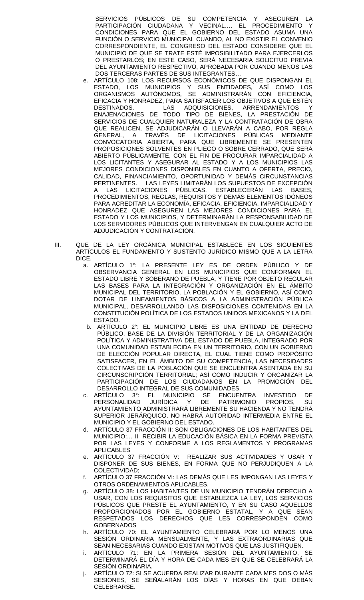SERVICIOS PÚBLICOS DE SU COMPETENCIA Y ASEGUREN LA PARTICIPACIÓN CIUDADANA Y VECINAL.... EL PROCEDIMIENTO CONDICIONES PARA QUE EL GOBIERNO DEL ESTADO ASUMA UNA FUNCIÓN O SERVICIO MUNICIPAL CUANDO, AL NO EXISTIR EL CONVENIO CORRESPONDIENTE, EL CONGRESO DEL ESTADO CONSIDERE QUE EL MUNICIPIO DE QUE SE TRATE ESTÉ IMPOSIBILITADO PARA EJERCERLOS O PRESTARLOS; EN ESTE CASO, SERÁ NECESARIA SOLICITUD PREVIA DEL AYUNTAMIENTO RESPECTIVO, APROBADA POR CUANDO MENOS LAS DOS TERCERAS PARTES DE SUS INTEGRANTES…

- e. ARTÍCULO 108: LOS RECURSOS ECONÓMICOS DE QUE DISPONGAN EL ESTADO, LOS MUNICIPIOS Y SUS ENTIDADES, ASÍ COMO LOS<br>ORGANISMOS AUTÓNOMOS, SE ADMINISTRARÁN CON EFICIENCIA, SE ADMINISTRARÁN CON EFICIENCIA, EFICACIA Y HONRADEZ, PARA SATISFACER LOS OBJETIVOS A QUE ESTÉN DESTINADOS. LAS ADQUISICIONES, ARRENDAMIENTOS ENAJENACIONES DE TODO TIPO DE BIENES, LA PRESTACIÓN DE SERVICIOS DE CUALQUIER NATURALEZA Y LA CONTRATACIÓN DE OBRA QUE REALICEN, SE ADJUDICARAN O LLEVARÁN A CABO, POR REGLA GENERAL, A TRAVÉS DE LICITACIONES PÚBLICAS MEDIANTE CONVOCATORIA ABIERTA, PARA QUE LIBREMENTE SE PRESENTEN PROPOSICIONES SOLVENTES EN PLIEGO O SOBRE CERRADO, QUE SERÁ ABIERTO PÚBLICAMENTE, CON EL FIN DE PROCURAR IMPARCIALIDAD A LOS LICITANTES Y ASEGURAR AL ESTADO Y A LOS MUNICIPIOS LAS MEJORES CONDICIONES DISPONIBLES EN CUANTO A OFERTA, PRECIO, CALIDAD, FINANCIAMIENTO, OPORTUNIDAD Y DEMÁS CIRCUNSTANCIAS PERTINENTES. LAS LEYES LIMITARÁN LOS SUPUESTOS DE EXCEPCIÓN LAS LICITACIONES PÚBLICAS, ESTABLECERÁN LAS BASES, PROCEDIMIENTOS, REGLAS, REQUISITOS Y DEMÁS ELEMENTOS IDÓNEOS PARA ACREDITAR LA ECONOMÍA, EFICACIA, EFICIENCIA, IMPARCIALIDAD Y HONRADEZ QUE ASEGUREN LAS MEJORES CONDICIONES PARA EL ESTADO Y LOS MUNICIPIOS, Y DETERMINARÁN LA RESPONSABILIDAD DE LOS SERVIDORES PÚBLICOS QUE INTERVENGAN EN CUALQUIER ACTO DE ADJUDICACIÓN Y CONTRATACIÓN.
- III. QUE DE LA LEY ORGÁNICA MUNICIPAL ESTABLECE EN LOS SIGUIENTES ARTÍCULOS EL FUNDAMENTO Y SUSTENTO JURÍDICO MISMO QUE A LA LETRA DICE.
	- a. ARTÍCULO 1°: LA PRESENTE LEY ES DE ORDEN PÚBLICO Y DE OBSERVANCIA GENERAL EN LOS MUNICIPIOS QUE CONFORMAN EL ESTADO LIBRE Y SOBERANO DE PUEBLA, Y TIENE POR OBJETO REGULAR LAS BASES PARA LA INTEGRACIÓN Y ORGANIZACIÓN EN EL ÁMBITO MUNICIPAL DEL TERRITORIO, LA POBLACIÓN Y EL GOBIERNO, ASÍ COMO DOTAR DE LINEAMIENTOS BÁSICOS A LA ADMINISTRACIÓN PÚBLICA MUNICIPAL, DESARROLLANDO LAS DISPOSICIONES CONTENIDAS EN LA CONSTITUCIÓN POLÍTICA DE LOS ESTADOS UNIDOS MEXICANOS Y LA DEL ESTADO.
	- b. ARTÍCULO 2°: EL MUNICIPIO LIBRE ES UNA ENTIDAD DE DERECHO PÚBLICO, BASE DE LA DIVISIÓN TERRITORIAL Y DE LA ORGANIZACIÓN POLÍTICA Y ADMINISTRATIVA DEL ESTADO DE PUEBLA, INTEGRADO POR UNA COMUNIDAD ESTABLECIDA EN UN TERRITORIO, CON UN GOBIERNO DE ELECCIÓN POPULAR DIRECTA, EL CUAL TIENE COMO PROPÓSITO SATISFACER, EN EL ÁMBITO DE SU COMPETENCIA, LAS NECESIDADES COLECTIVAS DE LA POBLACIÓN QUE SE ENCUENTRA ASENTADA EN SU CIRCUNSCRIPCIÓN TERRITORIAL; ASÍ COMO INDUCIR Y ORGANIZAR LA PARTICIPACIÓN DE LOS CIUDADANOS EN LA PROMOCIÓN DEL DESARROLLO INTEGRAL DE SUS COMUNIDADES.
	- c. ARTÍCULO 3°: EL MUNICIPIO SE ENCUENTRA INVESTIDO DE<br>PERSONALIDAD JURÍDICA Y DE PATRIMONIO PROPIOS, SU PERSONALIDAD JURÍDICA Y DE AYUNTAMIENTO ADMINISTRARÁ LIBREMENTE SU HACIENDA Y NO TENDRÁ SUPERIOR JERÁRQUICO. NO HABRÁ AUTORIDAD INTERMEDIA ENTRE EL MUNICIPIO Y EL GOBIERNO DEL ESTADO.
	- d. ARTÍCULO 37 FRACCIÓN II: SON OBLIGACIONES DE LOS HABITANTES DEL MUNICIPIO:… II RECIBIR LA EDUCACIÓN BÁSICA EN LA FORMA PREVISTA POR LAS LEYES Y CONFORME A LOS REGLAMENTOS Y PROGRAMAS APLICABLES
	- e. ARTÍCULO 37 FRACCIÓN V: REALIZAR SUS ACTIVIDADES Y USAR Y DISPONER DE SUS BIENES, EN FORMA QUE NO PERJUDIQUEN A LA COLECTIVIDAD;
	- f. ARTÍCULO 37 FRACCIÓN VI: LAS DEMÁS QUE LES IMPONGAN LAS LEYES Y OTROS ORDENAMIENTOS APLICABLES.
	- g. ARTÍCULO 38: LOS HABITANTES DE UN MUNICIPIO TENDRÁN DERECHO A USAR, CON LOS REQUISITOS QUE ESTABLEZCA LA LEY, LOS SERVICIOS PÚBLICOS QUE PRESTE EL AYUNTAMIENTO, Y EN SU CASO AQUELLOS PROPORCIONADOS POR EL GOBIERNO ESTATAL, Y A QUE SEAN RESPETADOS LOS DERECHOS QUE LES CORRESPONDEN COMO **GOBERNADOS**
	- h. ARTÍCULO 70: EL AYUNTAMIENTO CELEBRARÁ POR LO MENOS UNA SESIÓN ORDINARIA MENSUALMENTE, Y LAS EXTRAORDINARIAS QUE SEAN NECESARIAS CUANDO EXISTAN MOTIVOS QUE LAS JUSTIFIQUEN.
	- i. ARTÍCULO 71: EN LA PRIMERA SESIÓN DEL AYUNTAMIENTO, SE DETERMINARÁ EL DÍA Y HORA DE CADA MES EN QUE SE CELEBRARÁ LA SESIÓN ORDINARIA.
	- j. ARTÍCULO 72: SI SE ACUERDA REALIZAR DURANTE CADA MES DOS O MÁS SESIONES, SE SEÑALARÁN LOS DÍAS Y HORAS EN QUE DEBAN CELEBRARSE.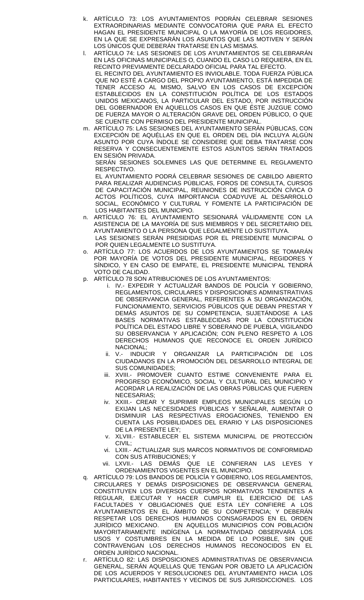- k. ARTÍCULO 73: LOS AYUNTAMIENTOS PODRÁN CELEBRAR SESIONES EXTRAORDINARIAS MEDIANTE CONVOCATORIA QUE PARA EL EFECTO HAGAN EL PRESIDENTE MUNICIPAL O LA MAYORÍA DE LOS REGIDORES, EN LA QUE SE EXPRESARÁN LOS ASUNTOS QUE LAS MOTIVEN Y SERÁN LOS ÚNICOS QUE DEBERÁN TRATARSE EN LAS MISMAS.
- l. ARTÍCULO 74: LAS SESIONES DE LOS AYUNTAMIENTOS SE CELEBRARÁN EN LAS OFICINAS MUNICIPALES O, CUANDO EL CASO LO REQUIERA, EN EL RECINTO PREVIAMENTE DECLARADO OFICIAL PARA TAL EFECTO. EL RECINTO DEL AYUNTAMIENTO ES INVIOLABLE. TODA FUERZA PÚBLICA QUE NO ESTÉ A CARGO DEL PROPIO AYUNTAMIENTO, ESTÁ IMPEDIDA DE TENER ACCESO AL MISMO, SALVO EN LOS CASOS DE EXCEPCIÓN ESTABLECIDOS EN LA CONSTITUCIÓN POLÍTICA DE LOS ESTADOS UNIDOS MEXICANOS, LA PARTICULAR DEL ESTADO, POR INSTRUCCIÓN DEL GOBERNADOR EN AQUELLOS CASOS EN QUE ÉSTE JUZGUE COMO DE FUERZA MAYOR O ALTERACIÓN GRAVE DEL ORDEN PÚBLICO, O QUE SE CUENTE CON PERMISO DEL PRESIDENTE MUNICIPAL.
- m. ARTÍCULO 75: LAS SESIONES DEL AYUNTAMIENTO SERÁN PÚBLICAS, CON EXCEPCIÓN DE AQUÉLLAS EN QUE EL ORDEN DEL DÍA INCLUYA ALGÚN ASUNTO POR CUYA ÍNDOLE SE CONSIDERE QUE DEBA TRATARSE CON RESERVA Y CONSECUENTEMENTE ESTOS ASUNTOS SERÁN TRATADOS EN SESIÓN PRIVADA.

SERÁN SESIONES SOLEMNES LAS QUE DETERMINE EL REGLAMENTO RESPECTIVO.

EL AYUNTAMIENTO PODRÁ CELEBRAR SESIONES DE CABILDO ABIERTO PARA REALIZAR AUDIENCIAS PÚBLICAS, FOROS DE CONSULTA, CURSOS DE CAPACITACIÓN MUNICIPAL, REUNIONES DE INSTRUCCIÓN CÍVICA O ACTOS POLÍTICOS, CUYA IMPORTANCIA COADYUVE AL DESARROLLO SOCIAL, ECONÓMICO Y CULTURAL Y FOMENTE LA PARTICIPACIÓN DE LOS HABITANTES DEL MUNICIPIO.

- n. ARTÍCULO 76: EL AYUNTAMIENTO SESIONARÁ VÁLIDAMENTE CON LA ASISTENCIA DE LA MAYORÍA DE SUS MIEMBROS Y DEL SECRETARIO DEL AYUNTAMIENTO O LA PERSONA QUE LEGALMENTE LO SUSTITUYA. LAS SESIONES SERÁN PRESIDIDAS POR EL PRESIDENTE MUNICIPAL O POR QUIEN LEGALMENTE LO SUSTITUYA.
- ARTÍCULO 77: LOS ACUERDOS DE LOS AYUNTAMIENTOS SE TOMARÁN POR MAYORÍA DE VOTOS DEL PRESIDENTE MUNICIPAL, REGIDORES Y SÍNDICO, Y EN CASO DE EMPATE, EL PRESIDENTE MUNICIPAL TENDRÁ VOTO DE CALIDAD.
- p. ARTÍCULO 78 SON ATRIBUCIONES DE LOS AYUNTAMIENTOS:
	- i. IV.- EXPEDIR Y ACTUALIZAR BANDOS DE POLICÍA Y GOBIERNO, REGLAMENTOS, CIRCULARES Y DISPOSICIONES ADMINISTRATIVAS DE OBSERVANCIA GENERAL, REFERENTES A SU ORGANIZACIÓN, FUNCIONAMIENTO, SERVICIOS PÚBLICOS QUE DEBAN PRESTAR Y DEMÁS ASUNTOS DE SU COMPETENCIA, SUJETÁNDOSE A LAS BASES NORMATIVAS ESTABLECIDAS POR LA CONSTITUCIÓN POLÍTICA DEL ESTADO LIBRE Y SOBERANO DE PUEBLA, VIGILANDO SU OBSERVANCIA Y APLICACIÓN; CON PLENO RESPETO A LOS DERECHOS HUMANOS QUE RECONOCE EL ORDEN JURÍDICO NACIONAL;
	- ii. V.- INDUCIR Y ORGANIZAR LA PARTICIPACIÓN DE LOS CIUDADANOS EN LA PROMOCIÓN DEL DESARROLLO INTEGRAL DE SUS COMUNIDADES;
	- iii. XVIII.- PROMOVER CUANTO ESTIME CONVENIENTE PARA EL PROGRESO ECONÓMICO, SOCIAL Y CULTURAL DEL MUNICIPIO Y ACORDAR LA REALIZACIÓN DE LAS OBRAS PÚBLICAS QUE FUEREN NECESARIAS;
	- iv. XXIII.- CREAR Y SUPRIMIR EMPLEOS MUNICIPALES SEGÚN LO EXIJAN LAS NECESIDADES PÚBLICAS Y SEÑALAR, AUMENTAR O DISMINUIR LAS RESPECTIVAS EROGACIONES, TENIENDO EN CUENTA LAS POSIBILIDADES DEL ERARIO Y LAS DISPOSICIONES DE LA PRESENTE LEY;
	- v. XLVIII.- ESTABLECER EL SISTEMA MUNICIPAL DE PROTECCIÓN CIVIL;
	- vi. LXIII.- ACTUALIZAR SUS MARCOS NORMATIVOS DE CONFORMIDAD CON SUS ATRIBUCIONES; Y
	- vii. LXVII.- LAS DEMÁS QUE LE CONFIERAN LAS LEYES Y ORDENAMIENTOS VIGENTES EN EL MUNICIPIO.
- q. ARTÍCULO 79: LOS BANDOS DE POLICÍA Y GOBIERNO, LOS REGLAMENTOS, CIRCULARES Y DEMÁS DISPOSICIONES DE OBSERVANCIA GENERAL CONSTITUYEN LOS DIVERSOS CUERPOS NORMATIVOS TENDIENTES A REGULAR, EJECUTAR Y HACER CUMPLIR EL EJERCICIO DE LAS FACULTADES Y OBLIGACIONES QUE ESTA LEY CONFIERE A LOS AYUNTAMIENTOS EN EL ÁMBITO DE SU COMPETENCIA; Y DEBERÁN RESPETAR LOS DERECHOS HUMANOS CONSAGRADOS EN EL ORDEN<br>JURÍDICO MEXICANO. EN AQUELLOS MUNICIPIOS CON POBLACIÓN EN AQUELLOS MUNICIPIOS CON POBLACIÓN MAYORITARIAMENTE INDÍGENA LA NORMATIVIDAD OBSERVARÁ LOS USOS Y COSTUMBRES EN LA MEDIDA DE LO POSIBLE, SIN QUE CONTRAVENGAN LOS DERECHOS HUMANOS RECONOCIDOS EN EL ORDEN JURÍDICO NACIONAL.
- r. ARTÍCULO 82: LAS DISPOSICIONES ADMINISTRATIVAS DE OBSERVANCIA GENERAL, SERÁN AQUELLAS QUE TENGAN POR OBJETO LA APLICACIÓN DE LOS ACUERDOS Y RESOLUCIONES DEL AYUNTAMIENTO HACIA LOS PARTICULARES, HABITANTES Y VECINOS DE SUS JURISDICCIONES. LOS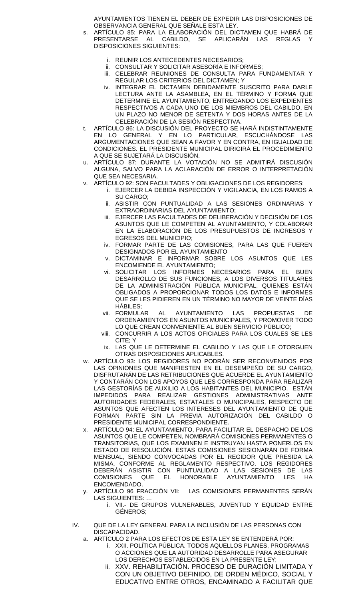AYUNTAMIENTOS TIENEN EL DEBER DE EXPEDIR LAS DISPOSICIONES DE OBSERVANCIA GENERAL QUE SEÑALE ESTA LEY.

- s. ARTÍCULO 85: PARA LA ELABORACIÓN DEL DICTAMEN QUE HABRÁ DE PRESENTARSE AL CABILDO, SE APLICARÁN LAS REGLAS DISPOSICIONES SIGUIENTES:
	- i. REUNIR LOS ANTECEDENTES NECESARIOS;
	- ii. CONSULTAR Y SOLICITAR ASESORÍA E INFORMES;
	- iii. CELEBRAR REUNIONES DE CONSULTA PARA FUNDAMENTAR Y REGULAR LOS CRITERIOS DEL DICTAMEN; Y
	- iv. INTEGRAR EL DICTAMEN DEBIDAMENTE SUSCRITO PARA DARLE LECTURA ANTE LA ASAMBLEA, EN EL TÉRMINO Y FORMA QUE DETERMINE EL AYUNTAMIENTO, ENTREGANDO LOS EXPEDIENTES RESPECTIVOS A CADA UNO DE LOS MIEMBROS DEL CABILDO, EN UN PLAZO NO MENOR DE SETENTA Y DOS HORAS ANTES DE LA CELEBRACIÓN DE LA SESIÓN RESPECTIVA.
- t. ARTÍCULO 86: LA DISCUSIÓN DEL PROYECTO SE HARÁ INDISTINTAMENTE EN LO GENERAL Y EN LO PARTICULAR, ESCUCHÁNDOSE LAS ARGUMENTACIONES QUE SEAN A FAVOR Y EN CONTRA, EN IGUALDAD DE CONDICIONES. EL PRESIDENTE MUNICIPAL DIRIGIRÁ EL PROCEDIMIENTO A QUE SE SUJETARÁ LA DISCUSIÓN.
- u. ARTÍCULO 87: DURANTE LA VOTACIÓN NO SE ADMITIRÁ DISCUSIÓN ALGUNA, SALVO PARA LA ACLARACIÓN DE ERROR O INTERPRETACIÓN QUE SEA NECESARIA.
- v. ARTÍCULO 92: SON FACULTADES Y OBLIGACIONES DE LOS REGIDORES:
	- i. EJERCER LA DEBIDA INSPECCIÓN Y VIGILANCIA, EN LOS RAMOS A SU CARGO;
	- ii. ASISTIR CON PUNTUALIDAD A LAS SESIONES ORDINARIAS Y EXTRAORDINARIAS DEL AYUNTAMIENTO;
	- iii. EJERCER LAS FACULTADES DE DELIBERACIÓN Y DECISIÓN DE LOS ASUNTOS QUE LE COMPETEN AL AYUNTAMIENTO, Y COLABORAR EN LA ELABORACIÓN DE LOS PRESUPUESTOS DE INGRESOS Y EGRESOS DEL MUNICIPIO;
	- iv. FORMAR PARTE DE LAS COMISIONES, PARA LAS QUE FUEREN DESIGNADOS POR EL AYUNTAMIENTO
	- v. DICTAMINAR E INFORMAR SOBRE LOS ASUNTOS QUE LES ENCOMIENDE EL AYUNTAMIENTO;
	- vi. SOLICITAR LOS INFORMES NECESARIOS PARA EL BUEN DESARROLLO DE SUS FUNCIONES, A LOS DIVERSOS TITULARES DE LA ADMINISTRACIÓN PÚBLICA MUNICIPAL, QUIENES ESTÁN OBLIGADOS A PROPORCIONAR TODOS LOS DATOS E INFORMES QUE SE LES PIDIEREN EN UN TÉRMINO NO MAYOR DE VEINTE DÍAS HÁBILES;
	- vii. FORMULAR AL AYUNTAMIENTO LAS PROPUESTAS DE ORDENAMIENTOS EN ASUNTOS MUNICIPALES, Y PROMOVER TODO LO QUE CREAN CONVENIENTE AL BUEN SERVICIO PÚBLICO;
	- viii. CONCURRIR A LOS ACTOS OFICIALES PARA LOS CUALES SE LES CITE; Y
	- ix. LAS QUE LE DETERMINE EL CABILDO Y LAS QUE LE OTORGUEN OTRAS DISPOSICIONES APLICABLES.
- w. ARTÍCULO 93: LOS REGIDORES NO PODRÁN SER RECONVENIDOS POR LAS OPINIONES QUE MANIFIESTEN EN EL DESEMPEÑO DE SU CARGO, DISFRUTARÁN DE LAS RETRIBUCIONES QUE ACUERDE EL AYUNTAMIENTO Y CONTARÁN CON LOS APOYOS QUE LES CORRESPONDA PARA REALIZAR LAS GESTORIAS DE AUXILIO A LOS HABITANTES DEL MUNICIPIO. ESTÁN IMPEDIDOS PARA REALIZAR GESTIONES ADMINISTRATIVAS ANTE AUTORIDADES FEDERALES, ESTATALES O MUNICIPALES, RESPECTO DE ASUNTOS QUE AFECTEN LOS INTERESES DEL AYUNTAMIENTO DE QUE FORMAN PARTE SIN LA PREVIA AUTORIZACIÓN DEL CABILDO O PRESIDENTE MUNICIPAL CORRESPONDIENTE.
- x. ARTÍCULO 94: EL AYUNTAMIENTO, PARA FACILITAR EL DESPACHO DE LOS ASUNTOS QUE LE COMPETEN, NOMBRARÁ COMISIONES PERMANENTES O TRANSITORIAS, QUE LOS EXAMINEN E INSTRUYAN HASTA PONERLOS EN ESTADO DE RESOLUCIÓN. ESTAS COMISIONES SESIONARÁN DE FORMA MENSUAL, SIENDO CONVOCADAS POR EL REGIDOR QUE PRESIDA LA MISMA, CONFORME AL REGLAMENTO RESPECTIVO. LOS REGIDORES DEBERÁN ASISTIR CON PUNTUALIDAD A LAS SESIONES DE LAS<br>COMISIONES QUE EL HONORABLE AYUNTAMIENTO LES HA COMISIONES QUE EL HONORABLE AYUNTAMIENTO LES HA ENCOMENDADO.
- y. ARTÍCULO 96 FRACCIÓN VII: LAS COMISIONES PERMANENTES SERÁN LAS SIGUIENTES: …
	- i. VII.- DE GRUPOS VULNERABLES, JUVENTUD Y EQUIDAD ENTRE GÉNEROS;
- IV. QUE DE LA LEY GENERAL PARA LA INCLUSIÓN DE LAS PERSONAS CON DISCAPACIDAD.
	- a. ARTÍCULO 2 PARA LOS EFECTOS DE ESTA LEY SE ENTENDERÁ POR:
		- i. XXII. POLÍTICA PÚBLICA. TODOS AQUELLOS PLANES, PROGRAMAS O ACCIONES QUE LA AUTORIDAD DESARROLLE PARA ASEGURAR LOS DERECHOS ESTABLECIDOS EN LA PRESENTE LEY;
		- ii. XXV. REHABILITACIÓN**.** PROCESO DE DURACIÓN LIMITADA Y CON UN OBJETIVO DEFINIDO, DE ORDEN MÉDICO, SOCIAL Y EDUCATIVO ENTRE OTROS, ENCAMINADO A FACILITAR QUE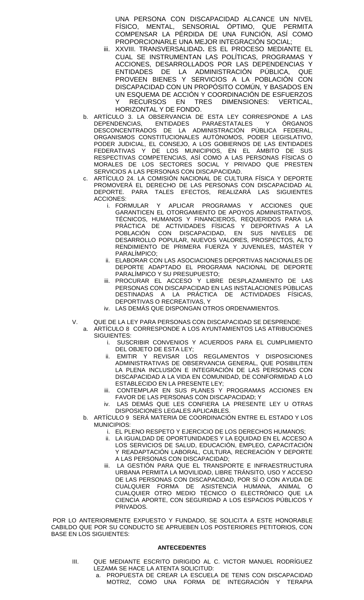UNA PERSONA CON DISCAPACIDAD ALCANCE UN NIVEL FÍSICO, MENTAL, SENSORIAL ÓPTIMO, QUE PERMITA COMPENSAR LA PÉRDIDA DE UNA FUNCIÓN, ASÍ COMO PROPORCIONARLE UNA MEJOR INTEGRACIÓN SOCIAL;

- iii. XXVIII. TRANSVERSALIDAD**.** ES EL PROCESO MEDIANTE EL CUAL SE INSTRUMENTAN LAS POLÍTICAS, PROGRAMAS Y ACCIONES, DESARROLLADOS POR LAS DEPENDENCIAS Y ENTIDADES DE LA ADMINISTRACIÓN PÚBLICA, QUE PROVEEN BIENES Y SERVICIOS A LA POBLACIÓN CON DISCAPACIDAD CON UN PROPÓSITO COMÚN, Y BASADOS EN UN ESQUEMA DE ACCIÓN Y COORDINACIÓN DE ESFUERZOS Y RECURSOS EN TRES DIMENSIONES: VERTICAL, HORIZONTAL Y DE FONDO.
- b. ARTÍCULO 3. LA OBSERVANCIA DE ESTA LEY CORRESPONDE A LAS DEPENDENCIAS, ENTIDADES PARAESTATALES Y ÓRGANOS DESCONCENTRADOS DE LA ADMINISTRACIÓN PÚBLICA FEDERAL, ORGANISMOS CONSTITUCIONALES AUTÓNOMOS, PODER LEGISLATIVO, PODER JUDICIAL, EL CONSEJO, A LOS GOBIERNOS DE LAS ENTIDADES FEDERATIVAS Y DE LOS MUNICIPIOS, EN EL ÁMBITO DE SUS RESPECTIVAS COMPETENCIAS, ASÍ COMO A LAS PERSONAS FÍSICAS O MORALES DE LOS SECTORES SOCIAL Y PRIVADO QUE PRESTEN SERVICIOS A LAS PERSONAS CON DISCAPACIDAD.
- c. ARTÍCULO 24. LA COMISIÓN NACIONAL DE CULTURA FÍSICA Y DEPORTE PROMOVERÁ EL DERECHO DE LAS PERSONAS CON DISCAPACIDAD AL DEPORTE. PARA TALES EFECTOS, REALIZARÁ LAS SIGUIENTES ACCIONES:
	- i. FORMULAR Y APLICAR PROGRAMAS Y ACCIONES QUE GARANTICEN EL OTORGAMIENTO DE APOYOS ADMINISTRATIVOS, TÉCNICOS, HUMANOS Y FINANCIEROS, REQUERIDOS PARA LA PRÁCTICA DE ACTIVIDADES FÍSICAS Y DEPORTIVAS A LA POBLACIÓN CON DISCAPACIDAD, EN SUS NIVELES DE DESARROLLO POPULAR, NUEVOS VALORES, PROSPECTOS, ALTO RENDIMIENTO DE PRIMERA FUERZA Y JUVENILES, MÁSTER Y PARALÍMPICO;
	- ii. ELABORAR CON LAS ASOCIACIONES DEPORTIVAS NACIONALES DE DEPORTE ADAPTADO EL PROGRAMA NACIONAL DE DEPORTE PARALÍMPICO Y SU PRESUPUESTO;
	- iii. PROCURAR EL ACCESO Y LIBRE DESPLAZAMIENTO DE LAS PERSONAS CON DISCAPACIDAD EN LAS INSTALACIONES PÚBLICAS DESTINADAS A LA PRÁCTICA DE ACTIVIDADES FÍSICAS, DEPORTIVAS O RECREATIVAS, Y
	- iv. LAS DEMÁS QUE DISPONGAN OTROS ORDENAMIENTOS.
- V. QUE DE LA LEY PARA PERSONAS CON DISCAPACIDAD SE DESPRENDE:
	- a. ARTÍCULO 8 CORRESPONDE A LOS AYUNTAMIENTOS LAS ATRIBUCIONES SIGUIENTES:
		- i. SUSCRIBIR CONVENIOS Y ACUERDOS PARA EL CUMPLIMIENTO DEL OBJETO DE ESTA LEY;
		- ii. EMITIR Y REVISAR LOS REGLAMENTOS Y DISPOSICIONES ADMINISTRATIVAS DE OBSERVANCIA GENERAL, QUE POSIBILITEN LA PLENA INCLUSIÓN E INTEGRACIÓN DE LAS PERSONAS CON DISCAPACIDAD A LA VIDA EN COMUNIDAD, DE CONFORMIDAD A LO ESTABLECIDO EN LA PRESENTE LEY;
		- iii. CONTEMPLAR EN SUS PLANES Y PROGRAMAS ACCIONES EN FAVOR DE LAS PERSONAS CON DISCAPACIDAD; Y
		- iv. LAS DEMÁS QUE LES CONFIERA LA PRESENTE LEY U OTRAS DISPOSICIONES LEGALES APLICABLES.
		- b. ARTÍCULO 9 SERÁ MATERIA DE COORDINACIÓN ENTRE EL ESTADO Y LOS MUNICIPIOS:
			- i. EL PLENO RESPETO Y EJERCICIO DE LOS DERECHOS HUMANOS;
			- ii. LA IGUALDAD DE OPORTUNIDADES Y LA EQUIDAD EN EL ACCESO A LOS SERVICIOS DE SALUD, EDUCACIÓN, EMPLEO, CAPACITACIÓN Y READAPTACIÓN LABORAL, CULTURA, RECREACIÓN Y DEPORTE A LAS PERSONAS CON DISCAPACIDAD;
			- iii. LA GESTIÓN PARA QUE EL TRANSPORTE E INFRAESTRUCTURA URBANA PERMITA LA MOVILIDAD, LIBRE TRÁNSITO, USO Y ACCESO DE LAS PERSONAS CON DISCAPACIDAD, POR SÍ O CON AYUDA DE CUALQUIER FORMA DE ASISTENCIA HUMANA, ANIMAL O CUALQUIER OTRO MEDIO TÉCNICO O ELECTRÓNICO QUE LA CIENCIA APORTE, CON SEGURIDAD A LOS ESPACIOS PÚBLICOS Y PRIVADOS.

POR LO ANTERIORMENTE EXPUESTO Y FUNDADO, SE SOLICITA A ESTE HONORABLE CABILDO QUE POR SU CONDUCTO SE APRUEBEN LOS POSTERIORES PETITORIOS, CON BASE EN LOS SIGUIENTES:

#### **ANTECEDENTES**

- III. QUE MEDIANTE ESCRITO DIRIGIDO AL C. VICTOR MANUEL RODRÍGUEZ LEZAMA SE HACE LA ATENTA SOLICITUD:
	- a. PROPUESTA DE CREAR LA ESCUELA DE TENIS CON DISCAPACIDAD MOTRIZ, COMO UNA FORMA DE INTEGRACIÓN Y TERAPIA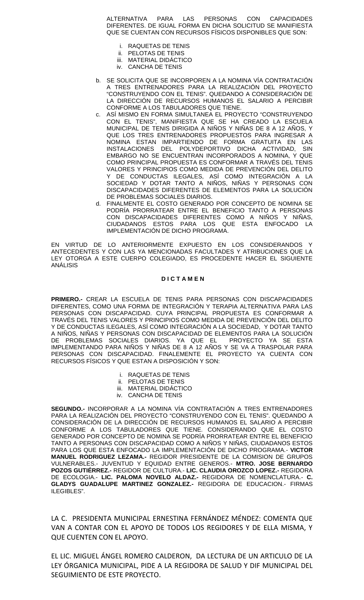ALTERNATIVA PARA LAS PERSONAS CON CAPACIDADES DIFERENTES. DE IGUAL FORMA EN DICHA SOLICITUD SE MANIFIESTA QUE SE CUENTAN CON RECURSOS FÍSICOS DISPONIBLES QUE SON:

- i. RAQUETAS DE TENIS
- ii. PELOTAS DE TENIS
- iii. MATERIAL DIDÁCTICO
- iv. CANCHA DE TENIS
- b. SE SOLICITA QUE SE INCORPOREN A LA NOMINA VÍA CONTRATACIÓN A TRES ENTRENADORES PARA LA REALIZACIÓN DEL PROYECTO "CONSTRUYENDO CON EL TENIS". QUEDANDO A CONSIDERACIÓN DE LA DIRECCIÓN DE RECURSOS HUMANOS EL SALARIO A PERCIBIR CONFORME A LOS TABULADORES QUE TIENE.
- c. ASÍ MISMO EN FORMA SIMULTANEA EL PROYECTO "CONSTRUYENDO CON EL TENIS", MANIFIESTA QUE SE HA CREADO LA ESCUELA MUNICIPAL DE TENIS DIRIGIDA A NIÑOS Y NIÑAS DE 8 A 12 AÑOS, Y QUE LOS TRES ENTRENADORES PROPUESTOS PARA INGRESAR A NOMINA ESTAN IMPARTIENDO DE FORMA GRATUITA EN LAS INSTALACIONES DEL POLYDEPORTIVO DICHA ACTIVIDAD, SIN EMBARGO NO SE ENCUENTRAN INCORPORADOS A NOMINA, Y QUE COMO PRINCIPAL PROPUESTA ES CONFORMAR A TRAVÉS DEL TENIS VALORES Y PRINCIPIOS COMO MEDIDA DE PREVENCIÓN DEL DELITO Y DE CONDUCTAS ILEGALES, ASÍ COMO INTEGRACIÓN A LA SOCIEDAD Y DOTAR TANTO A NINOS, NINAS Y PERSONAS CON DISCAPACIDADES DIFERENTES DE ELEMENTOS PARA LA SOLUCIÓN DE PROBLEMAS SOCIALES DIARIOS.
- d. FINALMENTE EL COSTO GENERADO POR CONCEPTO DE NOMINA SE PODRÍA PRORRATEAR ENTRE EL BENEFICIO TANTO A PERSONAS CON DISCAPACIDADES DIFERENTES COMO A NINOS Y NINAS, CIUDADANOS ESTOS PARA LOS QUE ESTA ENFOCADO LA IMPLEMENTACIÓN DE DICHO PROGRAMA.

EN VIRTUD DE LO ANTERIORMENTE EXPUESTO EN LOS CONSIDERANDOS Y ANTECEDENTES Y CON LAS YA MENCIONADAS FACULTADES Y ATRIBUCIONES QUE LA LEY OTORGA A ESTE CUERPO COLEGIADO, ES PROCEDENTE HACER EL SIGUIENTE ANÁLISIS

#### **D I C T A M E N**

**PRIMERO.-** CREAR LA ESCUELA DE TENIS PARA PERSONAS CON DISCAPACIDADES DIFERENTES, COMO UNA FORMA DE INTEGRACIÓN Y TERAPIA ALTERNATIVA PARA LAS PERSONAS CON DISCAPACIDAD. CUYA PRINCIPAL PROPUESTA ES CONFORMAR A TRAVÉS DEL TENIS VALORES Y PRINCIPIOS COMO MEDIDA DE PREVENCIÓN DEL DELITO Y DE CONDUCTAS ILEGALES, ASÍ COMO INTEGRACIÓN A LA SOCIEDAD, Y DOTAR TANTO A NIÑOS, NIÑAS Y PERSONAS CON DISCAPACIDAD DE ELEMENTOS PARA LA SOLUCIÓN DE PROBLEMAS SOCIALES DIARIOS. YA QUE EL PROYECTO YA SE ESTA IMPLEMENTANDO PARA NINOS Y NINAS DE 8 A 12 ANOS Y SE VA A TRASPOLAR PARA PERSONAS CON DISCAPACIDAD. FINALEMENTE EL PROYECTO YA CUENTA CON RECURSOS FISICOS Y QUE ESTAN A DISPOSICIÓN Y SON:

- i. RAQUETAS DE TENIS
- ii. PELOTAS DE TENIS
- iii. MATERIAL DIDÁCTICO
- iv. CANCHA DE TENIS

**SEGUNDO.-** INCORPORAR A LA NOMINA VÍA CONTRATACIÓN A TRES ENTRENADORES PARA LA REALIZACIÓN DEL PROYECTO "CONSTRUYENDO CON EL TENIS". QUEDANDO A CONSIDERACIÓN DE LA DIRECCIÓN DE RECURSOS HUMANOS EL SALARIO A PERCIBIR CONFORME A LOS TABULADORES QUE TIENE. CONSIDERANDO QUE EL COSTO GENERADO POR CONCEPTO DE NOMINA SE PODRÍA PRORRATEAR ENTRE EL BENEFICIO TANTO A PERSONAS CON DISCAPACIDAD COMO A NIÑOS Y NIÑAS, CIUDADANOS ESTOS PARA LOS QUE ESTA ENFOCADO LA IMPLEMENTACIÓN DE DICHO PROGRAMA.- **VICTOR MANUEL RODRIGUEZ LEZAMA.-** REGIDOR PRESIDENTE DE LA COMISION DE GRUPOS VULNERABLES.- JUVENTUD Y EQUIDAD ENTRE GENEROS.- **MTRO. JOSE BERNARDO POZOS GUTIÉRREZ.-** REGIDOR DE CULTURA.- **LIC. CLAUDIA OROZCO LOPEZ.-** REGIDORA DE ECOLOGIA.- **LIC. PALOMA NOVELO ALDAZ.-** REGIDORA DE NOMENCLATURA.- **C. GLADYS GUADALUPE MARTINEZ GONZALEZ.-** REGIDORA DE EDUCACION.- FIRMAS ILEGIBLES".

LA C. PRESIDENTA MUNICIPAL ERNESTINA FERNÁNDEZ MÉNDEZ: COMENTA QUE VAN A CONTAR CON EL APOYO DE TODOS LOS REGIDORES Y DE ELLA MISMA, Y QUE CUENTEN CON EL APOYO.

EL LIC. MIGUEL ÁNGEL ROMERO CALDERON, DA LECTURA DE UN ARTICULO DE LA LEY ÓRGANICA MUNICIPAL, PIDE A LA REGIDORA DE SALUD Y DIF MUNICIPAL DEL SEGUIMIENTO DE ESTE PROYECTO.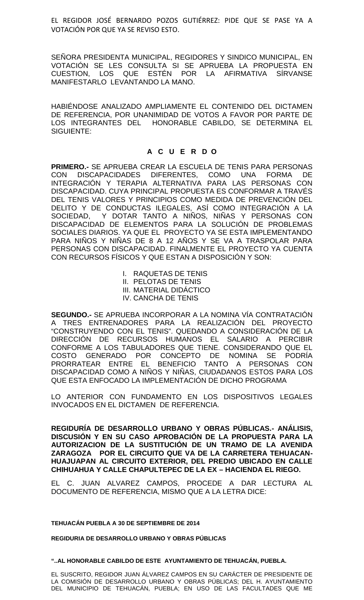EL REGIDOR JOSÉ BERNARDO POZOS GUTIÉRREZ: PIDE QUE SE PASE YA A VOTACIÓN POR QUE YA SE REVISO ESTO.

SEÑORA PRESIDENTA MUNICIPAL, REGIDORES Y SINDICO MUNICIPAL, EN VOTACIÓN SE LES CONSULTA SI SE APRUEBA LA PROPUESTA EN CUESTION, LOS QUE ESTÉN POR LA AFIRMATIVA SÍRVANSE MANIFESTARLO LEVANTANDO LA MANO.

HABIÉNDOSE ANALIZADO AMPLIAMENTE EL CONTENIDO DEL DICTAMEN DE REFERENCIA, POR UNANIMIDAD DE VOTOS A FAVOR POR PARTE DE LOS INTEGRANTES DEL HONORABLE CABILDO, SE DETERMINA EL SIGUIENTE:

# **A C U E R D O**

**PRIMERO.-** SE APRUEBA CREAR LA ESCUELA DE TENIS PARA PERSONAS CON DISCAPACIDADES DIFERENTES, COMO UNA FORMA DE INTEGRACIÓN Y TERAPIA ALTERNATIVA PARA LAS PERSONAS CON DISCAPACIDAD. CUYA PRINCIPAL PROPUESTA ES CONFORMAR A TRAVÉS DEL TENIS VALORES Y PRINCIPIOS COMO MEDIDA DE PREVENCIÓN DEL DELITO Y DE CONDUCTAS ILEGALES, ASÍ COMO INTEGRACIÓN A LA SOCIEDAD, Y DOTAR TANTO A NINOS, NINAS Y PERSONAS CON DISCAPACIDAD DE ELEMENTOS PARA LA SOLUCIÓN DE PROBLEMAS SOCIALES DIARIOS. YA QUE EL PROYECTO YA SE ESTA IMPLEMENTANDO PARA NIÑOS Y NIÑAS DE 8 A 12 AÑOS Y SE VA A TRASPOLAR PARA PERSONAS CON DISCAPACIDAD. FINALMENTE EL PROYECTO YA CUENTA CON RECURSOS FÍSICOS Y QUE ESTAN A DISPOSICIÓN Y SON:

- I. RAQUETAS DE TENIS
- II. PELOTAS DE TENIS
- III. MATERIAL DIDÁCTICO
- IV. CANCHA DE TENIS

**SEGUNDO.-** SE APRUEBA INCORPORAR A LA NOMINA VÍA CONTRATACIÓN A TRES ENTRENADORES PARA LA REALIZACIÓN DEL PROYECTO "CONSTRUYENDO CON EL TENIS". QUEDANDO A CONSIDERACIÓN DE LA DIRECCIÓN DE RECURSOS HUMANOS EL SALARIO A PERCIBIR CONFORME A LOS TABULADORES QUE TIENE. CONSIDERANDO QUE EL COSTO GENERADO POR CONCEPTO DE NOMINA SE PODRÍA PRORRATEAR ENTRE EL BENEFICIO TANTO A PERSONAS CON DISCAPACIDAD COMO A NIÑOS Y NIÑAS, CIUDADANOS ESTOS PARA LOS QUE ESTA ENFOCADO LA IMPLEMENTACIÓN DE DICHO PROGRAMA

LO ANTERIOR CON FUNDAMENTO EN LOS DISPOSITIVOS LEGALES INVOCADOS EN EL DICTAMEN DE REFERENCIA.

**REGIDURÍA DE DESARROLLO URBANO Y OBRAS PÚBLICAS.- ANÁLISIS, DISCUSIÓN Y EN SU CASO APROBACIÓN DE LA PROPUESTA PARA LA AUTORIZACION DE LA SUSTITUCIÓN DE UN TRAMO DE LA AVENIDA ZARAGOZA POR EL CIRCUITO QUE VA DE LA CARRETERA TEHUACAN- HUAJUAPAN AL CIRCUITO EXTERIOR, DEL PREDIO UBICADO EN CALLE CHIHUAHUA Y CALLE CHAPULTEPEC DE LA EX –HACIENDA EL RIEGO.**

EL C. JUAN ALVAREZ CAMPOS, PROCEDE A DAR LECTURA AL DOCUMENTO DE REFERENCIA, MISMO QUE A LA LETRA DICE:

**TEHUACÁN PUEBLA A 30 DE SEPTIEMBRE DE 2014**

**REGIDURIA DE DESARROLLO URBANO Y OBRAS PÚBLICAS**

**"..AL HONORABLE CABILDO DE ESTE AYUNTAMIENTO DE TEHUACÁN, PUEBLA.**

EL SUSCRITO, REGIDOR JUAN ÁLVAREZ CAMPOS EN SU CARÁCTER DE PRESIDENTE DE LA COMISIÓN DE DESARROLLO URBANO Y OBRAS PÚBLICAS; DEL H. AYUNTAMIENTO DEL MUNICIPIO DE TEHUACÁN, PUEBLA; EN USO DE LAS FACULTADES QUE ME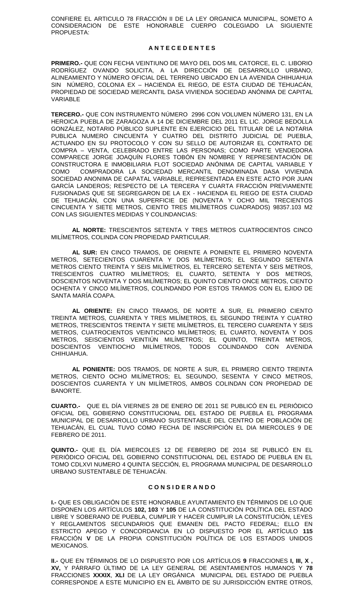CONFIERE EL ARTICULO 78 FRACCIÓN II DE LA LEY ORGANICA MUNICIPAL, SOMETO A CONSIDERACION DE ESTE HONORABLE CUERPO COLEGIADO LA SIGUIENTE PROPUESTA:

#### **A N T E C E D E N T E S**

**PRIMERO.-** QUE CON FECHA VEINTIUNO DE MAYO DEL DOS MIL CATORCE, EL C. LIBORIO RODRÍGUEZ OVANDO SOLICITA, A LA DIRECCIÓN DE DESARROLLO URBANO, ALINEAMIENTO Y NÚMERO OFICIAL DEL TERRENO UBICADO EN LA AVENIDA CHIHUAHUA SIN NÚMERO, COLONIA EX – HACIENDA EL RIEGO, DE ESTA CIUDAD DE TEHUACÁN, PROPIEDAD DE SOCIEDAD MERCANTIL DASA VIVIENDA SOCIEDAD ANÓNIMA DE CAPITAL VARIABLE

**TERCERO.-** QUE CON INSTRUMENTO NÚMERO 2996 CON VOLUMEN NÚMERO 131, EN LA HEROICA PUEBLA DE ZARAGOZA A 14 DE DICIEMBRE DEL 2011 EL LIC. JORGE BEDOLLA GONZÁLEZ, NOTARIO PÚBLICO SUPLENTE EN EJERCICIO DEL TITULAR DE LA NOTARIA PUBLICA NUMERO CINCUENTA Y CUATRO DEL DISTRITO JUDICIAL DE PUEBLA, ACTUANDO EN SU PROTOCOLO Y CON SU SELLO DE AUTORIZAR EL CONTRATO DE COMPRA – VENTA, CELEBRADO ENTRE LAS PERSONAS; COMO PARTE VENDEDORA COMPARECE JORGE JOAQUÍN FLORES TOBÓN EN NOMBRE Y REPRESENTACIÓN DE CONSTRUCTORA E INMOBILIARIA FLOT SOCIEDAD ANÓNIMA DE CAPITAL VARIABLE Y COMO COMPRADORA LA SOCIEDAD MERCANTIL DENOMINADA DASA VIVIENDA SOCIEDAD ANONIMA DE CAPATAL VARIABLE, REPRESENTADA EN ESTE ACTO POR JUAN GARCÍA LANDEROS; RESPECTO DE LA TERCERA Y CUARTA FRACCIÓN PREVIAMENTE FUSIONADAS QUE SE SEGREGARON DE LA EX - HACIENDA EL RIEGO DE ESTA CIUDAD DE TEHUACÁN, CON UNA SUPERFICIE DE (NOVENTA Y OCHO MIL TRECIENTOS CINCUENTA Y SIETE METROS, CIENTO TRES MILÍMETROS CUADRADOS) 98357.103 M2 CON LAS SIGUIENTES MEDIDAS Y COLINDANCIAS:

**AL NORTE:** TRESCIENTOS SETENTA Y TRES METROS CUATROCIENTOS CINCO MILÍMETROS, COLINDA CON PROPIEDAD PARTICULAR.

AL SUR: EN CINCO TRAMOS, DE ORIENTE A PONIENTE EL PRIMERO NOVENTA METROS, SETECIENTOS CUARENTA Y DOS MILÍMETROS; EL SEGUNDO SETENTA METROS CIENTO TREINTA Y SEIS MILÍMETROS, EL TERCERO SETENTA Y SEIS METROS, TRESCIENTOS CUATRO MILÍMETROS; EL CUARTO, SETENTA Y DOS METROS, DOSCIENTOS NOVENTA Y DOS MILÍMETROS; EL QUINTO CIENTO ONCE METROS, CIENTO OCHENTA Y CINCO MILÍMETROS, COLINDANDO POR ESTOS TRAMOS CON EL EJIDO DE SANTA MARÍA COAPA.

**AL ORIENTE:** EN CINCO TRAMOS, DE NORTE A SUR, EL PRIMERO CIENTO TREINTA METROS, CUARENTA Y TRES MILÍMETROS, EL SEGUNDO TREINTA Y CUATRO METROS, TRESCIENTOS TREINTA Y SIETE MILÍMETROS, EL TERCERO CUARENTA Y SEIS METROS, CUATROCIENTOS VEINTICINCO MILÍMETROS; EL CUARTO, NOVENTA Y DOS METROS, SEISCIENTOS VEINTIÚN MILÍMETROS; EL QUINTO, TREINTA METROS, DOSCIENTOS VEINTIOCHO MILÍMETROS, TODOS COLINDANDO CON AVENIDA CHIHUAHUA.

**AL PONIENTE:** DOS TRAMOS, DE NORTE A SUR, EL PRIMERO CIENTO TREINTA METROS, CIENTO OCHO MILÍMETROS; EL SEGUNDO, SESENTA Y CINCO METROS, DOSCIENTOS CUARENTA Y UN MILÍMETROS, AMBOS COLINDAN CON PROPIEDAD DE BANORTE.

**CUARTO.-** QUE EL DÍA VIERNES 28 DE ENERO DE 2011 SE PUBLICÓ EN EL PERIÓDICO OFICIAL DEL GOBIERNO CONSTITUCIONAL DEL ESTADO DE PUEBLA EL PROGRAMA MUNICIPAL DE DESARROLLO URBANO SUSTENTABLE DEL CENTRO DE POBLACIÓN DE TEHUACÁN, EL CUAL TUVO COMO FECHA DE INSCRIPCIÓN EL DIA MIERCOLES 9 DE FEBRERO DE 2011.

**QUINTO.-** QUE EL DÍA MIERCOLES 12 DE FEBRERO DE 2014 SE PUBLICÓ EN EL PERIÓDICO OFICIAL DEL GOBIERNO CONSTITUCIONAL DEL ESTADO DE PUEBLA EN EL TOMO CDLXVI NUMERO 4 QUINTA SECCIÓN, EL PROGRAMA MUNICIPAL DE DESARROLLO URBANO SUSTENTABLE DE TEHUACÁN.

#### **C O N S I D E R A N D O**

**I.-** QUE ES OBLIGACIÓN DE ESTE HONORABLE AYUNTAMIENTO EN TÉRMINOS DE LO QUE DISPONEN LOS ARTÍCULOS **102, 103** Y **105** DE LA CONSTITUCIÓN POLÍTICA DEL ESTADO LIBRE Y SOBERANO DE PUEBLA, CUMPLIR Y HACER CUMPLIR LA CONSTITUCIÓN, LEYES Y REGLAMENTOS SECUNDARIOS QUE EMANEN DEL PACTO FEDERAL; ELLO EN ESTRICTO APEGO Y CONCORDANCIA EN LO DISPUESTO POR EL ARTÍCULO **115** FRACCIÓN **V** DE LA PROPIA CONSTITUCIÓN POLÍTICA DE LOS ESTADOS UNIDOS MEXICANOS.

**II.-** QUE EN TÉRMINOS DE LO DISPUESTO POR LOS ARTÍCULOS **9** FRACCIONES **I, III, X , XV,** Y PÁRRAFO ÚLTIMO DE LA LEY GENERAL DE ASENTAMIENTOS HUMANOS Y **78** FRACCIONES **XXXIX**, **XLI** DE LA LEY ORGÁNICA MUNICIPAL DEL ESTADO DE PUEBLA CORRESPONDE A ESTE MUNICIPIO EN EL ÁMBITO DE SU JURISDICCIÓN ENTRE OTROS,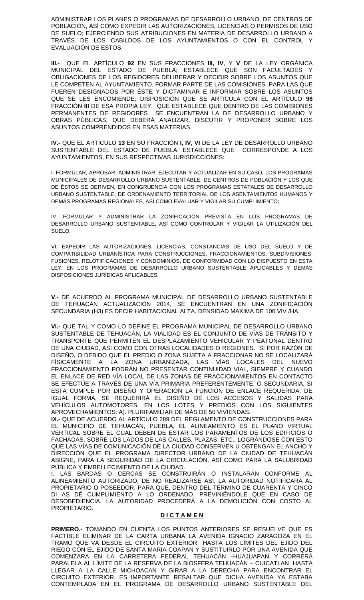ADMINISTRAR LOS PLANES O PROGRAMAS DE DESARROLLO URBANO, DE CENTROS DE POBLACIÓN, ASÍ COMO EXPEDIR LAS AUTORIZACIONES, LICENCIAS O PERMISOS DE USO DE SUELO; EJERCIENDO SUS ATRIBUCIONES EN MATERIA DE DESARROLLO URBANO A TRAVÉS DE LOS CABILDOS DE LOS AYUNTAMIENTOS O CON EL CONTROL Y EVALUACIÓN DE ESTOS.

**III.-** QUE EL ARTÍCULO **92** EN SUS FRACCIONES **III, IV**, Y **V** DE LA LEY ORGÁNICA MUNICIPAL DEL ESTADO DE PUEBLA; ESTABLECE QUE SON FACULTADES Y OBLIGACIONES DE LOS REGIDORES DELIBERAR Y DECIDIR SOBRE LOS ASUNTOS QUE LE COMPETEN AL AYUNTAMIENTO, FORMAR PARTE DE LAS COMISIONES PARA LAS QUE FUEREN DESIGNADOS POR ÉSTE Y DICTAMINAR E INFORMAR SOBRE LOS ASUNTOS QUE SE LES ENCOMIENDE; DISPOSICIÓN QUE SE ARTICULA CON EL ARTÍCULO **96** FRACCIÓN **III** DE ESA PROPIA LEY, QUE ESTABLECE QUE DENTRO DE LAS COMISIONES PERMANENTES DE REGIDORES SE ENCUENTRAN LA DE DESARROLLO URBANO Y OBRAS PÚBLICAS, QUE DEBERÁ ANALIZAR, DISCUTIR Y PROPONER SOBRE LOS ASUNTOS COMPRENDIDOS EN ESAS MATERIAS.

**IV.-** QUE EL ARTÍCULO **13** EN SU FRACCIÓN **I, IV, VI** DE LA LEY DE DESARROLLO URBANO SUSTENTABLE DEL ESTADO DE PUEBLA; ESTABLECE QUE CORRESPONDE A LOS AYUNTAMIENTOS, EN SUS RESPECTIVAS JURISDICCIONES:

I.-FORMULAR, APROBAR, ADMINISTRAR, EJECUTAR Y ACTUALIZAR EN SU CASO, LOS PROGRAMAS MUNICIPALES DE DESARROLLO URBANO SUSTENTABLE, DE CENTROS DE POBLACIÓN Y LOS QUE DE ÉSTOS SE DERIVEN, EN CONGRUENCIA CON LOS PROGRAMAS ESTATALES DE DESARROLLO URBANO SUSTENTABLE, DE ORDENAMIENTO TERRITORIAL DE LOS ASENTAMIENTOS HUMANOS Y DEMÁS PROGRAMAS REGIONALES, ASÍ COMO EVALUAR Y VIGILAR SU CUMPLIMIENTO;

IV. FORMULAR Y ADMINISTRAR LA ZONIFICACIÓN PREVISTA EN LOS PROGRAMAS DE DESARROLLO URBANO SUSTENTABLE, ASÍ COMO CONTROLAR Y VIGILAR LA UTILIZACIÓN DEL SUELO;

VI. EXPEDIR LAS AUTORIZACIONES, LICENCIAS, CONSTANCIAS DE USO DEL SUELO Y DE COMPATIBILIDAD URBANÍSTICA PARA CONSTRUCCIONES, FRACCIONAMIENTOS, SUBDIVISIONES, FUSIONES, RELOTIFICACIONES Y CONDOMINIOS, DE CONFORMIDAD CON LO DISPUESTO EN ESTA LEY, EN LOS PROGRAMAS DE DESARROLLO URBANO SUSTENTABLE APLICABLES Y DEMÁS DISPOSICIONES JURÍDICAS APLICABLES;

**V.-** DE ACUERDO AL PROGRAMA MUNICIPAL DE DESARROLLO URBANO SUSTENTABLE DE TEHUACÁN ACTUALIZACIÓN 2014, SE ENCUENTRAN EN UNA ZONIFICACIÓN SECUNDARIA (H3) ES DECIR HABITACIONAL ALTA. DENSIDAD MAXIMA DE 100 VIV /HA.

**VI.-** QUE TAL Y COMO LO DEFINE EL PROGRAMA MUNICIPAL DE DESARROLLO URBANO SUSTENTABLE DE TEHUACÁN, LA VIALIDAD ES EL CONJUNTO DE VÍAS DE TRÁNSITO Y TRANSPORTE QUE PERMITEN EL DESPLAZAMIENTO VEHICULAR Y PEATONAL DENTRO DE UNA CIUDAD, ASÍ COMO CON OTRAS LOCALIDADES O REGIONES. SI POR RAZÓN DE DISEÑO, O DEBIDO QUE EL PREDIO O ZONA SUJETA A FRACCIONAR NO SE LOCALIZARÁ FÍSICAMENTE A LA ZONA URBANIZADA, LAS VÍAS LOCALES DEL NUEVO FRACCIONAMIENTO PODRÁN NO PRESENTAR CONTINUIDAD VIAL, SIEMPRE Y CUANDO EL ENLACE DE RED VÍA LOCAL DE LAS ZONAS DE FRACCIONAMIENTOS EN CONTACTO SE EFECTÚE A TRAVÉS DE UNA VÍA PRIMARIA PREFERENTEMENTE, O SECUNDARIA, SI ESTA CUMPLE POR DISEÑO Y OPERACIÓN LA FUNCIÓN DE ENLACE REQUERIDA. DE IGUAL FORMA, SE REQUERIRÁ EL DISEÑO DE LOS ACCESOS Y SALIDAS PARA VEHÍCULOS AUTOMOTORES, EN LOS LOTES Y PREDIOS CON LOS SIGUIENTES APROVECHAMIENTOS: A). PLURIFAMILIAR DE MÁS DE 50 VIVIENDAS.

**IX.-** QUE DE ACUERDO AL ARTÍCULO 289 DEL REGLAMENTO DE CONSTRUCCIONES PARA EL MUNICIPIO DE TEHUACÁN, PUEBLA, EL ALINEAMIENTO ES EL PLANO VIRTUAL VERTICAL SOBRE EL CUAL DEBEN DE ESTAR LOS PARAMENTOS DE LOS EDIFICIOS O FACHADAS, SOBRE LOS LADOS DE LAS CALLES, PLAZAS, ETC., LOGRÁNDOSE CON ESTO QUE LAS VÍAS DE COMUNICACIÓN DE LA CIUDAD CONSERVEN U OBTENGAN EL ANCHO Y DIRECCIÓN QUE EL PROGRAMA DIRECTOR URBANO DE LA CIUDAD DE TEHUACÁN ASIGNE, PARA LA SEGURIDAD DE LA CIRCULACIÓN, ASÍ COMO PARA LA SALUBRIDAD PÚBLICA Y EMBELLECIMIENTO DE LA CIUDAD.

I. LAS BARDAS O CERCAS SE CONSTRUIRÁN O INSTALARÁN CONFORME AL ALINEAMIENTO AUTORIZADO; DE NO REALIZARSE ASÍ, LA AUTORIDAD NOTIFICARÁ AL PROPIETARIO O POSEEDOR, PARA QUE, DENTRO DEL TÉRMINO DE CUARENTA Y CINCO DI AS DÉ CUMPLIMIENTO A LO ORDENADO, PREVINIÉNDOLE QUE EN CASO DE DESOBEDIENCIA, LA AUTORIDAD PROCEDERÁ A LA DEMOLICIÓN CON COSTO AL PROPIETARIO.

#### **D I C T A M E N**

**PRIMERO.-** TOMANDO EN CUENTA LOS PUNTOS ANTERIORES SE RESUELVE QUE ES FACTIBLE ELIMINAR DE LA CARTA URBANA LA AVENIDA IGNACIO ZARAGOZA EN EL TRAMO QUE VA DESDE EL CIRCUITO EXTERIOR HASTA LOS LÍMITES DEL EJIDO DEL RIEGO CON EL EJIDO DE SANTA MARIA COAPAN Y SUSTITUIRLO POR UNA AVENIDA QUE COMENZARA EN LA CARRETERA FEDERAL TEHUACÁN -HUAJUAPAN Y CORRERÁ PARALELA AL LÍMITE DE LA RESERVA DE LA BIOSFERA TEHUACÁN – CUICATLAN HASTA LLEGAR A LA CALLE MICHOACAN Y GIRAR A LA DERECHA PARA ENCONTRAR EL CIRCUITO EXTERIOR. ES IMPORTANTE RESALTAR QUE DICHA AVENIDA YA ESTABA CONTEMPLADA EN EL PROGRAMA DE DESARROLLO URBANO SUSTENTABLE DEL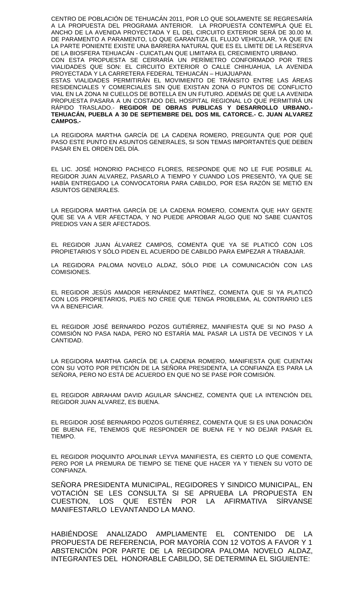CENTRO DE POBLACIÓN DE TEHUACÁN 2011, POR LO QUE SOLAMENTE SE REGRESARÍA A LA PROPUESTA DEL PROGRAMA ANTERIOR. LA PROPUESTA CONTEMPLA QUE EL ANCHO DE LA AVENIDA PROYECTADA Y EL DEL CIRCUITO EXTERIOR SERÁ DE 30.00 M. DE PARAMENTO A PARAMENTO, LO QUE GARANTIZA EL FLUJO VEHICULAR, YA QUE EN LA PARTE PONIENTE EXISTE UNA BARRERA NATURAL QUE ES EL LÍMITE DE LA RESERVA DE LA BIOSFERA TEHUACAN - CUICATLAN QUE LIMITARA EL CRECIMIENTO URBANO. CON ESTA PROPUESTA SE CERRARÍA UN PERÍMETRO CONFORMADO POR TRES VIALIDADES QUE SON: EL CIRCUITO EXTERIOR O CALLE CHIHUAHUA, LA AVENIDA PROYECTADA Y LA CARRETERA FEDERAL TEHUACÁN – HUAJUAPAN. ESTAS VIALIDADES PERMITIRÁN EL MOVIMIENTO DE TRÁNSITO ENTRE LAS ÁREAS RESIDENCIALES Y COMERCIALES SIN QUE EXISTAN ZONA O PUNTOS DE CONFLICTO VIAL EN LA ZONA NI CUELLOS DE BOTELLA EN UN FUTURO. ADEMÁS DE QUE LA AVENIDA PROPUESTA PASARA A UN COSTADO DEL HOSPITAL REGIONAL LO QUE PERMITIRÁ UN RÁPIDO TRASLADO.- **REGIDOR DE OBRAS PUBLICAS Y DESARROLLO URBANO.- TEHUACÁN, PUEBLA A 30 DE SEPTIEMBRE DEL DOS MIL CATORCE.- C. JUAN ALVAREZ CAMPOS.-**

LA REGIDORA MARTHA GARCÍA DE LA CADENA ROMERO, PREGUNTA QUE POR QUÉ PASO ESTE PUNTO EN ASUNTOS GENERALES, SI SON TEMAS IMPORTANTES QUE DEBEN PASAR EN EL ORDEN DEL DÍA.

EL LIC. JOSÉ HONORIO PACHECO FLORES, RESPONDE QUE NO LE FUE POSIBLE AL REGIDOR JUAN ALVAREZ, PASARLO A TIEMPO Y CUANDO LOS PRESENTÓ, YA QUE SE HABÍA ENTREGADO LA CONVOCATORIA PARA CABILDO, POR ESA RAZÓN SE METIÓ EN ASUNTOS GENERALES.

LA REGIDORA MARTHA GARCÍA DE LA CADENA ROMERO, COMENTA QUE HAY GENTE QUE SE VA A VER AFECTADA, Y NO PUEDE APROBAR ALGO QUE NO SABE CUANTOS PREDIOS VAN A SER AFECTADOS.

EL REGIDOR JUAN ÁLVAREZ CAMPOS, COMENTA QUE YA SE PLATICÓ CON LOS PROPIETARIOS Y SÓLO PIDEN EL ACUERDO DE CABILDO PARA EMPEZAR A TRABAJAR.

LA REGIDORA PALOMA NOVELO ALDAZ, SÓLO PIDE LA COMUNICACIÓN CON LAS COMISIONES.

EL REGIDOR JESÚS AMADOR HERNÁNDEZ MARTÍNEZ, COMENTA QUE SI YA PLATICÓ CON LOS PROPIETARIOS, PUES NO CREE QUE TENGA PROBLEMA, AL CONTRARIO LES VA A BENEFICIAR.

EL REGIDOR JOSÉ BERNARDO POZOS GUTIÉRREZ, MANIFIESTA QUE SI NO PASO A COMISIÓN NO PASA NADA, PERO NO ESTARÍA MAL PASAR LA LISTA DE VECINOS Y LA CANTIDAD.

LA REGIDORA MARTHA GARCÍA DE LA CADENA ROMERO, MANIFIESTA QUE CUENTAN CON SU VOTO POR PETICIÓN DE LA SEÑORA PRESIDENTA, LA CONFIANZA ES PARA LA SEÑORA, PERO NO ESTÁ DE ACUERDO EN QUE NO SE PASE POR COMISIÓN.

EL REGIDOR ABRAHAM DAVID AGUILAR SÁNCHEZ, COMENTA QUE LA INTENCIÓN DEL REGIDOR JUAN ALVAREZ, ES BUENA.

EL REGIDOR JOSÉ BERNARDO POZOS GUTIÉRREZ, COMENTA QUE SI ES UNA DONACIÓN DE BUENA FE, TENEMOS QUE RESPONDER DE BUENA FE Y NO DEJAR PASAR EL TIEMPO.

EL REGIDOR PIOQUINTO APOLINAR LEYVA MANIFIESTA, ES CIERTO LO QUE COMENTA, PERO POR LA PREMURA DE TIEMPO SE TIENE QUE HACER YA Y TIENEN SU VOTO DE CONFIANZA.

SEÑORA PRESIDENTA MUNICIPAL, REGIDORES Y SINDICO MUNICIPAL, EN VOTACIÓN SE LES CONSULTA SI SE APRUEBA LA PROPUESTA EN CUESTION, LOS QUE ESTÉN POR LA AFIRMATIVA SÍRVANSE MANIFESTARLO LEVANTANDO LA MANO.

HABIÉNDOSE ANALIZADO AMPLIAMENTE EL CONTENIDO DE LA PROPUESTA DE REFERENCIA, POR MAYORÍA CON 12 VOTOS A FAVOR Y 1 ABSTENCIÓN POR PARTE DE LA REGIDORA PALOMA NOVELO ALDAZ, INTEGRANTES DEL HONORABLE CABILDO, SE DETERMINA EL SIGUIENTE: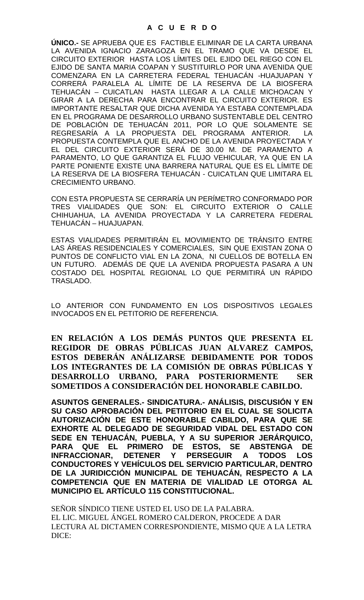**ÚNICO.-** SE APRUEBA QUE ES FACTIBLE ELIMINAR DE LA CARTA URBANA LA AVENIDA IGNACIO ZARAGOZA EN EL TRAMO QUE VA DESDE EL CIRCUITO EXTERIOR HASTA LOS LÍMITES DEL EJIDO DEL RIEGO CON EL EJIDO DE SANTA MARIA COAPAN Y SUSTITUIRLO POR UNA AVENIDA QUE COMENZARA EN LA CARRETERA FEDERAL TEHUACÁN -HUAJUAPAN Y CORRERÁ PARALELA AL LÍMITE DE LA RESERVA DE LA BIOSFERA TEHUACAN – CUICATLAN HASTA LLEGAR A LA CALLE MICHOACAN Y GIRAR A LA DERECHA PARA ENCONTRAR EL CIRCUITO EXTERIOR. ES IMPORTANTE RESALTAR QUE DICHA AVENIDA YA ESTABA CONTEMPLADA EN EL PROGRAMA DE DESARROLLO URBANO SUSTENTABLE DEL CENTRO DE POBLACIÓN DE TEHUACÁN 2011, POR LO QUE SOLAMENTE SE REGRESARÍA A LA PROPUESTA DEL PROGRAMA ANTERIOR. LA PROPUESTA CONTEMPLA QUE EL ANCHO DE LA AVENIDA PROYECTADA Y EL DEL CIRCUITO EXTERIOR SERÁ DE 30.00 M. DE PARAMENTO A PARAMENTO, LO QUE GARANTIZA EL FLUJO VEHICULAR, YA QUE EN LA PARTE PONIENTE EXISTE UNA BARRERA NATURAL QUE ES EL LÍMITE DE LA RESERVA DE LA BIOSFERA TEHUACÁN - CUICATLAN QUE LIMITARA EL CRECIMIENTO URBANO.

CON ESTA PROPUESTA SE CERRARÍA UN PERÍMETRO CONFORMADO POR TRES VIALIDADES QUE SON: EL CIRCUITO EXTERIOR O CALLE CHIHUAHUA, LA AVENIDA PROYECTADA Y LA CARRETERA FEDERAL TEHUACÁN – HUAJUAPAN.

ESTAS VIALIDADES PERMITIRÁN EL MOVIMIENTO DE TRÁNSITO ENTRE LAS ÁREAS RESIDENCIALES Y COMERCIALES, SIN QUE EXISTAN ZONA O PUNTOS DE CONFLICTO VIAL EN LA ZONA, NI CUELLOS DE BOTELLA EN UN FUTURO. ADEMÁS DE QUE LA AVENIDA PROPUESTA PASARA A UN COSTADO DEL HOSPITAL REGIONAL LO QUE PERMITIRÁ UN RÁPIDO TRASLADO.

LO ANTERIOR CON FUNDAMENTO EN LOS DISPOSITIVOS LEGALES INVOCADOS EN EL PETITORIO DE REFERENCIA.

**EN RELACIÓN A LOS DEMÁS PUNTOS QUE PRESENTA EL REGIDOR DE OBRAS PÚBLICAS JUAN ALVAREZ CAMPOS, ESTOS DEBERÁN ANÁLIZARSE DEBIDAMENTE POR TODOS LOS INTEGRANTES DE LA COMISIÓN DE OBRAS PÚBLICAS Y DESARROLLO URBANO, PARA POSTERIORMENTE SER SOMETIDOS A CONSIDERACIÓN DEL HONORABLE CABILDO.**

**ASUNTOS GENERALES.- SINDICATURA.- ANÁLISIS, DISCUSIÓN Y EN SU CASO APROBACIÓN DEL PETITORIO EN EL CUAL SE SOLICITA AUTORIZACIÓN DE ESTE HONORABLE CABILDO, PARA QUE SE EXHORTE AL DELEGADO DE SEGURIDAD VIDAL DEL ESTADO CON SEDE EN TEHUACÁN, PUEBLA, Y A SU SUPERIOR JERÁRQUICO, PARA QUE EL PRIMERO DE ESTOS, SE ABSTENGA DE INFRACCIONAR, DETENER Y PERSEGUIR CONDUCTORES Y VEHÍCULOS DEL SERVICIO PARTICULAR, DENTRO DE LA JURIDICCIÓN MUNICIPAL DE TEHUACÁN, RESPECTO A LA COMPETENCIA QUE EN MATERIA DE VIALIDAD LE OTORGA AL MUNICIPIO EL ARTÍCULO 115 CONSTITUCIONAL.**

SEÑOR SÍNDICO TIENE USTED EL USO DE LA PALABRA. EL LIC. MIGUEL ÁNGEL ROMERO CALDERON, PROCEDE A DAR LECTURA AL DICTAMEN CORRESPONDIENTE, MISMO QUE A LA LETRA DICE: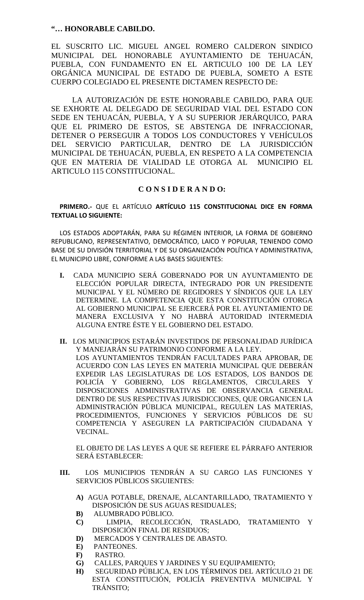# **"… HONORABLE CABILDO.**

EL SUSCRITO LIC. MIGUEL ANGEL ROMERO CALDERON SINDICO MUNICIPAL DEL HONORABLE AYUNTAMIENTO DE TEHUACÁN, PUEBLA, CON FUNDAMENTO EN EL ARTICULO 100 DE LA LEY ORGÁNICA MUNICIPAL DE ESTADO DE PUEBLA, SOMETO A ESTE CUERPO COLEGIADO EL PRESENTE DICTAMEN RESPECTO DE:

LA AUTORIZACIÓN DE ESTE HONORABLE CABILDO, PARA QUE SE EXHORTE AL DELEGADO DE SEGURIDAD VIAL DEL ESTADO CON SEDE EN TEHUACÁN, PUEBLA, Y A SU SUPERIOR JERÁRQUICO, PARA QUE EL PRIMERO DE ESTOS, SE ABSTENGA DE INFRACCIONAR, DETENER O PERSEGUIR A TODOS LOS CONDUCTORES Y VEHÍCULOS DEL SERVICIO PARTICULAR, DENTRO DE LA JURISDICCIÓN MUNICIPAL DE TEHUACÁN, PUEBLA, EN RESPETO A LA COMPETENCIA QUE EN MATERIA DE VIALIDAD LE OTORGA AL MUNICIPIO EL ARTICULO 115 CONSTITUCIONAL.

# **C O N S I D E R A N D O:**

**PRIMERO.-** QUE EL ARTÍCULO **ARTÍCULO 115 CONSTITUCIONAL DICE EN FORMA TEXTUAL LO SIGUIENTE:**

LOS ESTADOS ADOPTARÁN, PARA SU RÉGIMEN INTERIOR, LA FORMA DE GOBIERNO REPUBLICANO, REPRESENTATIVO, DEMOCRÁTICO, LAICO Y POPULAR, TENIENDO COMO BASE DE SU DIVISIÓN TERRITORIAL Y DE SU ORGANIZACIÓN POLÍTICA Y ADMINISTRATIVA, EL MUNICIPIO LIBRE, CONFORME A LAS BASES SIGUIENTES:

- **I.** CADA MUNICIPIO SERÁ GOBERNADO POR UN AYUNTAMIENTO DE ELECCIÓN POPULAR DIRECTA, INTEGRADO POR UN PRESIDENTE MUNICIPAL Y EL NÚMERO DE REGIDORES Y SÍNDICOS QUE LA LEY DETERMINE. LA COMPETENCIA QUE ESTA CONSTITUCIÓN OTORGA AL GOBIERNO MUNICIPAL SE EJERCERÁ POR EL AYUNTAMIENTO DE MANERA EXCLUSIVA Y NO HABRÁ AUTORIDAD INTERMEDIA ALGUNA ENTRE ÉSTE Y EL GOBIERNO DEL ESTADO.
- **II.** LOS MUNICIPIOS ESTARÁN INVESTIDOS DE PERSONALIDAD JURÍDICA Y MANEJARÁN SU PATRIMONIO CONFORME A LA LEY. LOS AYUNTAMIENTOS TENDRÁN FACULTADES PARA APROBAR, DE ACUERDO CON LAS LEYES EN MATERIA MUNICIPAL QUE DEBERÁN EXPEDIR LAS LEGISLATURAS DE LOS ESTADOS, LOS BANDOS DE POLICÍA Y GOBIERNO, LOS REGLAMENTOS, CIRCULARES Y DISPOSICIONES ADMINISTRATIVAS DE OBSERVANCIA GENERAL DENTRO DE SUS RESPECTIVAS JURISDICCIONES, QUE ORGANICEN LA ADMINISTRACIÓN PÚBLICA MUNICIPAL, REGULEN LAS MATERIAS, PROCEDIMIENTOS, FUNCIONES Y SERVICIOS PÚBLICOS DE SU COMPETENCIA Y ASEGUREN LA PARTICIPACIÓN CIUDADANA Y VECINAL.

EL OBJETO DE LAS LEYES A QUE SE REFIERE EL PÁRRAFO ANTERIOR SERÁ ESTABLECER:

- **III.** LOS MUNICIPIOS TENDRÁN A SU CARGO LAS FUNCIONES Y SERVICIOS PÚBLICOS SIGUIENTES:
	- **A)** AGUA POTABLE, DRENAJE, ALCANTARILLADO, TRATAMIENTO Y DISPOSICIÓN DE SUS AGUAS RESIDUALES;
	- **B)** ALUMBRADO PÚBLICO.
	- **C)** LIMPIA, RECOLECCIÓN, TRASLADO, TRATAMIENTO Y DISPOSICIÓN FINAL DE RESIDUOS;
	- **D)** MERCADOS Y CENTRALES DE ABASTO.
	- **E)** PANTEONES.
	- **F)** RASTRO.
	- **G)** CALLES, PARQUES Y JARDINES Y SU EQUIPAMIENTO;
	- **H)** SEGURIDAD PÚBLICA, EN LOS TÉRMINOS DEL ARTÍCULO 21 DE ESTA CONSTITUCIÓN, POLICÍA PREVENTIVA MUNICIPAL Y TRÁNSITO;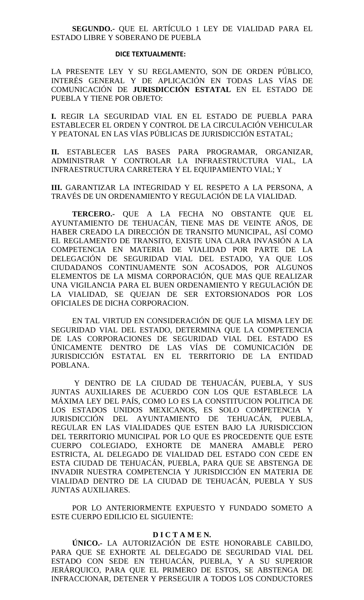# **SEGUNDO.-** QUE EL ARTÍCULO 1 LEY DE VIALIDAD PARA EL ESTADO LIBRE Y SOBERANO DE PUEBLA

#### **DICE TEXTUALMENTE:**

LA PRESENTE LEY Y SU REGLAMENTO, SON DE ORDEN PÚBLICO, INTERÉS GENERAL Y DE APLICACIÓN EN TODAS LAS VÍAS DE COMUNICACIÓN DE **JURISDICCIÓN ESTATAL** EN EL ESTADO DE PUEBLA Y TIENE POR OBJETO:

**I.** REGIR LA SEGURIDAD VIAL EN EL ESTADO DE PUEBLA PARA ESTABLECER EL ORDEN Y CONTROL DE LA CIRCULACIÓN VEHICULAR Y PEATONAL EN LAS VÍAS PÚBLICAS DE JURISDICCIÓN ESTATAL;

**II.** ESTABLECER LAS BASES PARA PROGRAMAR, ORGANIZAR, ADMINISTRAR Y CONTROLAR LA INFRAESTRUCTURA VIAL, LA INFRAESTRUCTURA CARRETERA Y EL EQUIPAMIENTO VIAL; Y

**III.** GARANTIZAR LA INTEGRIDAD Y EL RESPETO A LA PERSONA, A TRAVÉS DE UN ORDENAMIENTO Y REGULACIÓN DE LA VIALIDAD.

**TERCERO.-** QUE A LA FECHA NO OBSTANTE QUE EL AYUNTAMIENTO DE TEHUACÁN, TIENE MAS DE VEINTE AÑOS, DE HABER CREADO LA DIRECCIÓN DE TRANSITO MUNICIPAL, ASÍ COMO EL REGLAMENTO DE TRANSITO, EXISTE UNA CLARA INVASIÓN A LA COMPETENCIA EN MATERIA DE VIALIDAD POR PARTE DE LA DELEGACIÓN DE SEGURIDAD VIAL DEL ESTADO, YA QUE LOS CIUDADANOS CONTINUAMENTE SON ACOSADOS, POR ALGUNOS ELEMENTOS DE LA MISMA CORPORACIÓN, QUE MAS QUE REALIZAR UNA VIGILANCIA PARA EL BUEN ORDENAMIENTO Y REGULACIÓN DE LA VIALIDAD, SE QUEJAN DE SER EXTORSIONADOS POR LOS OFICIALES DE DICHA CORPORACION.

EN TAL VIRTUD EN CONSIDERACIÓN DE QUE LA MISMA LEY DE SEGURIDAD VIAL DEL ESTADO, DETERMINA QUE LA COMPETENCIA DE LAS CORPORACIONES DE SEGURIDAD VIAL DEL ESTADO ES ÚNICAMENTE DENTRO DE LAS VÍAS DE COMUNICACIÓN DE JURISDICCIÓN ESTATAL EN EL TERRITORIO DE LA ENTIDAD POBLANA.

Y DENTRO DE LA CIUDAD DE TEHUACÁN, PUEBLA, Y SUS JUNTAS AUXILIARES DE ACUERDO CON LOS QUE ESTABLECE LA MÁXIMA LEY DEL PAÍS, COMO LO ES LA CONSTITUCION POLITICA DE LOS ESTADOS UNIDOS MEXICANOS, ES SOLO COMPETENCIA Y JURISDICCIÓN DEL AYUNTAMIENTO DE TEHUACÁN, PUEBLA, REGULAR EN LAS VIALIDADES QUE ESTEN BAJO LA JURISDICCION DEL TERRITORIO MUNICIPAL POR LO QUE ES PROCEDENTE QUE ESTE CUERPO COLEGIADO, EXHORTE DE MANERA AMABLE PERO ESTRICTA, AL DELEGADO DE VIALIDAD DEL ESTADO CON CEDE EN ESTA CIUDAD DE TEHUACÁN, PUEBLA, PARA QUE SE ABSTENGA DE INVADIR NUESTRA COMPETENCIA Y JURISDICCIÓN EN MATERIA DE VIALIDAD DENTRO DE LA CIUDAD DE TEHUACÁN, PUEBLA Y SUS JUNTAS AUXILIARES.

POR LO ANTERIORMENTE EXPUESTO Y FUNDADO SOMETO A ESTE CUERPO EDILICIO EL SIGUIENTE:

# **D I C T A M E N.**

**ÚNICO.-** LA AUTORIZACIÓN DE ESTE HONORABLE CABILDO, PARA QUE SE EXHORTE AL DELEGADO DE SEGURIDAD VIAL DEL ESTADO CON SEDE EN TEHUACÁN, PUEBLA, Y A SU SUPERIOR JERÁRQUICO, PARA QUE EL PRIMERO DE ESTOS, SE ABSTENGA DE INFRACCIONAR, DETENER Y PERSEGUIR A TODOS LOS CONDUCTORES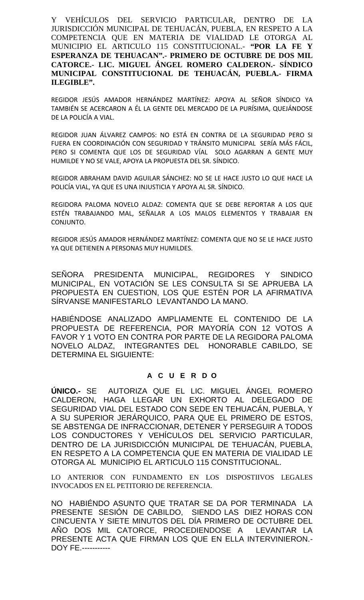Y VEHÍCULOS DEL SERVICIO PARTICULAR, DENTRO DE LA JURISDICCIÓN MUNICIPAL DE TEHUACÁN, PUEBLA, EN RESPETO A LA COMPETENCIA QUE EN MATERIA DE VIALIDAD LE OTORGA AL MUNICIPIO EL ARTICULO 115 CONSTITUCIONAL.- **"POR LA FE Y ESPERANZA DE TEHUACAN".- PRIMERO DE OCTUBRE DE DOS MIL CATORCE.- LIC. MIGUEL ÁNGEL ROMERO CALDERON.- SÍNDICO MUNICIPAL CONSTITUCIONAL DE TEHUACÁN, PUEBLA.- FIRMA ILEGIBLE".**

REGIDOR JESÚS AMADOR HERNÁNDEZ MARTÍNEZ: APOYA AL SEÑOR SÍNDICO YA TAMBIÉN SE ACERCARON A ÉL LA GENTE DEL MERCADO DE LA PURÍSIMA, QUEJÁNDOSE DE LA POLICÍA A VIAL.

REGIDOR JUAN ÁLVAREZ CAMPOS: NO ESTÁ EN CONTRA DE LA SEGURIDAD PERO SI FUERA EN COORDINACIÓN CON SEGURIDAD Y TRÁNSITO MUNICIPAL SERÍA MÁS FÁCIL, PERO SI COMENTA QUE LOS DE SEGURIDAD VÍAL SOLO AGARRAN A GENTE MUY HUMILDE Y NO SE VALE, APOYA LA PROPUESTA DEL SR. SÍNDICO.

REGIDOR ABRAHAM DAVID AGUILAR SÁNCHEZ: NO SE LE HACE JUSTO LO QUE HACE LA POLICÍA VIAL, YA QUE ES UNA INJUSTICIA Y APOYA AL SR. SÍNDICO.

REGIDORA PALOMA NOVELO ALDAZ: COMENTA QUE SE DEBE REPORTAR A LOS QUE ESTÉN TRABAJANDO MAL, SEÑALAR A LOS MALOS ELEMENTOS Y TRABAJAR EN CONJUNTO.

REGIDOR JESÚS AMADOR HERNÁNDEZ MARTÍNEZ: COMENTA QUE NO SE LE HACE JUSTO YA QUE DETIENEN A PERSONAS MUY HUMILDES.

SEÑORA PRESIDENTA MUNICIPAL, REGIDORES Y SINDICO MUNICIPAL, EN VOTACIÓN SE LES CONSULTA SI SE APRUEBA LA PROPUESTA EN CUESTION, LOS QUE ESTÉN POR LA AFIRMATIVA SÍRVANSE MANIFESTARLO LEVANTANDO LA MANO.

HABIÉNDOSE ANALIZADO AMPLIAMENTE EL CONTENIDO DE LA PROPUESTA DE REFERENCIA, POR MAYORÍA CON 12 VOTOS A FAVOR Y 1 VOTO EN CONTRA POR PARTE DE LA REGIDORA PALOMA NOVELO ALDAZ, INTEGRANTES DEL HONORABLE CABILDO, SE DETERMINA EL SIGUIENTE:

# **A C U E R D O**

**ÚNICO.-** SE AUTORIZA QUE EL LIC. MIGUEL ÁNGEL ROMERO CALDERON, HAGA LLEGAR UN EXHORTO AL DELEGADO DE SEGURIDAD VIAL DEL ESTADO CON SEDE EN TEHUACÁN, PUEBLA, Y A SU SUPERIOR JERÁRQUICO, PARA QUE EL PRIMERO DE ESTOS, SE ABSTENGA DE INFRACCIONAR, DETENER Y PERSEGUIR A TODOS LOS CONDUCTORES Y VEHÍCULOS DEL SERVICIO PARTICULAR, DENTRO DE LA JURISDICCIÓN MUNICIPAL DE TEHUACÁN, PUEBLA, EN RESPETO A LA COMPETENCIA QUE EN MATERIA DE VIALIDAD LE OTORGA AL MUNICIPIO EL ARTICULO 115 CONSTITUCIONAL.

LO ANTERIOR CON FUNDAMENTO EN LOS DISPOSTIIVOS LEGALES INVOCADOS EN EL PETITORIO DE REFERENCIA.

NO HABIÉNDO ASUNTO QUE TRATAR SE DA POR TERMINADA LA PRESENTE SESIÓN DE CABILDO, SIENDO LAS DIEZ HORAS CON CINCUENTA Y SIETE MINUTOS DEL DÍA PRIMERO DE OCTUBRE DEL AÑO DOS MIL CATORCE, PROCEDIENDOSE A LEVANTAR LA PRESENTE ACTA QUE FIRMAN LOS QUE EN ELLA INTERVINIERON.- DOY FE.-----------